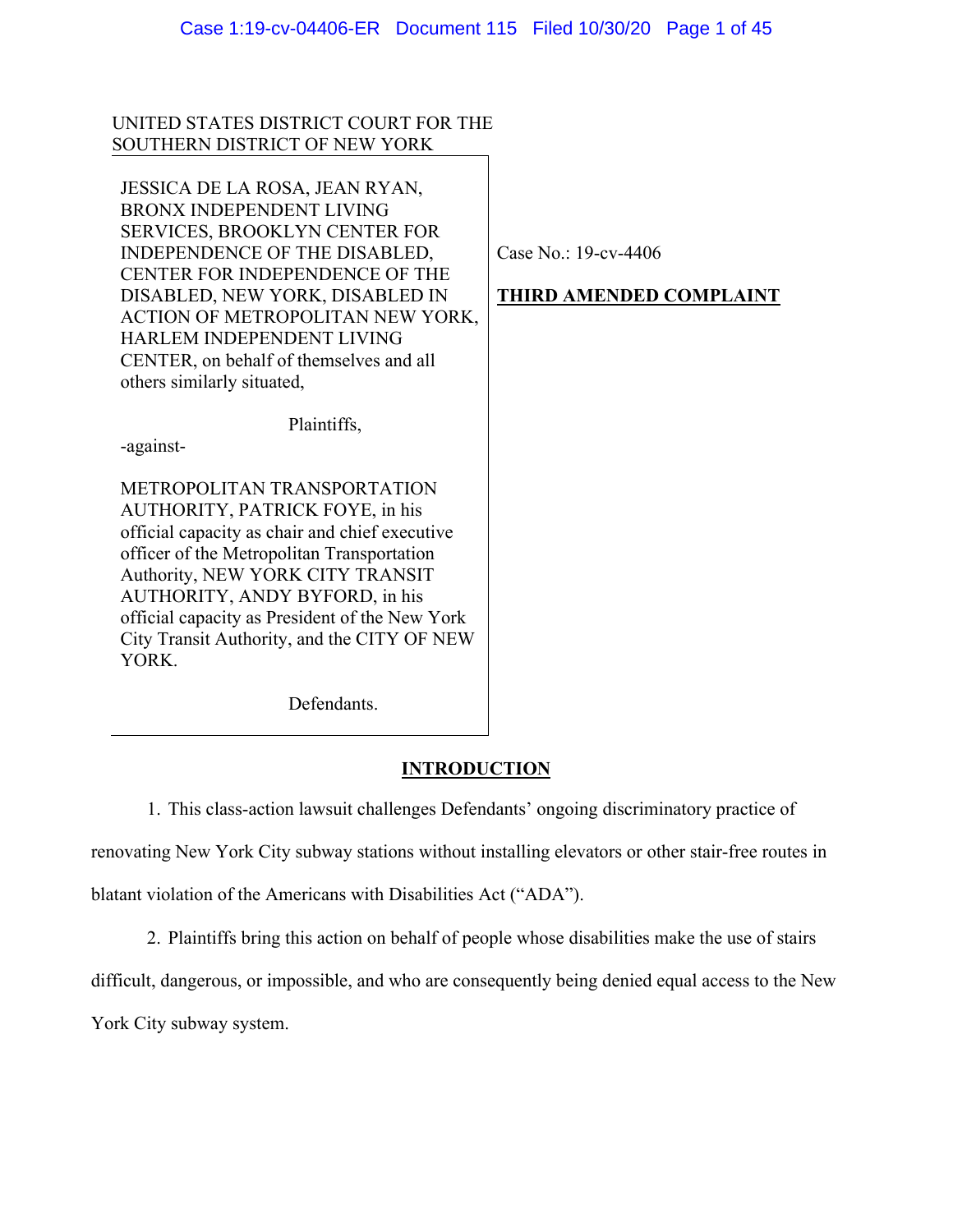# UNITED STATES DISTRICT COURT FOR THE SOUTHERN DISTRICT OF NEW YORK

JESSICA DE LA ROSA, JEAN RYAN, BRONX INDEPENDENT LIVING SERVICES, BROOKLYN CENTER FOR INDEPENDENCE OF THE DISABLED, CENTER FOR INDEPENDENCE OF THE DISABLED, NEW YORK, DISABLED IN ACTION OF METROPOLITAN NEW YORK, HARLEM INDEPENDENT LIVING CENTER, on behalf of themselves and all others similarly situated,

Plaintiffs,

-against-

METROPOLITAN TRANSPORTATION AUTHORITY, PATRICK FOYE, in his official capacity as chair and chief executive officer of the Metropolitan Transportation Authority, NEW YORK CITY TRANSIT AUTHORITY, ANDY BYFORD, in his official capacity as President of the New York City Transit Authority, and the CITY OF NEW YORK.

Defendants.

# **INTRODUCTION**

1. This class-action lawsuit challenges Defendants' ongoing discriminatory practice of

renovating New York City subway stations without installing elevators or other stair-free routes in

blatant violation of the Americans with Disabilities Act ("ADA").

2. Plaintiffs bring this action on behalf of people whose disabilities make the use of stairs

difficult, dangerous, or impossible, and who are consequently being denied equal access to the New

York City subway system.

Case No.: 19-cv-4406

# **THIRD AMENDED COMPLAINT**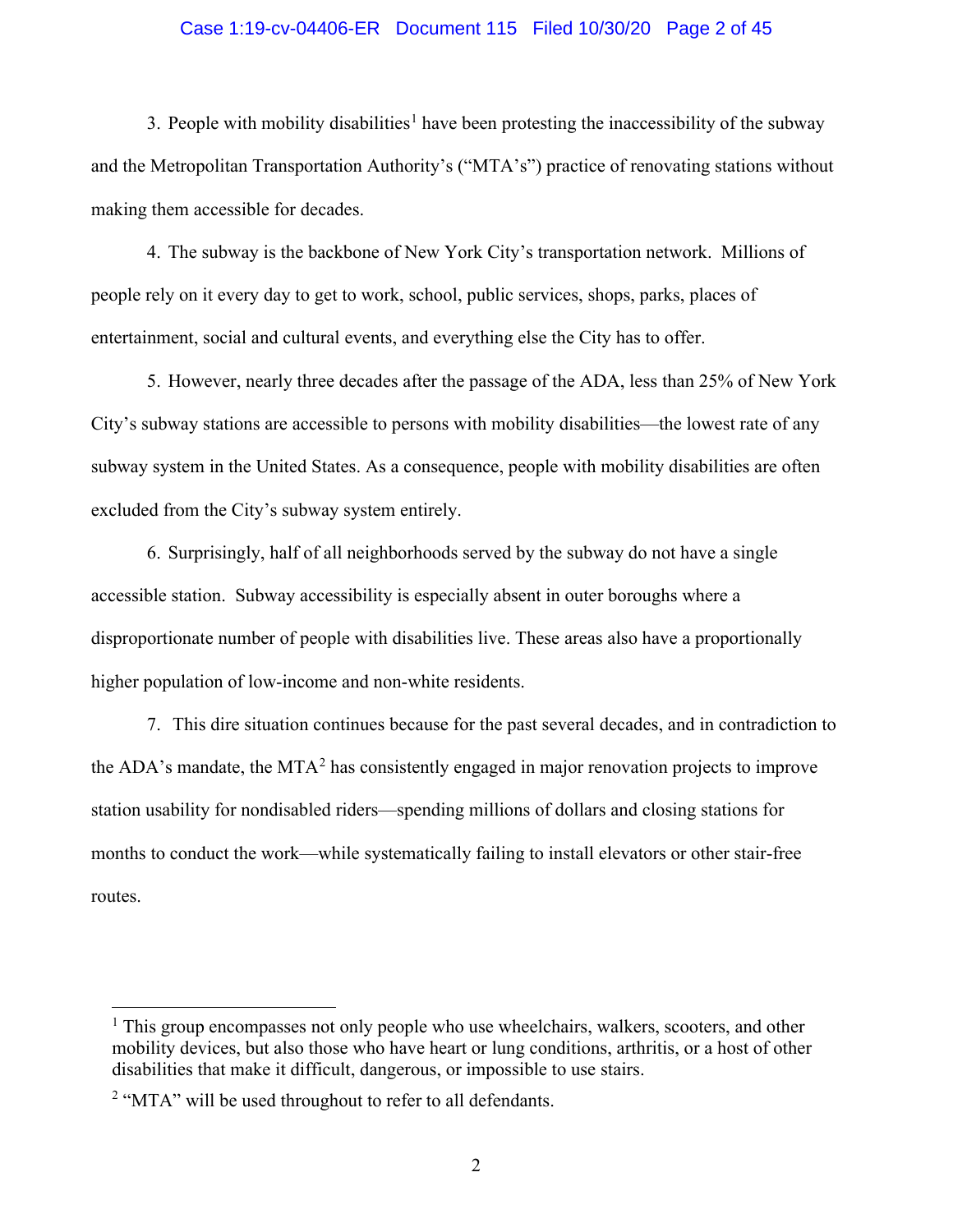### Case 1:19-cv-04406-ER Document 115 Filed 10/30/20 Page 2 of 45

3. People with mobility disabilities<sup>[1](#page-1-0)</sup> have been protesting the inaccessibility of the subway and the Metropolitan Transportation Authority's ("MTA's") practice of renovating stations without making them accessible for decades.

4. The subway is the backbone of New York City's transportation network. Millions of people rely on it every day to get to work, school, public services, shops, parks, places of entertainment, social and cultural events, and everything else the City has to offer.

5. However, nearly three decades after the passage of the ADA, less than 25% of New York City's subway stations are accessible to persons with mobility disabilities—the lowest rate of any subway system in the United States. As a consequence, people with mobility disabilities are often excluded from the City's subway system entirely.

6. Surprisingly, half of all neighborhoods served by the subway do not have a single accessible station. Subway accessibility is especially absent in outer boroughs where a disproportionate number of people with disabilities live. These areas also have a proportionally higher population of low-income and non-white residents.

7. This dire situation continues because for the past several decades, and in contradiction to the ADA's mandate, the MTA<sup>[2](#page-1-1)</sup> has consistently engaged in major renovation projects to improve station usability for nondisabled riders—spending millions of dollars and closing stations for months to conduct the work—while systematically failing to install elevators or other stair-free routes.

<span id="page-1-0"></span><sup>&</sup>lt;sup>1</sup> This group encompasses not only people who use wheelchairs, walkers, scooters, and other mobility devices, but also those who have heart or lung conditions, arthritis, or a host of other disabilities that make it difficult, dangerous, or impossible to use stairs.

<span id="page-1-1"></span><sup>&</sup>lt;sup>2</sup> "MTA" will be used throughout to refer to all defendants.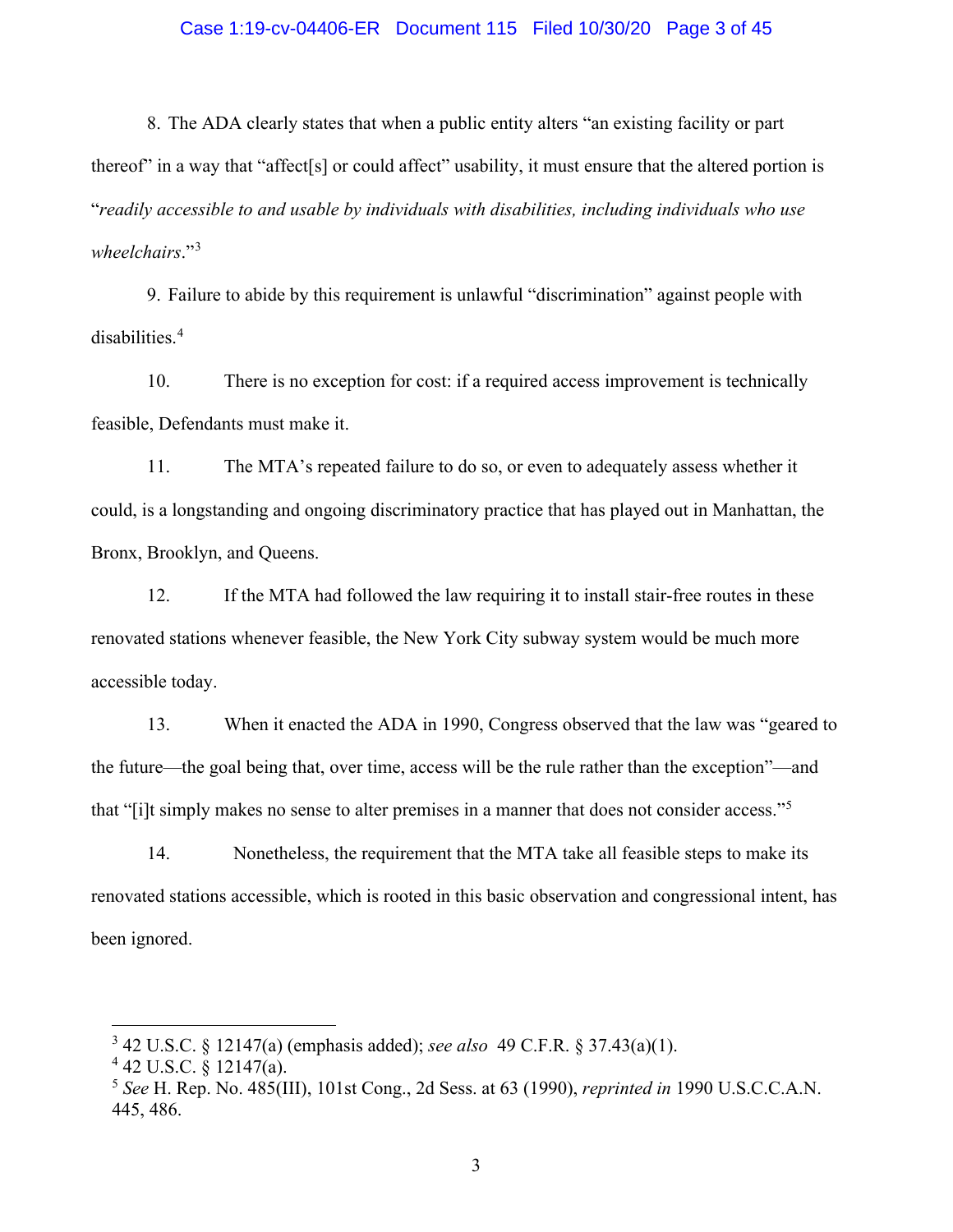### Case 1:19-cv-04406-ER Document 115 Filed 10/30/20 Page 3 of 45

8. The ADA clearly states that when a public entity alters "an existing facility or part thereof" in a way that "affect[s] or could affect" usability, it must ensure that the altered portion is "*readily accessible to and usable by individuals with disabilities, including individuals who use wheelchairs*."[3](#page-2-0)

9. Failure to abide by this requirement is unlawful "discrimination" against people with disabilities.[4](#page-2-1)

10. There is no exception for cost: if a required access improvement is technically feasible, Defendants must make it.

11. The MTA's repeated failure to do so, or even to adequately assess whether it could, is a longstanding and ongoing discriminatory practice that has played out in Manhattan, the Bronx, Brooklyn, and Queens.

12. If the MTA had followed the law requiring it to install stair-free routes in these renovated stations whenever feasible, the New York City subway system would be much more accessible today.

13. When it enacted the ADA in 1990, Congress observed that the law was "geared to the future—the goal being that, over time, access will be the rule rather than the exception"—and that "[i]t simply makes no sense to alter premises in a manner that does not consider access."[5](#page-2-2)

14. Nonetheless, the requirement that the MTA take all feasible steps to make its renovated stations accessible, which is rooted in this basic observation and congressional intent, has been ignored.

<span id="page-2-0"></span><sup>3</sup> 42 U.S.C. § 12147(a) (emphasis added); *see also* 49 C.F.R. § 37.43(a)(1).

<span id="page-2-1"></span> $4$  42 U.S.C. § 12147(a).

<span id="page-2-2"></span><sup>5</sup> *See* H. Rep. No. 485(III), 101st Cong., 2d Sess. at 63 (1990), *reprinted in* 1990 U.S.C.C.A.N. 445, 486.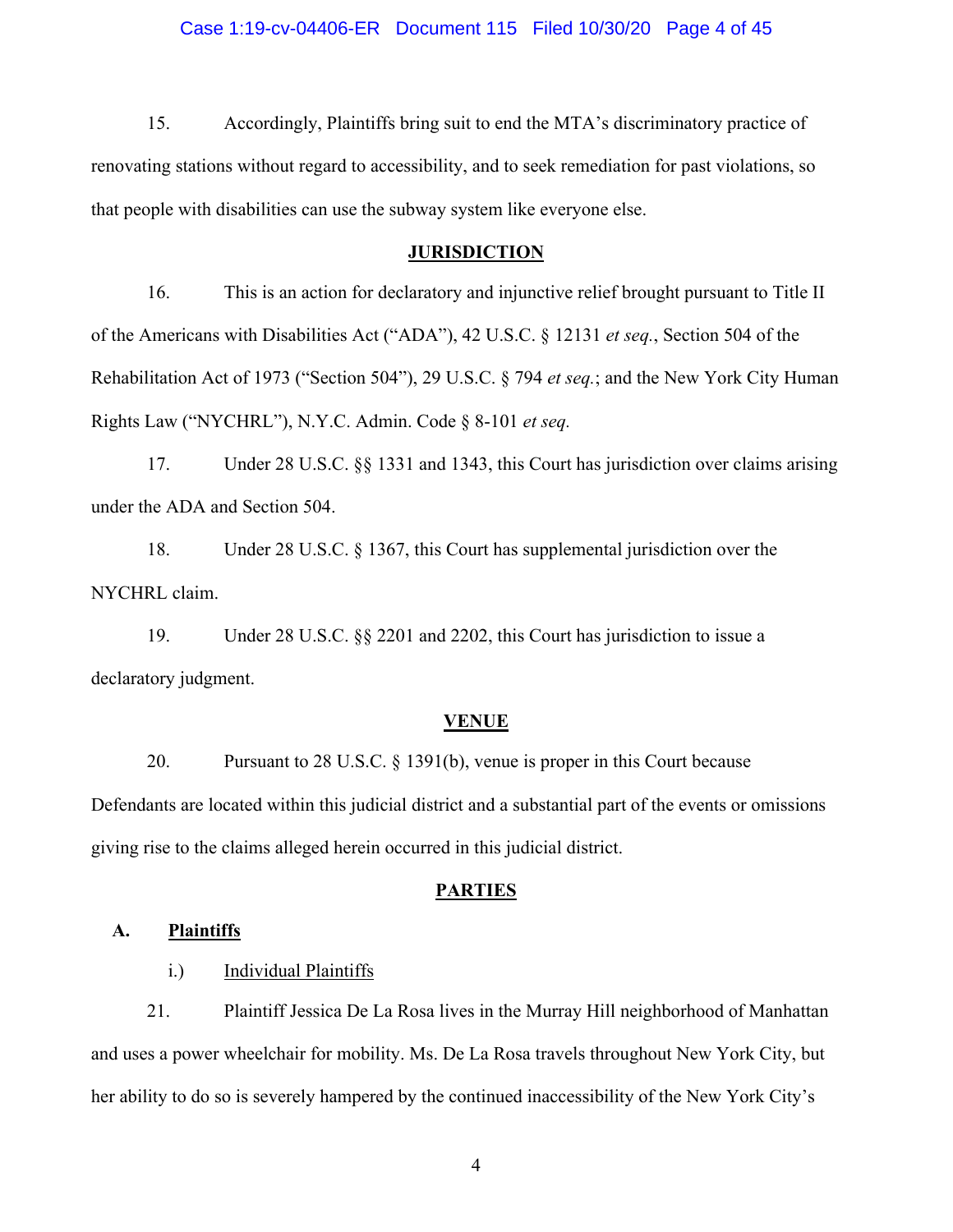### Case 1:19-cv-04406-ER Document 115 Filed 10/30/20 Page 4 of 45

15. Accordingly, Plaintiffs bring suit to end the MTA's discriminatory practice of renovating stations without regard to accessibility, and to seek remediation for past violations, so that people with disabilities can use the subway system like everyone else.

## **JURISDICTION**

16. This is an action for declaratory and injunctive relief brought pursuant to Title II of the Americans with Disabilities Act ("ADA"), 42 U.S.C. § 12131 *et seq.*, Section 504 of the Rehabilitation Act of 1973 ("Section 504"), 29 U.S.C. § 794 *et seq.*; and the New York City Human Rights Law ("NYCHRL"), N.Y.C. Admin. Code § 8-101 *et seq.*

17. Under 28 U.S.C. §§ 1331 and 1343, this Court has jurisdiction over claims arising under the ADA and Section 504.

18. Under 28 U.S.C. § 1367, this Court has supplemental jurisdiction over the NYCHRL claim.

19. Under 28 U.S.C. §§ 2201 and 2202, this Court has jurisdiction to issue a declaratory judgment.

## **VENUE**

20. Pursuant to 28 U.S.C. § 1391(b), venue is proper in this Court because Defendants are located within this judicial district and a substantial part of the events or omissions giving rise to the claims alleged herein occurred in this judicial district.

## **PARTIES**

## **A. Plaintiffs**

i.) Individual Plaintiffs

21. Plaintiff Jessica De La Rosa lives in the Murray Hill neighborhood of Manhattan and uses a power wheelchair for mobility. Ms. De La Rosa travels throughout New York City, but her ability to do so is severely hampered by the continued inaccessibility of the New York City's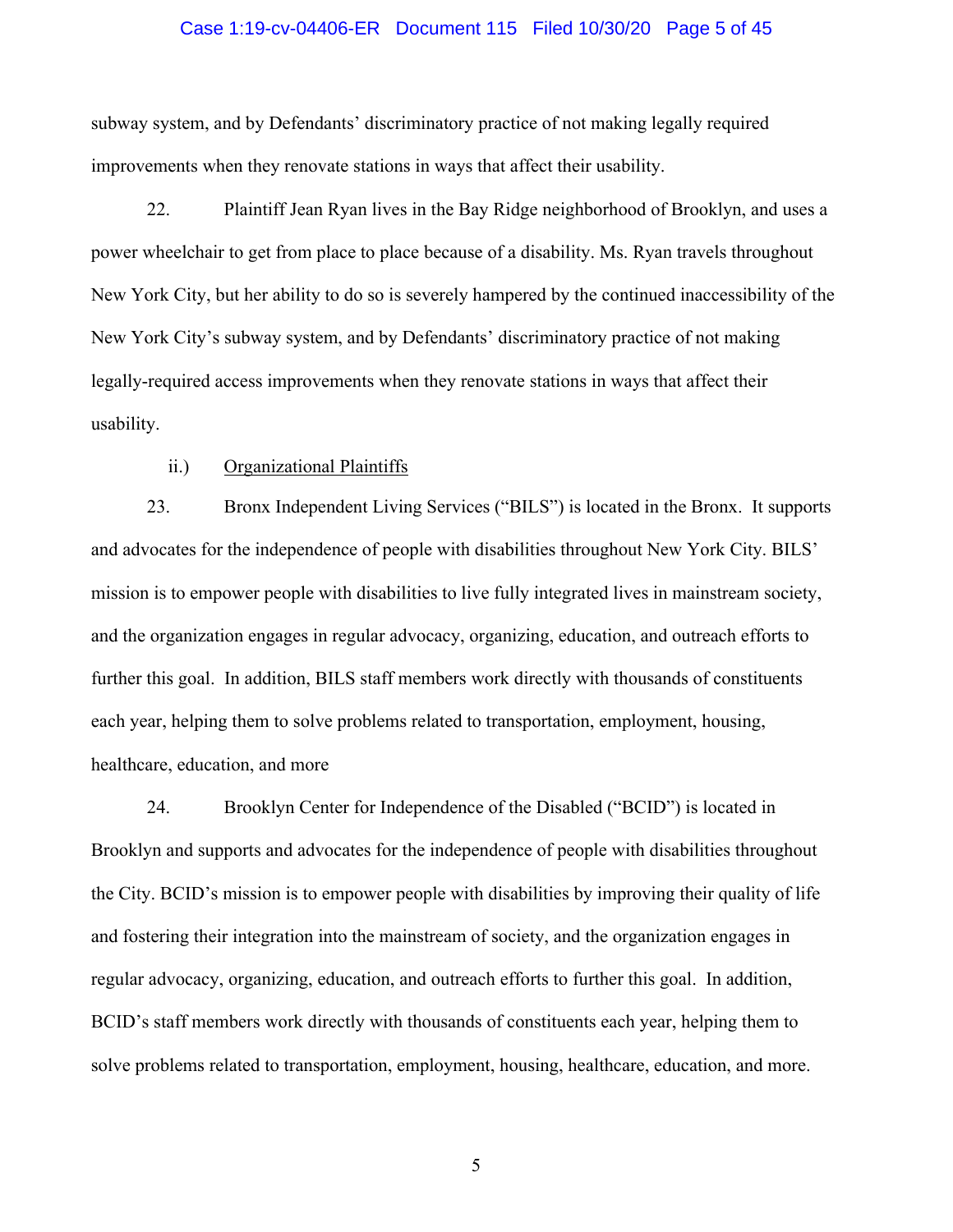### Case 1:19-cv-04406-ER Document 115 Filed 10/30/20 Page 5 of 45

subway system, and by Defendants' discriminatory practice of not making legally required improvements when they renovate stations in ways that affect their usability.

22. Plaintiff Jean Ryan lives in the Bay Ridge neighborhood of Brooklyn, and uses a power wheelchair to get from place to place because of a disability. Ms. Ryan travels throughout New York City, but her ability to do so is severely hampered by the continued inaccessibility of the New York City's subway system, and by Defendants' discriminatory practice of not making legally-required access improvements when they renovate stations in ways that affect their usability.

## ii.) Organizational Plaintiffs

23. Bronx Independent Living Services ("BILS") is located in the Bronx. It supports and advocates for the independence of people with disabilities throughout New York City. BILS' mission is to empower people with disabilities to live fully integrated lives in mainstream society, and the organization engages in regular advocacy, organizing, education, and outreach efforts to further this goal. In addition, BILS staff members work directly with thousands of constituents each year, helping them to solve problems related to transportation, employment, housing, healthcare, education, and more

24. Brooklyn Center for Independence of the Disabled ("BCID") is located in Brooklyn and supports and advocates for the independence of people with disabilities throughout the City. BCID's mission is to empower people with disabilities by improving their quality of life and fostering their integration into the mainstream of society, and the organization engages in regular advocacy, organizing, education, and outreach efforts to further this goal. In addition, BCID's staff members work directly with thousands of constituents each year, helping them to solve problems related to transportation, employment, housing, healthcare, education, and more.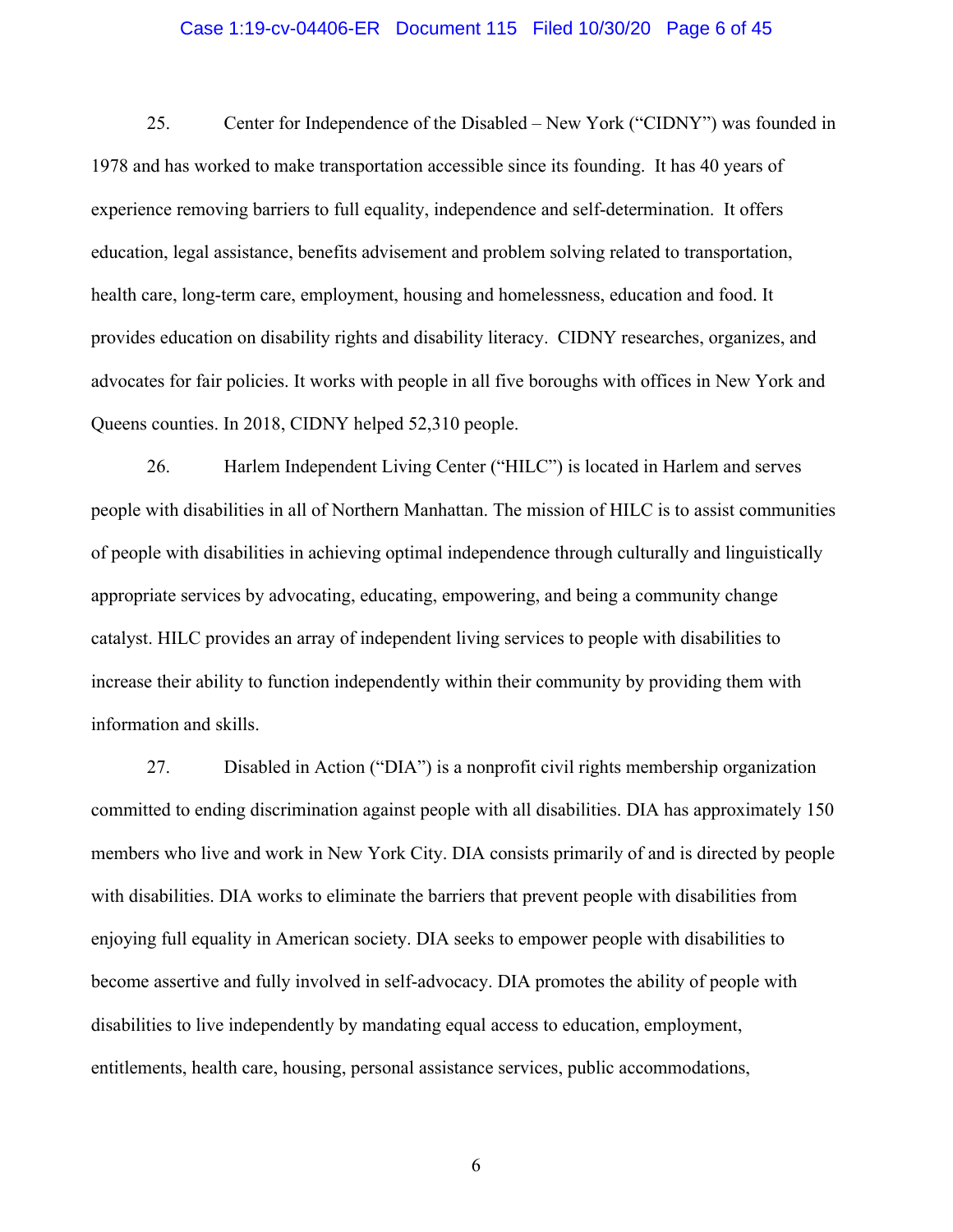### Case 1:19-cv-04406-ER Document 115 Filed 10/30/20 Page 6 of 45

25. Center for Independence of the Disabled – New York ("CIDNY") was founded in 1978 and has worked to make transportation accessible since its founding. It has 40 years of experience removing barriers to full equality, independence and self-determination. It offers education, legal assistance, benefits advisement and problem solving related to transportation, health care, long-term care, employment, housing and homelessness, education and food. It provides education on disability rights and disability literacy. CIDNY researches, organizes, and advocates for fair policies. It works with people in all five boroughs with offices in New York and Queens counties. In 2018, CIDNY helped 52,310 people.

26. Harlem Independent Living Center ("HILC") is located in Harlem and serves people with disabilities in all of Northern Manhattan. The mission of HILC is to assist communities of people with disabilities in achieving optimal independence through culturally and linguistically appropriate services by advocating, educating, empowering, and being a community change catalyst. HILC provides an array of independent living services to people with disabilities to increase their ability to function independently within their community by providing them with information and skills.

27. Disabled in Action ("DIA") is a nonprofit civil rights membership organization committed to ending discrimination against people with all disabilities. DIA has approximately 150 members who live and work in New York City. DIA consists primarily of and is directed by people with disabilities. DIA works to eliminate the barriers that prevent people with disabilities from enjoying full equality in American society. DIA seeks to empower people with disabilities to become assertive and fully involved in self-advocacy. DIA promotes the ability of people with disabilities to live independently by mandating equal access to education, employment, entitlements, health care, housing, personal assistance services, public accommodations,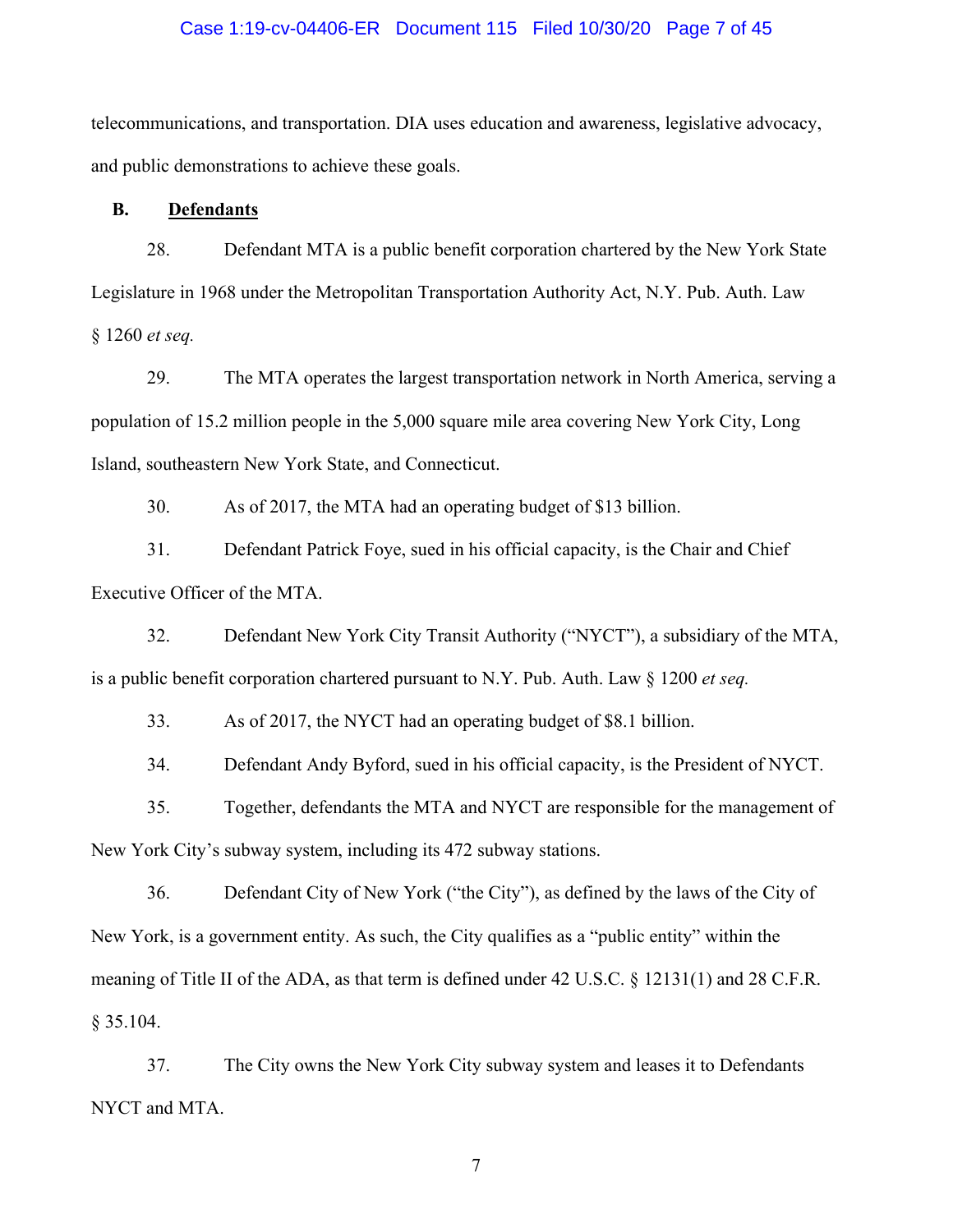## Case 1:19-cv-04406-ER Document 115 Filed 10/30/20 Page 7 of 45

telecommunications, and transportation. DIA uses education and awareness, legislative advocacy, and public demonstrations to achieve these goals.

## **B. Defendants**

28. Defendant MTA is a public benefit corporation chartered by the New York State Legislature in 1968 under the Metropolitan Transportation Authority Act, N.Y. Pub. Auth. Law § 1260 *et seq.*

29. The MTA operates the largest transportation network in North America, serving a population of 15.2 million people in the 5,000 square mile area covering New York City, Long Island, southeastern New York State, and Connecticut.

30. As of 2017, the MTA had an operating budget of \$13 billion.

31. Defendant Patrick Foye, sued in his official capacity, is the Chair and Chief Executive Officer of the MTA.

32. Defendant New York City Transit Authority ("NYCT"), a subsidiary of the MTA, is a public benefit corporation chartered pursuant to N.Y. Pub. Auth. Law § 1200 *et seq.*

33. As of 2017, the NYCT had an operating budget of \$8.1 billion.

34. Defendant Andy Byford, sued in his official capacity, is the President of NYCT.

35. Together, defendants the MTA and NYCT are responsible for the management of New York City's subway system, including its 472 subway stations.

36. Defendant City of New York ("the City"), as defined by the laws of the City of New York, is a government entity. As such, the City qualifies as a "public entity" within the meaning of Title II of the ADA, as that term is defined under 42 U.S.C. § 12131(1) and 28 C.F.R. § 35.104.

37. The City owns the New York City subway system and leases it to Defendants NYCT and MTA.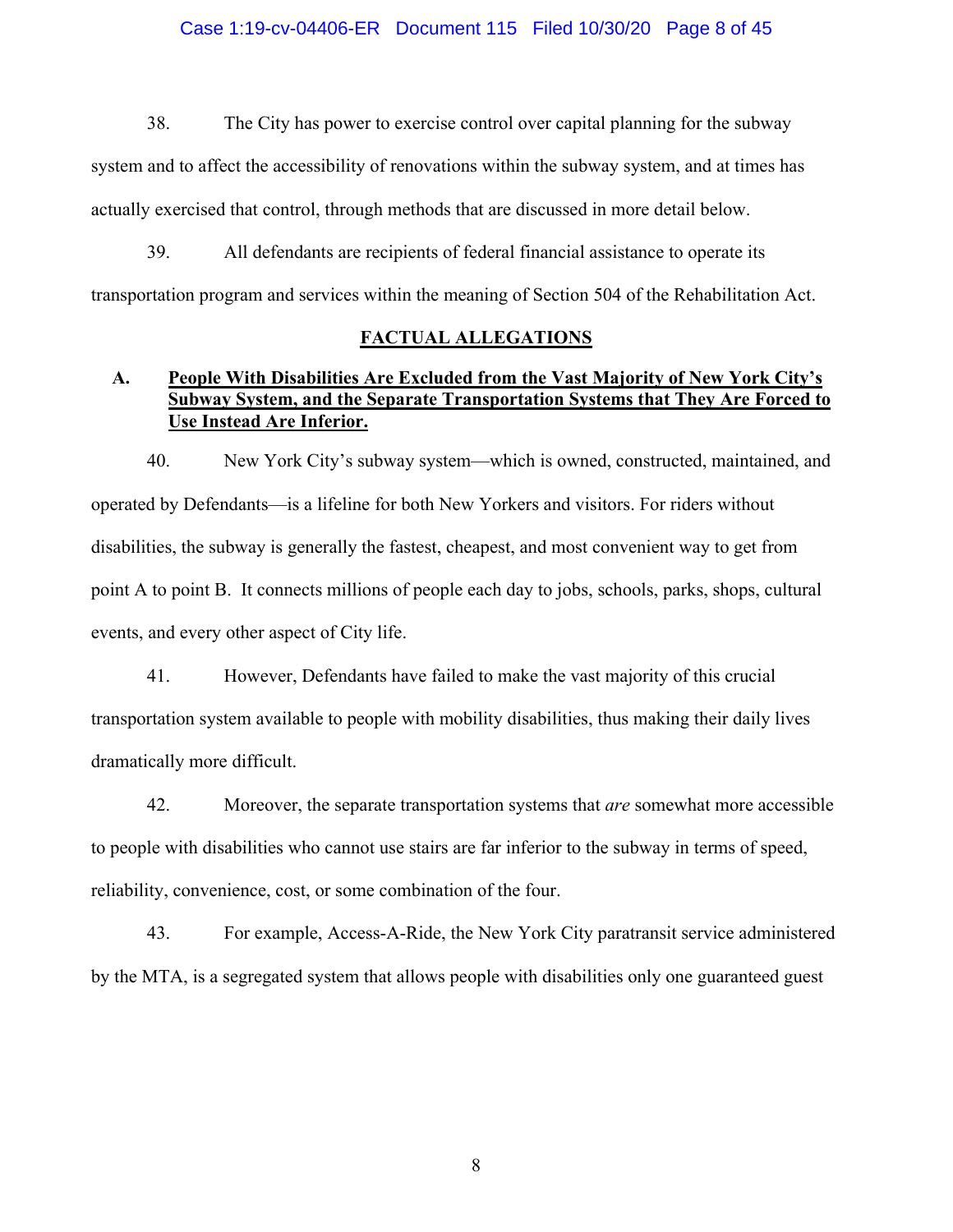### Case 1:19-cv-04406-ER Document 115 Filed 10/30/20 Page 8 of 45

38. The City has power to exercise control over capital planning for the subway system and to affect the accessibility of renovations within the subway system, and at times has actually exercised that control, through methods that are discussed in more detail below.

39. All defendants are recipients of federal financial assistance to operate its transportation program and services within the meaning of Section 504 of the Rehabilitation Act.

## **FACTUAL ALLEGATIONS**

# **A. People With Disabilities Are Excluded from the Vast Majority of New York City's Subway System, and the Separate Transportation Systems that They Are Forced to Use Instead Are Inferior.**

40. New York City's subway system—which is owned, constructed, maintained, and operated by Defendants—is a lifeline for both New Yorkers and visitors. For riders without disabilities, the subway is generally the fastest, cheapest, and most convenient way to get from point A to point B. It connects millions of people each day to jobs, schools, parks, shops, cultural events, and every other aspect of City life.

41. However, Defendants have failed to make the vast majority of this crucial transportation system available to people with mobility disabilities, thus making their daily lives dramatically more difficult.

42. Moreover, the separate transportation systems that *are* somewhat more accessible to people with disabilities who cannot use stairs are far inferior to the subway in terms of speed, reliability, convenience, cost, or some combination of the four.

43. For example, Access-A-Ride, the New York City paratransit service administered by the MTA, is a segregated system that allows people with disabilities only one guaranteed guest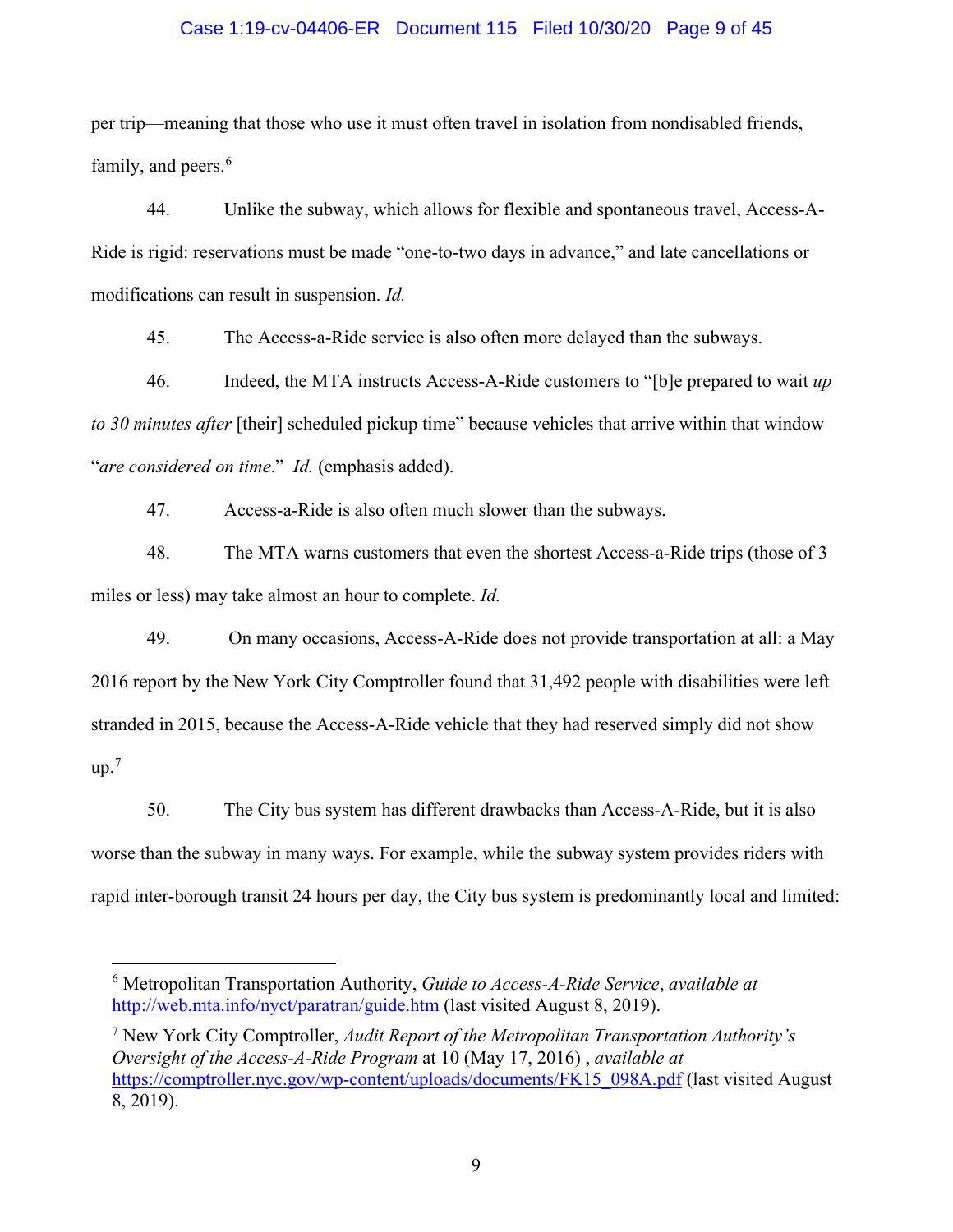## Case 1:19-cv-04406-ER Document 115 Filed 10/30/20 Page 9 of 45

per trip—meaning that those who use it must often travel in isolation from nondisabled friends, family, and peers.<sup>[6](#page-8-0)</sup>

44. Unlike the subway, which allows for flexible and spontaneous travel, Access-A-Ride is rigid: reservations must be made "one-to-two days in advance," and late cancellations or modifications can result in suspension. *Id.*

45. The Access-a-Ride service is also often more delayed than the subways.

46. Indeed, the MTA instructs Access-A-Ride customers to "[b]e prepared to wait *up to 30 minutes after* [their] scheduled pickup time" because vehicles that arrive within that window "*are considered on time*." *Id.* (emphasis added).

47. Access-a-Ride is also often much slower than the subways.

48. The MTA warns customers that even the shortest Access-a-Ride trips (those of 3 miles or less) may take almost an hour to complete. *Id.*

49. On many occasions, Access-A-Ride does not provide transportation at all: a May 2016 report by the New York City Comptroller found that 31,492 people with disabilities were left stranded in 2015, because the Access-A-Ride vehicle that they had reserved simply did not show  $up.^7$  $up.^7$ 

50. The City bus system has different drawbacks than Access-A-Ride, but it is also worse than the subway in many ways. For example, while the subway system provides riders with rapid inter-borough transit 24 hours per day, the City bus system is predominantly local and limited:

<span id="page-8-1"></span><sup>7</sup> New York City Comptroller, *Audit Report of the Metropolitan Transportation Authority's Oversight of the Access-A-Ride Program* at 10 (May 17, 2016) , *available at*  [https://comptroller.nyc.gov/wp-content/uploads/documents/FK15\\_098A.pdf](https://comptroller.nyc.gov/wp-content/uploads/documents/FK15_098A.pdf) (last visited August 8, 2019).

<span id="page-8-0"></span><sup>6</sup> Metropolitan Transportation Authority, *Guide to Access-A-Ride Service*, *available at* <http://web.mta.info/nyct/paratran/guide.htm>(last visited August 8, 2019).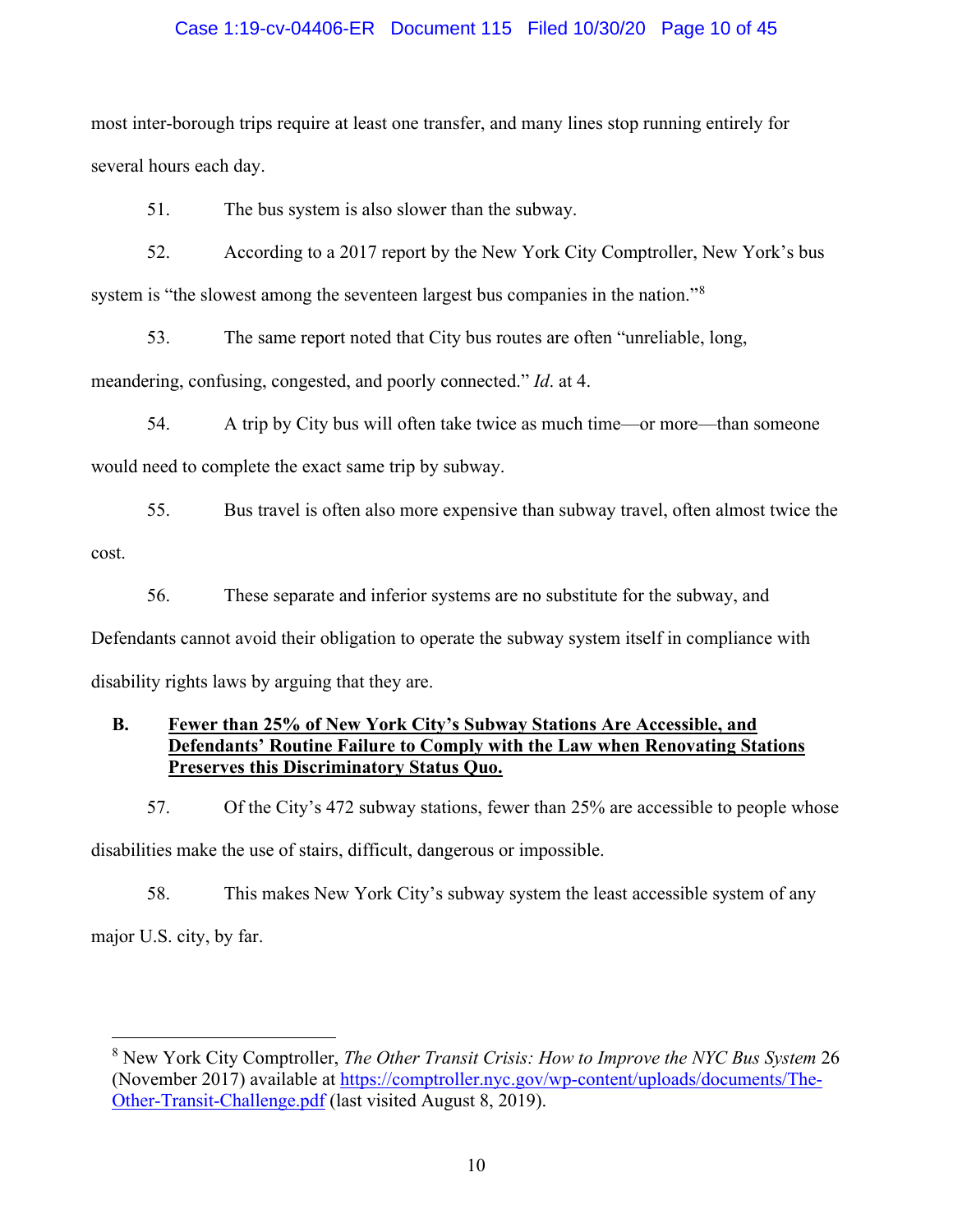# Case 1:19-cv-04406-ER Document 115 Filed 10/30/20 Page 10 of 45

most inter-borough trips require at least one transfer, and many lines stop running entirely for several hours each day.

51. The bus system is also slower than the subway.

52. According to a 2017 report by the New York City Comptroller, New York's bus system is "the slowest among the seventeen largest bus companies in the nation."<sup>[8](#page-9-0)</sup>

53. The same report noted that City bus routes are often "unreliable, long,

meandering, confusing, congested, and poorly connected." *Id*. at 4.

54. A trip by City bus will often take twice as much time—or more—than someone would need to complete the exact same trip by subway.

55. Bus travel is often also more expensive than subway travel, often almost twice the cost.

56. These separate and inferior systems are no substitute for the subway, and

Defendants cannot avoid their obligation to operate the subway system itself in compliance with disability rights laws by arguing that they are.

# **B. Fewer than 25% of New York City's Subway Stations Are Accessible, and Defendants' Routine Failure to Comply with the Law when Renovating Stations Preserves this Discriminatory Status Quo.**

57. Of the City's 472 subway stations, fewer than 25% are accessible to people whose

disabilities make the use of stairs, difficult, dangerous or impossible.

58. This makes New York City's subway system the least accessible system of any

major U.S. city, by far.

<span id="page-9-0"></span><sup>8</sup> New York City Comptroller, *The Other Transit Crisis: How to Improve the NYC Bus System* 26 (November 2017) available at [https://comptroller.nyc.gov/wp-content/uploads/documents/The-](https://comptroller.nyc.gov/wp-content/uploads/documents/The-Other-Transit-Challenge.pdf)[Other-Transit-Challenge.pdf](https://comptroller.nyc.gov/wp-content/uploads/documents/The-Other-Transit-Challenge.pdf) (last visited August 8, 2019).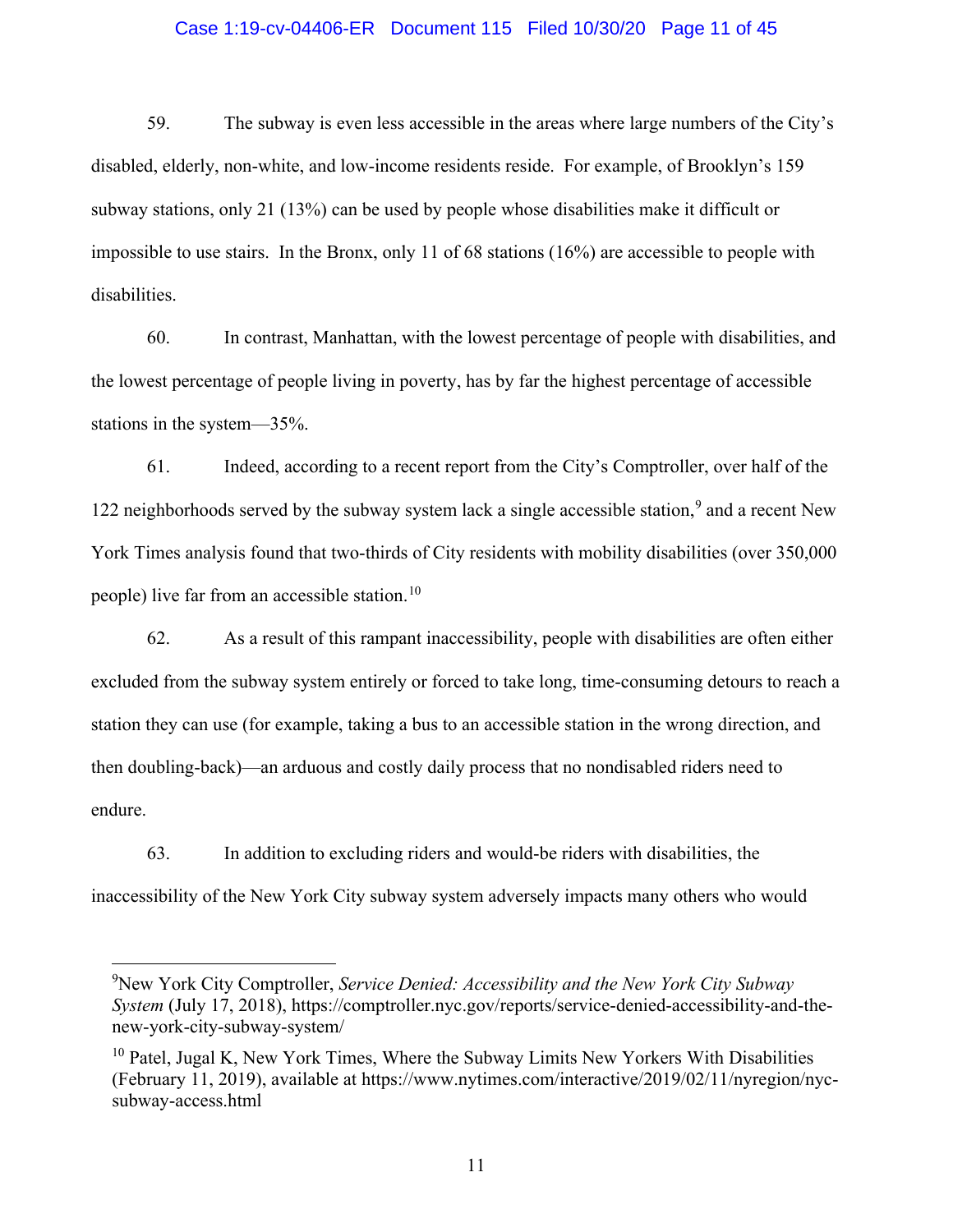## Case 1:19-cv-04406-ER Document 115 Filed 10/30/20 Page 11 of 45

59. The subway is even less accessible in the areas where large numbers of the City's disabled, elderly, non-white, and low-income residents reside. For example, of Brooklyn's 159 subway stations, only 21 (13%) can be used by people whose disabilities make it difficult or impossible to use stairs. In the Bronx, only 11 of 68 stations (16%) are accessible to people with disabilities.

60. In contrast, Manhattan, with the lowest percentage of people with disabilities, and the lowest percentage of people living in poverty, has by far the highest percentage of accessible stations in the system—35%.

61. Indeed, according to a recent report from the City's Comptroller, over half of the 122 neighborhoods served by the subway system lack a single accessible station,<sup>[9](#page-10-0)</sup> and a recent New York Times analysis found that two-thirds of City residents with mobility disabilities (over 350,000 people) live far from an accessible station. [10](#page-10-1) 

62. As a result of this rampant inaccessibility, people with disabilities are often either excluded from the subway system entirely or forced to take long, time-consuming detours to reach a station they can use (for example, taking a bus to an accessible station in the wrong direction, and then doubling-back)—an arduous and costly daily process that no nondisabled riders need to endure.

63. In addition to excluding riders and would-be riders with disabilities, the inaccessibility of the New York City subway system adversely impacts many others who would

<span id="page-10-0"></span><sup>9</sup> New York City Comptroller, *Service Denied: Accessibility and the New York City Subway System* (July 17, 2018), https://comptroller.nyc.gov/reports/service-denied-accessibility-and-thenew-york-city-subway-system/

<span id="page-10-1"></span> $10$  Patel, Jugal K, New York Times, Where the Subway Limits New Yorkers With Disabilities (February 11, 2019), available at https://www.nytimes.com/interactive/2019/02/11/nyregion/nycsubway-access.html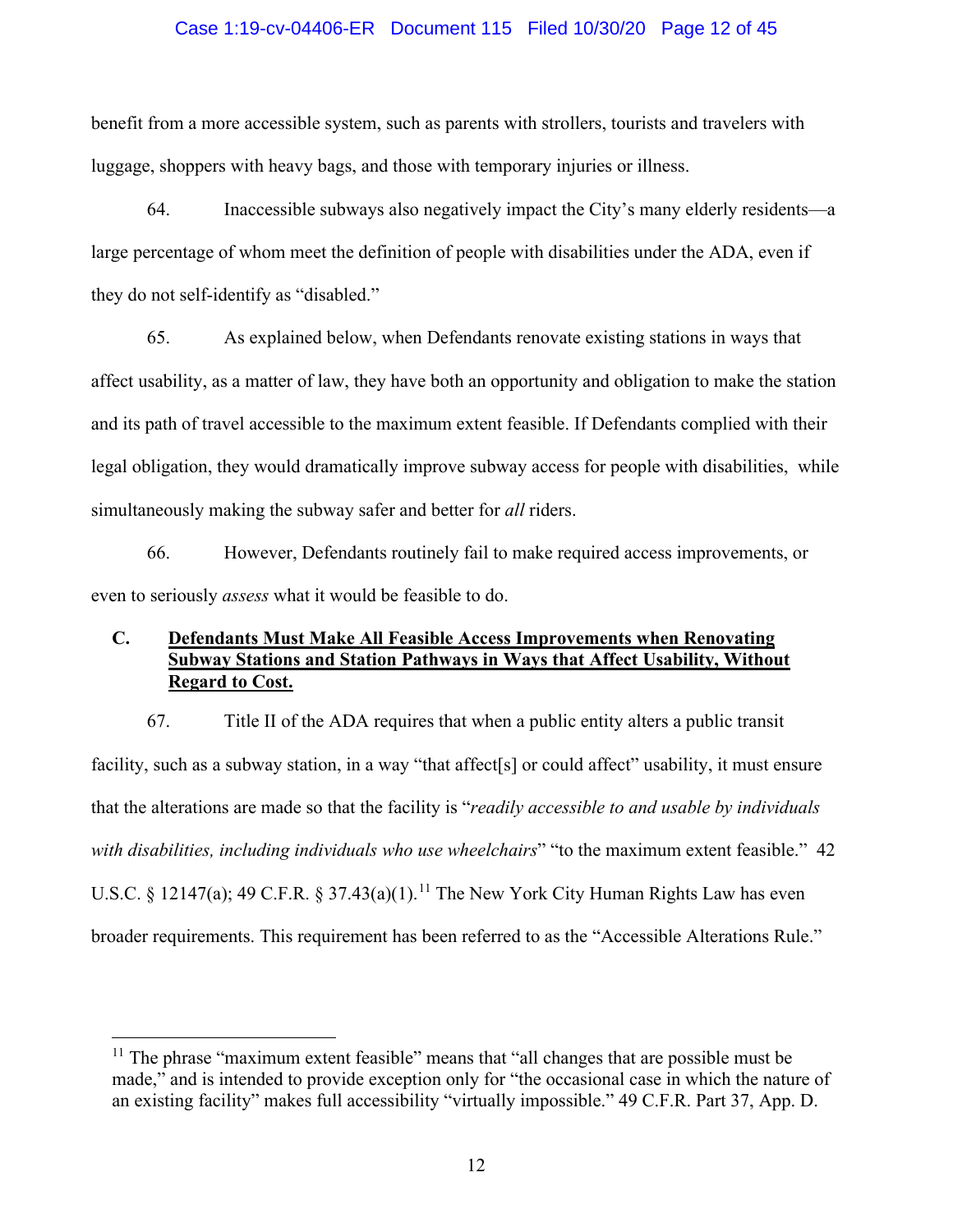## Case 1:19-cv-04406-ER Document 115 Filed 10/30/20 Page 12 of 45

benefit from a more accessible system, such as parents with strollers, tourists and travelers with luggage, shoppers with heavy bags, and those with temporary injuries or illness.

64. Inaccessible subways also negatively impact the City's many elderly residents—a large percentage of whom meet the definition of people with disabilities under the ADA, even if they do not self-identify as "disabled."

65. As explained below, when Defendants renovate existing stations in ways that affect usability, as a matter of law, they have both an opportunity and obligation to make the station and its path of travel accessible to the maximum extent feasible. If Defendants complied with their legal obligation, they would dramatically improve subway access for people with disabilities, while simultaneously making the subway safer and better for *all* riders.

66. However, Defendants routinely fail to make required access improvements, or even to seriously *assess* what it would be feasible to do.

# **C. Defendants Must Make All Feasible Access Improvements when Renovating Subway Stations and Station Pathways in Ways that Affect Usability, Without Regard to Cost.**

67. Title II of the ADA requires that when a public entity alters a public transit facility, such as a subway station, in a way "that affect<sup>[s]</sup> or could affect" usability, it must ensure that the alterations are made so that the facility is "*readily accessible to and usable by individuals with disabilities, including individuals who use wheelchairs*" "to the maximum extent feasible." 42 U.S.C. § 12147(a); 49 C.F.R. § 37.43(a)(1).<sup>[11](#page-11-0)</sup> The New York City Human Rights Law has even broader requirements. This requirement has been referred to as the "Accessible Alterations Rule."

<span id="page-11-0"></span> $11$  The phrase "maximum extent feasible" means that "all changes that are possible must be made," and is intended to provide exception only for "the occasional case in which the nature of an existing facility" makes full accessibility "virtually impossible." 49 C.F.R. Part 37, App. D.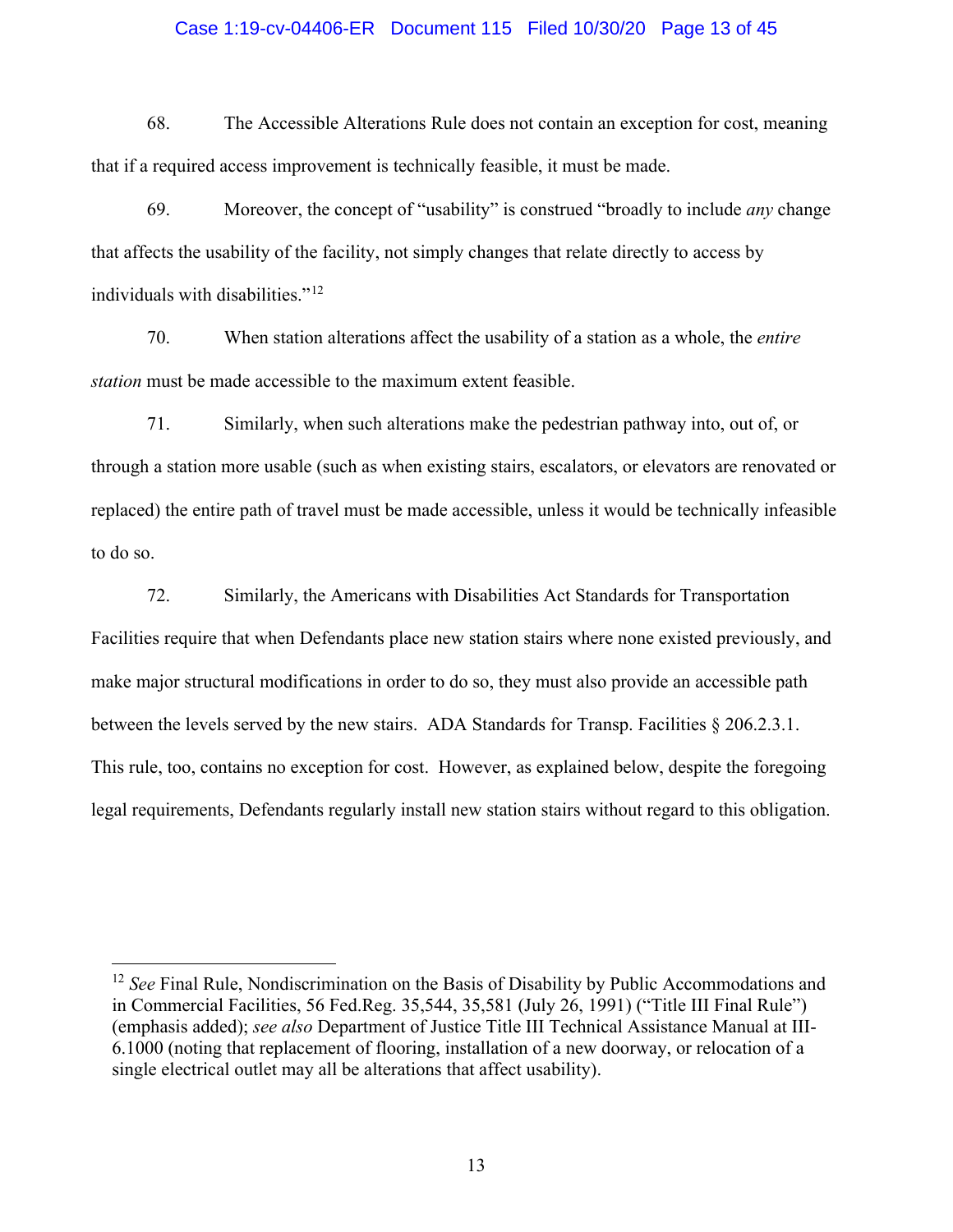### Case 1:19-cv-04406-ER Document 115 Filed 10/30/20 Page 13 of 45

68. The Accessible Alterations Rule does not contain an exception for cost, meaning that if a required access improvement is technically feasible, it must be made.

69. Moreover, the concept of "usability" is construed "broadly to include *any* change that affects the usability of the facility, not simply changes that relate directly to access by individuals with disabilities."<sup>[12](#page-12-0)</sup>

70. When station alterations affect the usability of a station as a whole, the *entire station* must be made accessible to the maximum extent feasible.

71. Similarly, when such alterations make the pedestrian pathway into, out of, or through a station more usable (such as when existing stairs, escalators, or elevators are renovated or replaced) the entire path of travel must be made accessible, unless it would be technically infeasible to do so.

72. Similarly, the Americans with Disabilities Act Standards for Transportation Facilities require that when Defendants place new station stairs where none existed previously, and make major structural modifications in order to do so, they must also provide an accessible path between the levels served by the new stairs. ADA Standards for Transp. Facilities § 206.2.3.1. This rule, too, contains no exception for cost. However, as explained below, despite the foregoing legal requirements, Defendants regularly install new station stairs without regard to this obligation.

<span id="page-12-0"></span><sup>&</sup>lt;sup>12</sup> See Final Rule, Nondiscrimination on the Basis of Disability by Public Accommodations and in Commercial Facilities, 56 Fed.Reg. 35,544, 35,581 (July 26, 1991) ("Title III Final Rule") (emphasis added); *see also* Department of Justice Title III Technical Assistance Manual at III-6.1000 (noting that replacement of flooring, installation of a new doorway, or relocation of a single electrical outlet may all be alterations that affect usability).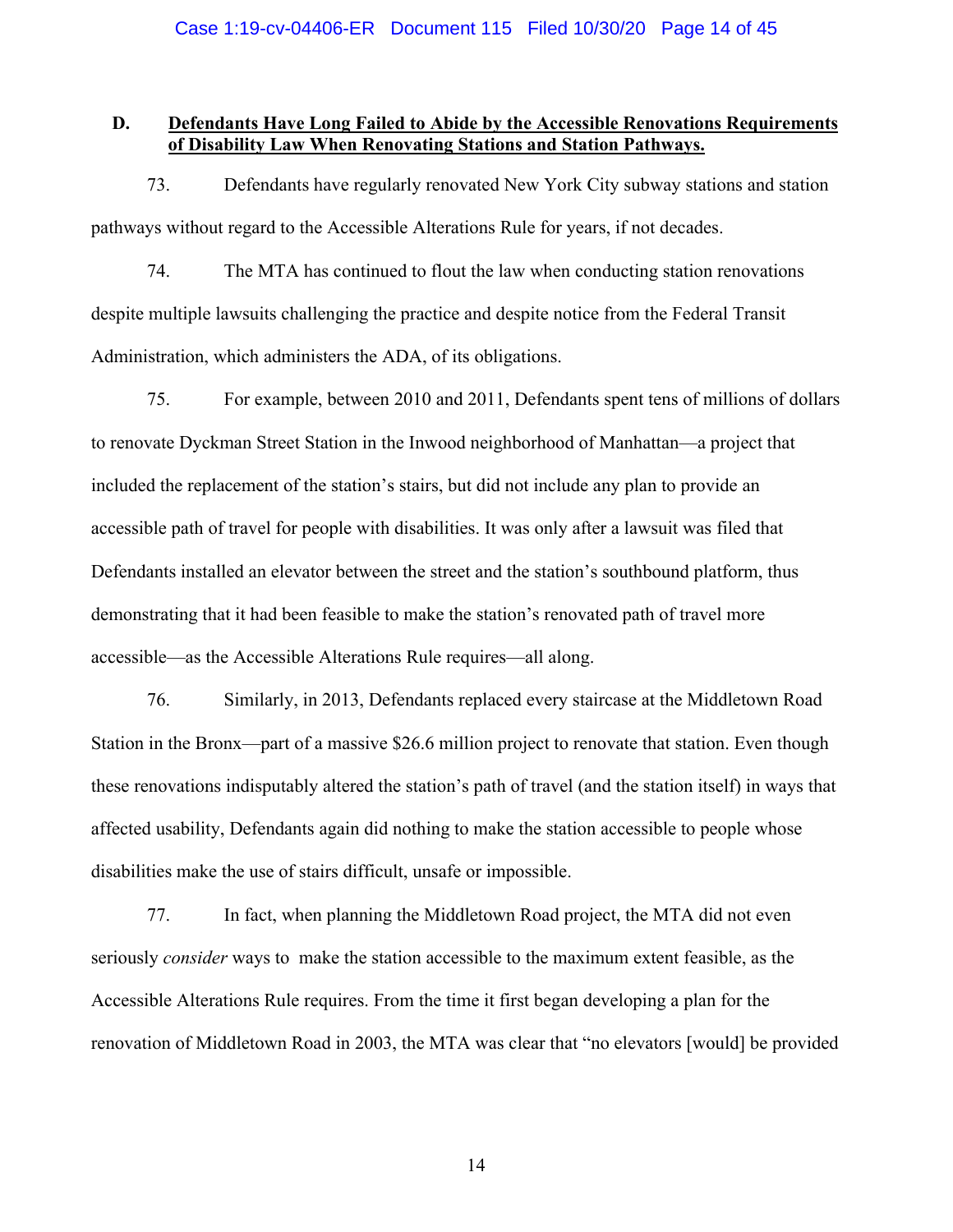# **D. Defendants Have Long Failed to Abide by the Accessible Renovations Requirements of Disability Law When Renovating Stations and Station Pathways.**

73. Defendants have regularly renovated New York City subway stations and station pathways without regard to the Accessible Alterations Rule for years, if not decades.

74. The MTA has continued to flout the law when conducting station renovations despite multiple lawsuits challenging the practice and despite notice from the Federal Transit Administration, which administers the ADA, of its obligations.

75. For example, between 2010 and 2011, Defendants spent tens of millions of dollars to renovate Dyckman Street Station in the Inwood neighborhood of Manhattan—a project that included the replacement of the station's stairs, but did not include any plan to provide an accessible path of travel for people with disabilities. It was only after a lawsuit was filed that Defendants installed an elevator between the street and the station's southbound platform, thus demonstrating that it had been feasible to make the station's renovated path of travel more accessible—as the Accessible Alterations Rule requires—all along.

76. Similarly, in 2013, Defendants replaced every staircase at the Middletown Road Station in the Bronx—part of a massive \$26.6 million project to renovate that station. Even though these renovations indisputably altered the station's path of travel (and the station itself) in ways that affected usability, Defendants again did nothing to make the station accessible to people whose disabilities make the use of stairs difficult, unsafe or impossible.

77. In fact, when planning the Middletown Road project, the MTA did not even seriously *consider* ways to make the station accessible to the maximum extent feasible, as the Accessible Alterations Rule requires. From the time it first began developing a plan for the renovation of Middletown Road in 2003, the MTA was clear that "no elevators [would] be provided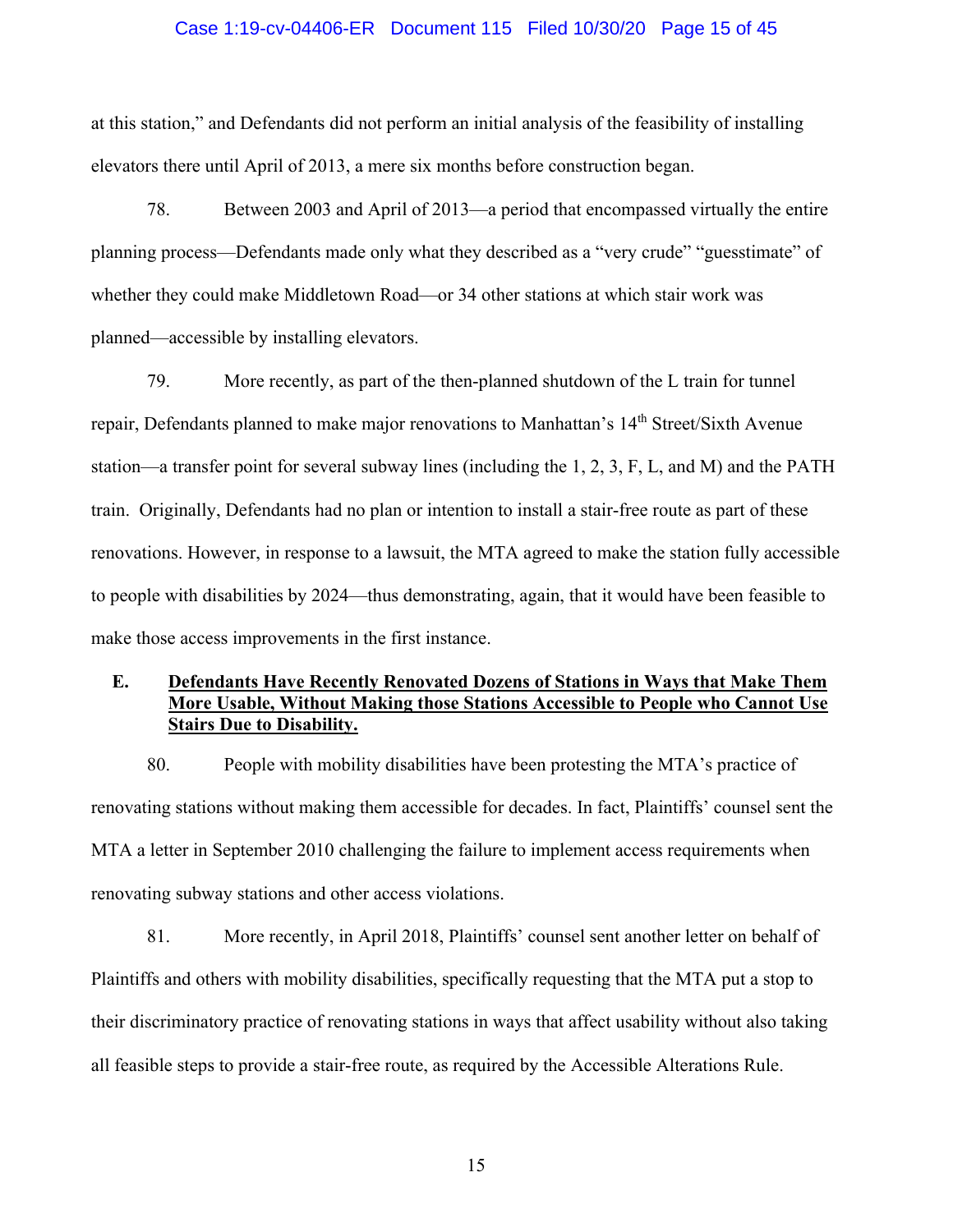### Case 1:19-cv-04406-ER Document 115 Filed 10/30/20 Page 15 of 45

at this station," and Defendants did not perform an initial analysis of the feasibility of installing elevators there until April of 2013, a mere six months before construction began.

78. Between 2003 and April of 2013—a period that encompassed virtually the entire planning process—Defendants made only what they described as a "very crude" "guesstimate" of whether they could make Middletown Road—or 34 other stations at which stair work was planned—accessible by installing elevators.

79. More recently, as part of the then-planned shutdown of the L train for tunnel repair, Defendants planned to make major renovations to Manhattan's 14<sup>th</sup> Street/Sixth Avenue station—a transfer point for several subway lines (including the 1, 2, 3, F, L, and M) and the PATH train. Originally, Defendants had no plan or intention to install a stair-free route as part of these renovations. However, in response to a lawsuit, the MTA agreed to make the station fully accessible to people with disabilities by 2024—thus demonstrating, again, that it would have been feasible to make those access improvements in the first instance.

# **E. Defendants Have Recently Renovated Dozens of Stations in Ways that Make Them More Usable, Without Making those Stations Accessible to People who Cannot Use Stairs Due to Disability.**

80. People with mobility disabilities have been protesting the MTA's practice of renovating stations without making them accessible for decades. In fact, Plaintiffs' counsel sent the MTA a letter in September 2010 challenging the failure to implement access requirements when renovating subway stations and other access violations.

81. More recently, in April 2018, Plaintiffs' counsel sent another letter on behalf of Plaintiffs and others with mobility disabilities, specifically requesting that the MTA put a stop to their discriminatory practice of renovating stations in ways that affect usability without also taking all feasible steps to provide a stair-free route, as required by the Accessible Alterations Rule.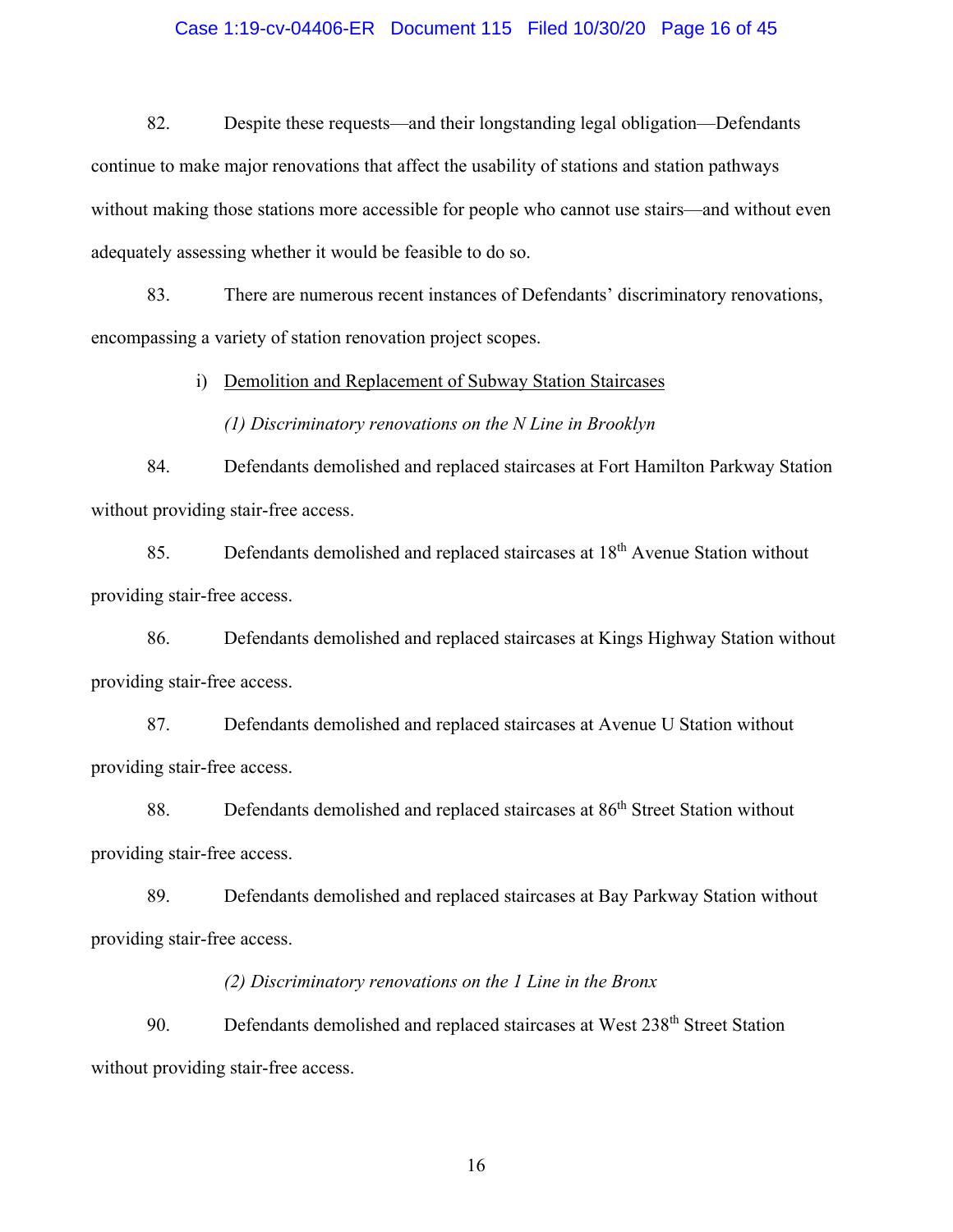## Case 1:19-cv-04406-ER Document 115 Filed 10/30/20 Page 16 of 45

82. Despite these requests—and their longstanding legal obligation—Defendants continue to make major renovations that affect the usability of stations and station pathways without making those stations more accessible for people who cannot use stairs—and without even adequately assessing whether it would be feasible to do so.

83. There are numerous recent instances of Defendants' discriminatory renovations, encompassing a variety of station renovation project scopes.

i) Demolition and Replacement of Subway Station Staircases

*(1) Discriminatory renovations on the N Line in Brooklyn*

84. Defendants demolished and replaced staircases at Fort Hamilton Parkway Station without providing stair-free access.

85. Defendants demolished and replaced staircases at 18<sup>th</sup> Avenue Station without providing stair-free access.

86. Defendants demolished and replaced staircases at Kings Highway Station without providing stair-free access.

87. Defendants demolished and replaced staircases at Avenue U Station without providing stair-free access.

88. Defendants demolished and replaced staircases at 86<sup>th</sup> Street Station without providing stair-free access.

89. Defendants demolished and replaced staircases at Bay Parkway Station without providing stair-free access.

*(2) Discriminatory renovations on the 1 Line in the Bronx* 

90. Defendants demolished and replaced staircases at West 238<sup>th</sup> Street Station without providing stair-free access.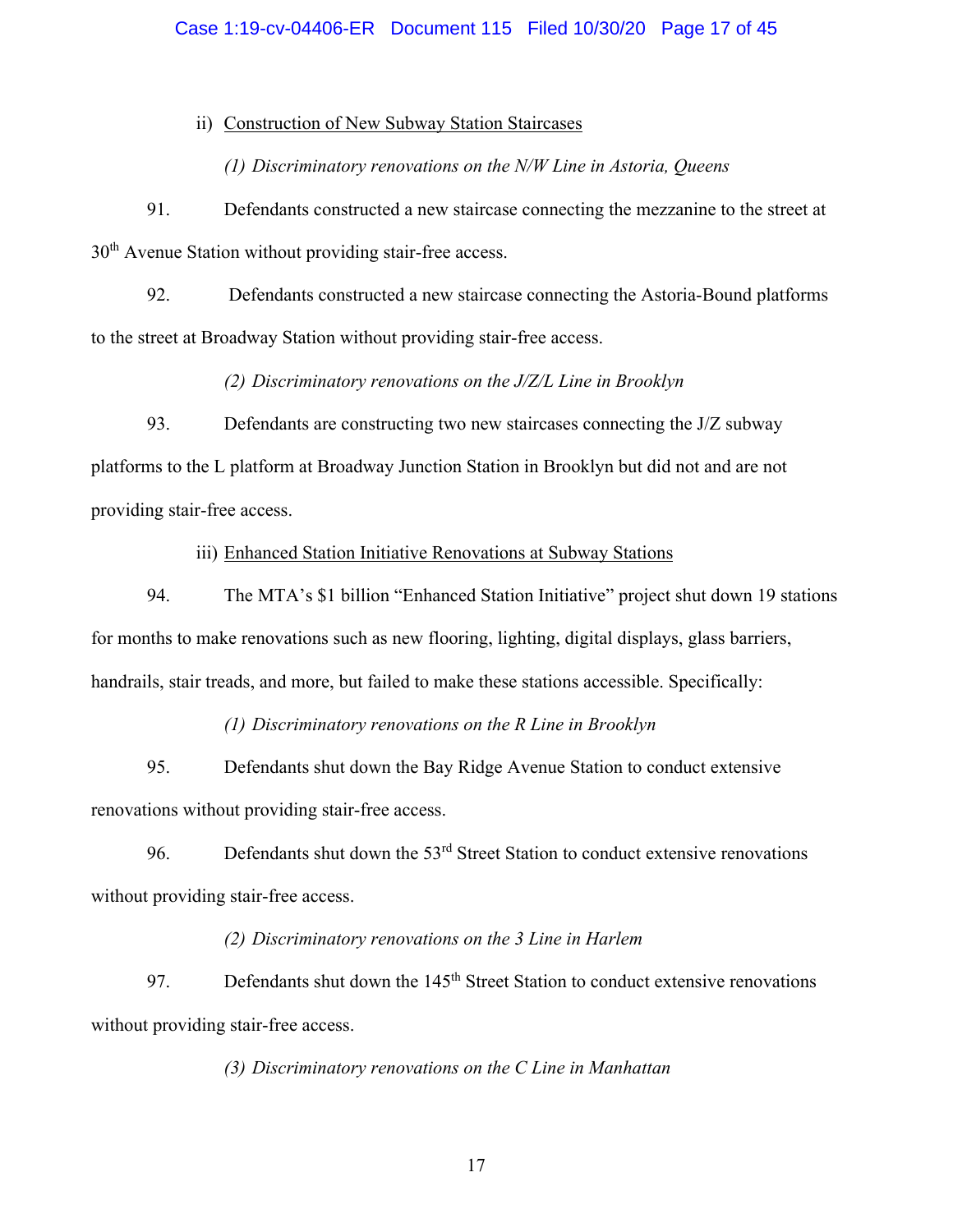## Case 1:19-cv-04406-ER Document 115 Filed 10/30/20 Page 17 of 45

### ii) Construction of New Subway Station Staircases

*(1) Discriminatory renovations on the N/W Line in Astoria, Queens* 

91. Defendants constructed a new staircase connecting the mezzanine to the street at  $30<sup>th</sup>$  Avenue Station without providing stair-free access.

92. Defendants constructed a new staircase connecting the Astoria-Bound platforms to the street at Broadway Station without providing stair-free access.

*(2) Discriminatory renovations on the J/Z/L Line in Brooklyn* 

93. Defendants are constructing two new staircases connecting the J/Z subway platforms to the L platform at Broadway Junction Station in Brooklyn but did not and are not providing stair-free access.

iii) Enhanced Station Initiative Renovations at Subway Stations

94. The MTA's \$1 billion "Enhanced Station Initiative" project shut down 19 stations for months to make renovations such as new flooring, lighting, digital displays, glass barriers, handrails, stair treads, and more, but failed to make these stations accessible. Specifically:

*(1) Discriminatory renovations on the R Line in Brooklyn* 

95. Defendants shut down the Bay Ridge Avenue Station to conduct extensive renovations without providing stair-free access.

96. Defendants shut down the  $53<sup>rd</sup>$  Street Station to conduct extensive renovations without providing stair-free access.

## *(2) Discriminatory renovations on the 3 Line in Harlem*

97. Defendants shut down the 145<sup>th</sup> Street Station to conduct extensive renovations without providing stair-free access.

*(3) Discriminatory renovations on the C Line in Manhattan*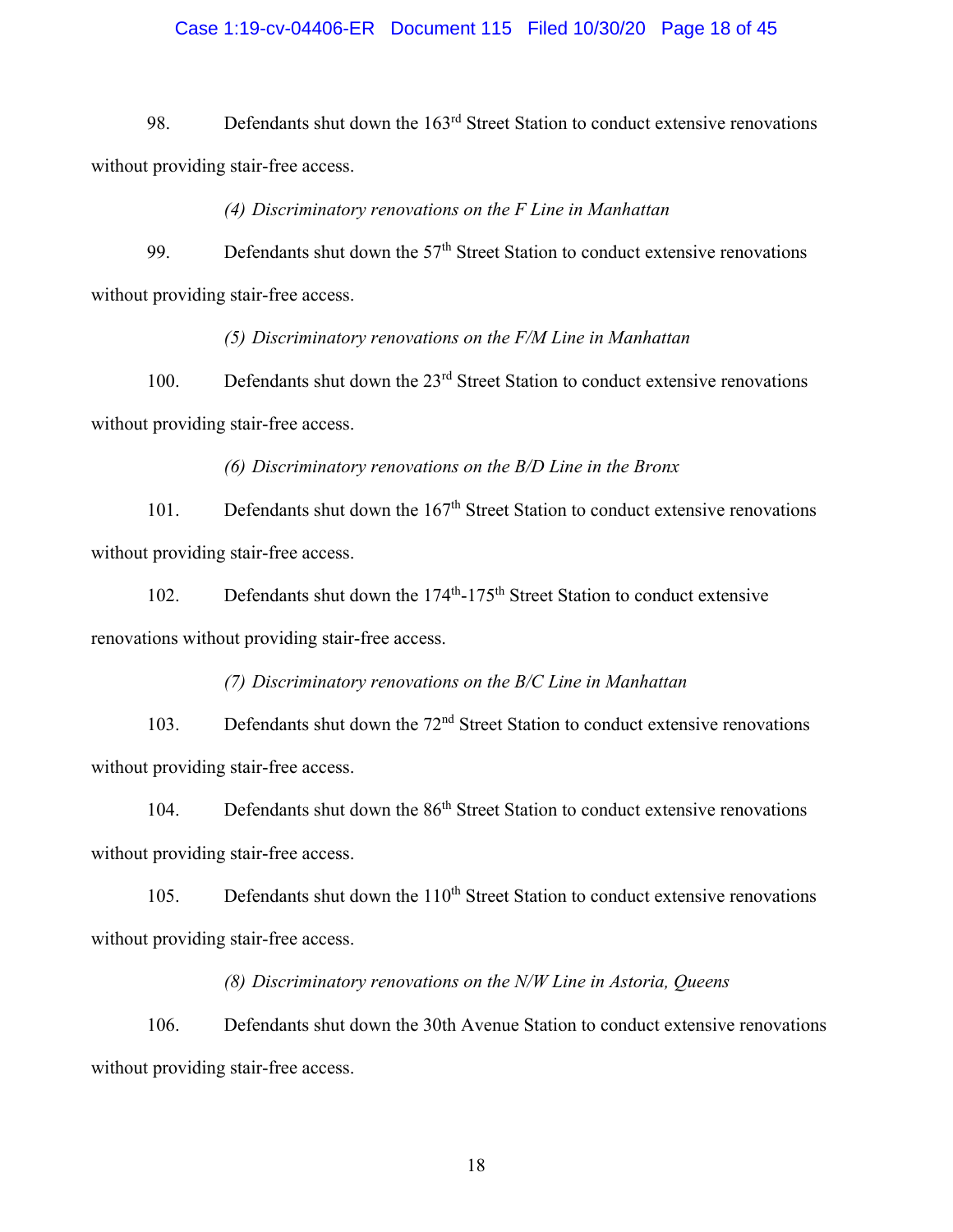## Case 1:19-cv-04406-ER Document 115 Filed 10/30/20 Page 18 of 45

98. Defendants shut down the 163<sup>rd</sup> Street Station to conduct extensive renovations without providing stair-free access.

*(4) Discriminatory renovations on the F Line in Manhattan* 

99. Defendants shut down the  $57<sup>th</sup>$  Street Station to conduct extensive renovations without providing stair-free access.

*(5) Discriminatory renovations on the F/M Line in Manhattan* 

100. Defendants shut down the 23<sup>rd</sup> Street Station to conduct extensive renovations without providing stair-free access.

*(6) Discriminatory renovations on the B/D Line in the Bronx* 

101. Defendants shut down the 167<sup>th</sup> Street Station to conduct extensive renovations without providing stair-free access.

102. Defendants shut down the 174<sup>th</sup>-175<sup>th</sup> Street Station to conduct extensive renovations without providing stair-free access.

*(7) Discriminatory renovations on the B/C Line in Manhattan* 

103. Defendants shut down the 72<sup>nd</sup> Street Station to conduct extensive renovations without providing stair-free access.

104. Defendants shut down the 86<sup>th</sup> Street Station to conduct extensive renovations without providing stair-free access.

105. Defendants shut down the  $110<sup>th</sup>$  Street Station to conduct extensive renovations without providing stair-free access.

*(8) Discriminatory renovations on the N/W Line in Astoria, Queens* 

106. Defendants shut down the 30th Avenue Station to conduct extensive renovations without providing stair-free access.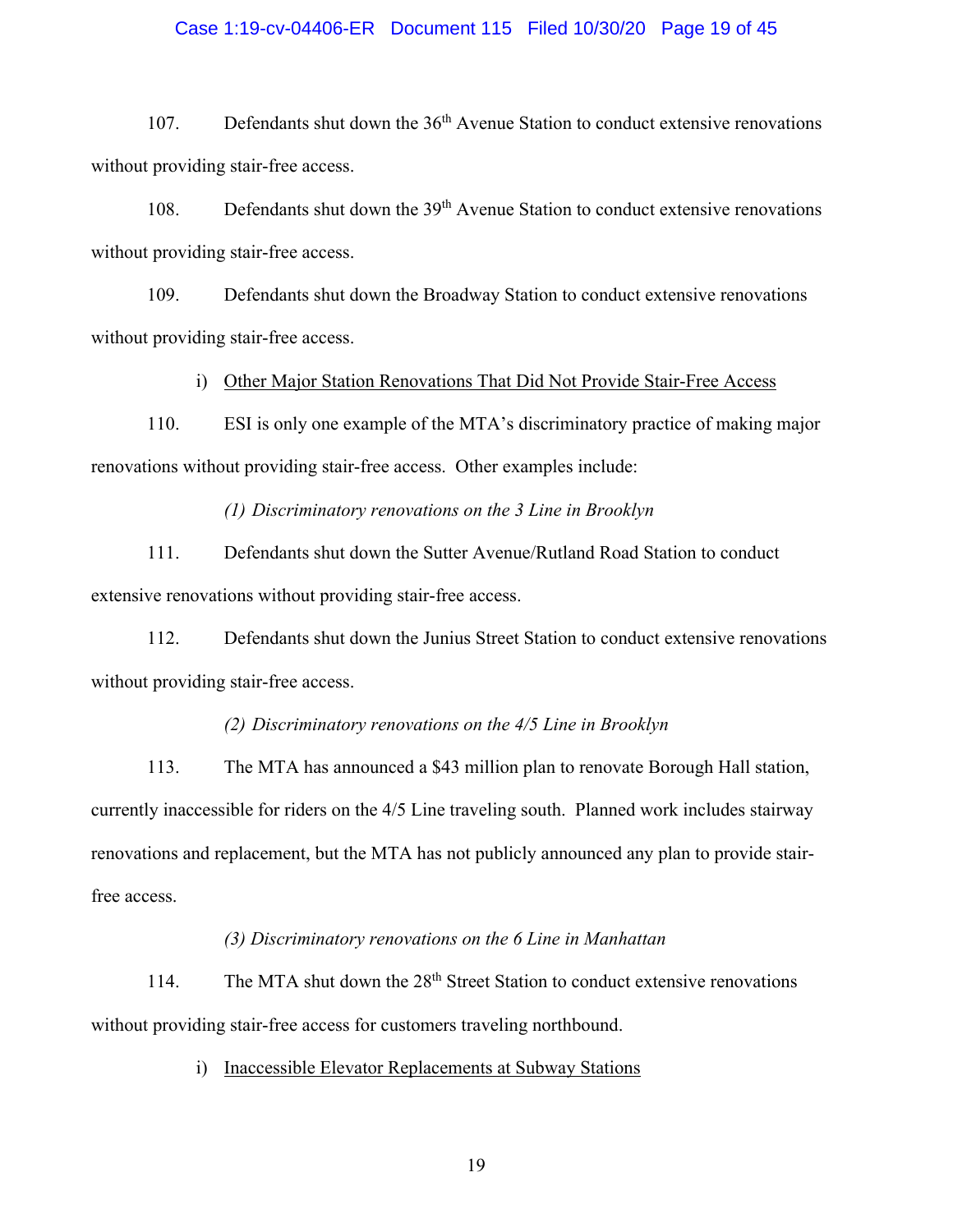### Case 1:19-cv-04406-ER Document 115 Filed 10/30/20 Page 19 of 45

107. Defendants shut down the 36<sup>th</sup> Avenue Station to conduct extensive renovations without providing stair-free access.

108. Defendants shut down the 39<sup>th</sup> Avenue Station to conduct extensive renovations without providing stair-free access.

109. Defendants shut down the Broadway Station to conduct extensive renovations without providing stair-free access.

i) Other Major Station Renovations That Did Not Provide Stair-Free Access

110. ESI is only one example of the MTA's discriminatory practice of making major renovations without providing stair-free access. Other examples include:

*(1) Discriminatory renovations on the 3 Line in Brooklyn* 

111. Defendants shut down the Sutter Avenue/Rutland Road Station to conduct extensive renovations without providing stair-free access.

112. Defendants shut down the Junius Street Station to conduct extensive renovations without providing stair-free access.

### *(2) Discriminatory renovations on the 4/5 Line in Brooklyn*

113. The MTA has announced a \$43 million plan to renovate Borough Hall station, currently inaccessible for riders on the 4/5 Line traveling south. Planned work includes stairway renovations and replacement, but the MTA has not publicly announced any plan to provide stairfree access.

### *(3) Discriminatory renovations on the 6 Line in Manhattan*

114. The MTA shut down the 28<sup>th</sup> Street Station to conduct extensive renovations without providing stair-free access for customers traveling northbound.

i) Inaccessible Elevator Replacements at Subway Stations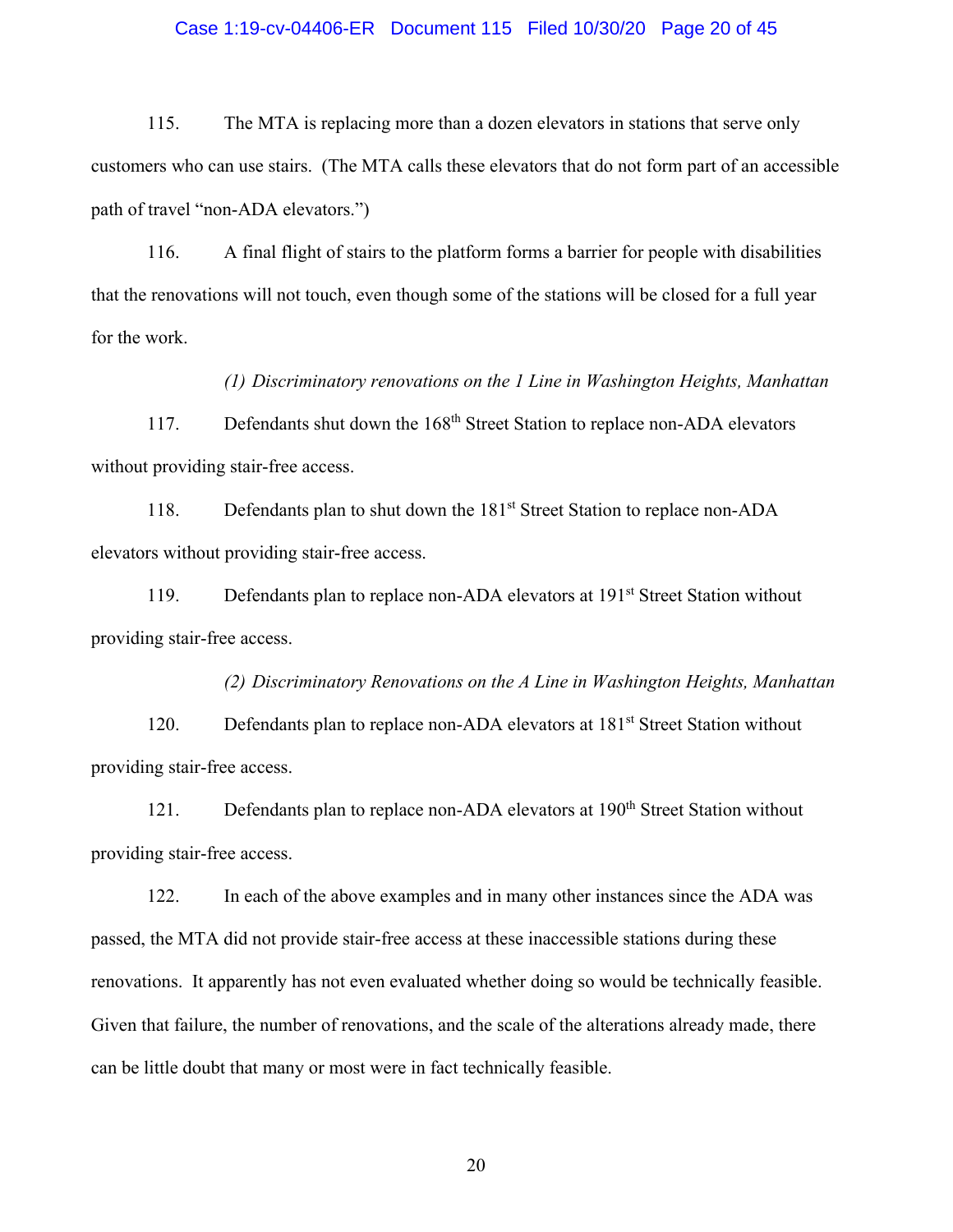### Case 1:19-cv-04406-ER Document 115 Filed 10/30/20 Page 20 of 45

115. The MTA is replacing more than a dozen elevators in stations that serve only customers who can use stairs. (The MTA calls these elevators that do not form part of an accessible path of travel "non-ADA elevators.")

116. A final flight of stairs to the platform forms a barrier for people with disabilities that the renovations will not touch, even though some of the stations will be closed for a full year for the work.

*(1) Discriminatory renovations on the 1 Line in Washington Heights, Manhattan* 

117. Defendants shut down the 168<sup>th</sup> Street Station to replace non-ADA elevators without providing stair-free access.

118. Defendants plan to shut down the 181<sup>st</sup> Street Station to replace non-ADA elevators without providing stair-free access.

119. Defendants plan to replace non-ADA elevators at 191<sup>st</sup> Street Station without providing stair-free access.

*(2) Discriminatory Renovations on the A Line in Washington Heights, Manhattan*  120. Defendants plan to replace non-ADA elevators at 181<sup>st</sup> Street Station without providing stair-free access.

121. Defendants plan to replace non-ADA elevators at 190<sup>th</sup> Street Station without providing stair-free access.

122. In each of the above examples and in many other instances since the ADA was passed, the MTA did not provide stair-free access at these inaccessible stations during these renovations. It apparently has not even evaluated whether doing so would be technically feasible. Given that failure, the number of renovations, and the scale of the alterations already made, there can be little doubt that many or most were in fact technically feasible.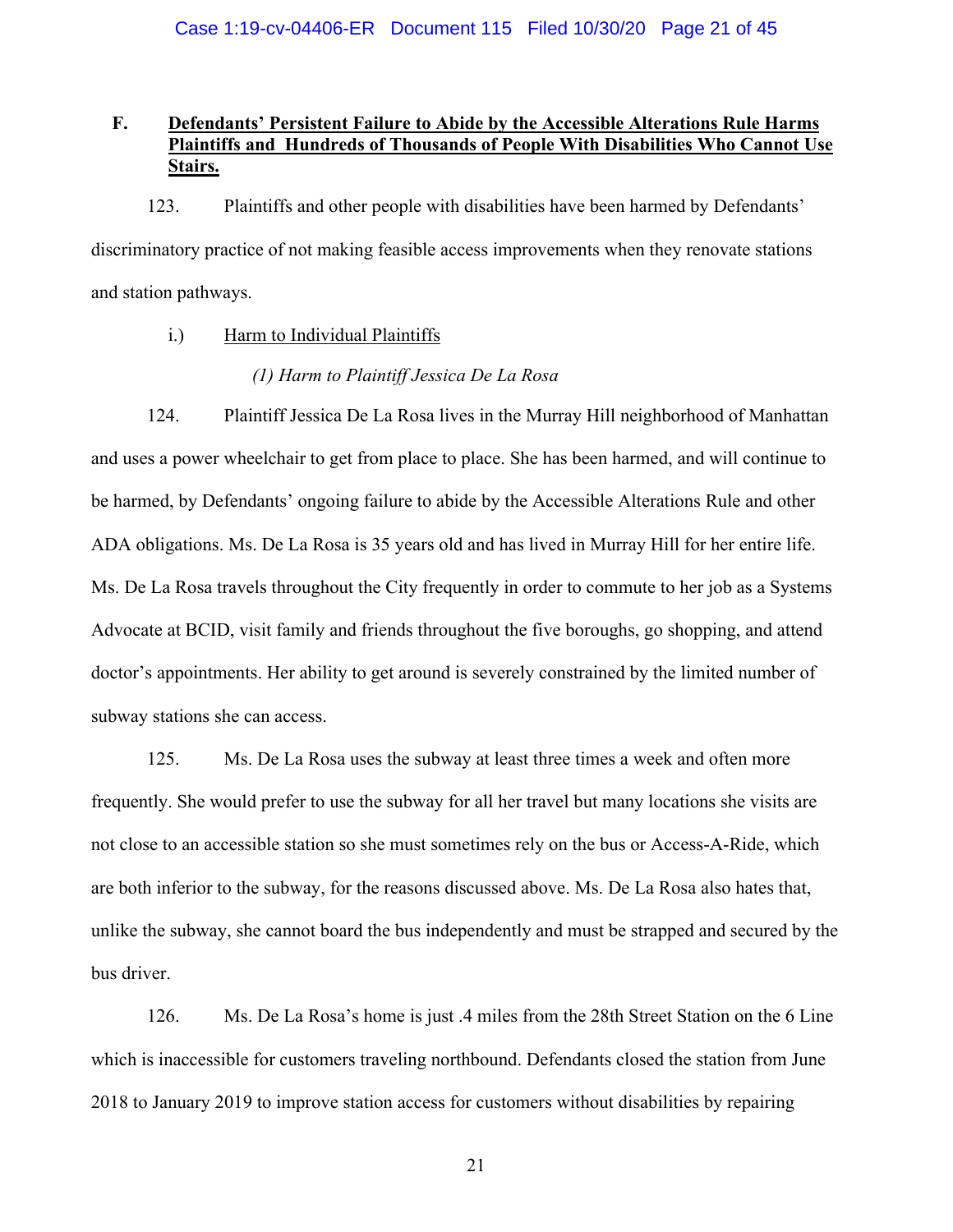# **F. Defendants' Persistent Failure to Abide by the Accessible Alterations Rule Harms Plaintiffs and Hundreds of Thousands of People With Disabilities Who Cannot Use Stairs.**

123. Plaintiffs and other people with disabilities have been harmed by Defendants' discriminatory practice of not making feasible access improvements when they renovate stations and station pathways.

i.) Harm to Individual Plaintiffs

## *(1) Harm to Plaintiff Jessica De La Rosa*

124. Plaintiff Jessica De La Rosa lives in the Murray Hill neighborhood of Manhattan and uses a power wheelchair to get from place to place. She has been harmed, and will continue to be harmed, by Defendants' ongoing failure to abide by the Accessible Alterations Rule and other ADA obligations. Ms. De La Rosa is 35 years old and has lived in Murray Hill for her entire life. Ms. De La Rosa travels throughout the City frequently in order to commute to her job as a Systems Advocate at BCID, visit family and friends throughout the five boroughs, go shopping, and attend doctor's appointments. Her ability to get around is severely constrained by the limited number of subway stations she can access.

125. Ms. De La Rosa uses the subway at least three times a week and often more frequently. She would prefer to use the subway for all her travel but many locations she visits are not close to an accessible station so she must sometimes rely on the bus or Access-A-Ride, which are both inferior to the subway, for the reasons discussed above. Ms. De La Rosa also hates that, unlike the subway, she cannot board the bus independently and must be strapped and secured by the bus driver.

126. Ms. De La Rosa's home is just .4 miles from the 28th Street Station on the 6 Line which is inaccessible for customers traveling northbound. Defendants closed the station from June 2018 to January 2019 to improve station access for customers without disabilities by repairing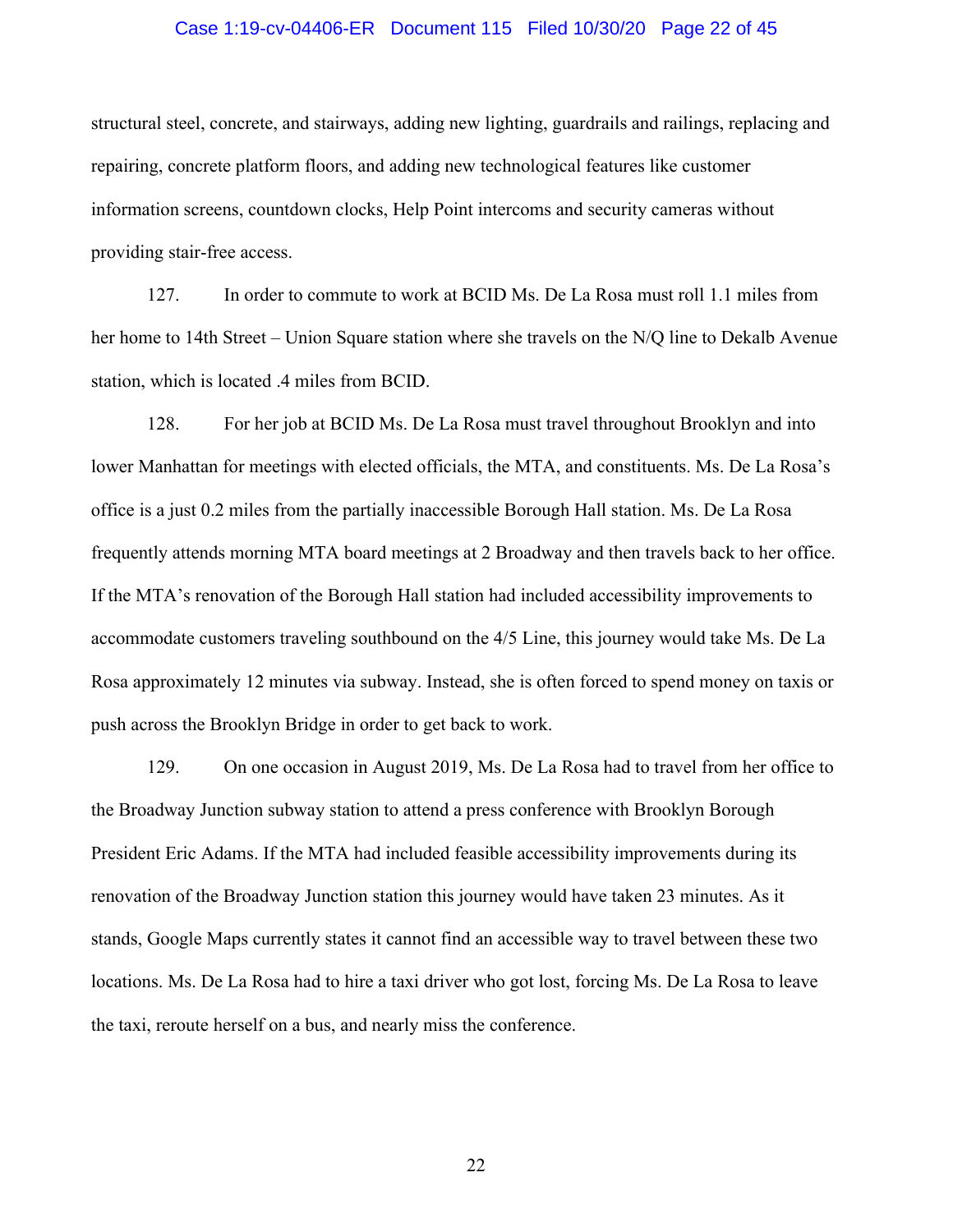### Case 1:19-cv-04406-ER Document 115 Filed 10/30/20 Page 22 of 45

structural steel, concrete, and stairways, adding new lighting, guardrails and railings, replacing and repairing, concrete platform floors, and adding new technological features like customer information screens, countdown clocks, Help Point intercoms and security cameras without providing stair-free access.

127. In order to commute to work at BCID Ms. De La Rosa must roll 1.1 miles from her home to 14th Street – Union Square station where she travels on the N/Q line to Dekalb Avenue station, which is located .4 miles from BCID.

128. For her job at BCID Ms. De La Rosa must travel throughout Brooklyn and into lower Manhattan for meetings with elected officials, the MTA, and constituents. Ms. De La Rosa's office is a just 0.2 miles from the partially inaccessible Borough Hall station. Ms. De La Rosa frequently attends morning MTA board meetings at 2 Broadway and then travels back to her office. If the MTA's renovation of the Borough Hall station had included accessibility improvements to accommodate customers traveling southbound on the 4/5 Line, this journey would take Ms. De La Rosa approximately 12 minutes via subway. Instead, she is often forced to spend money on taxis or push across the Brooklyn Bridge in order to get back to work.

129. On one occasion in August 2019, Ms. De La Rosa had to travel from her office to the Broadway Junction subway station to attend a press conference with Brooklyn Borough President Eric Adams. If the MTA had included feasible accessibility improvements during its renovation of the Broadway Junction station this journey would have taken 23 minutes. As it stands, Google Maps currently states it cannot find an accessible way to travel between these two locations. Ms. De La Rosa had to hire a taxi driver who got lost, forcing Ms. De La Rosa to leave the taxi, reroute herself on a bus, and nearly miss the conference.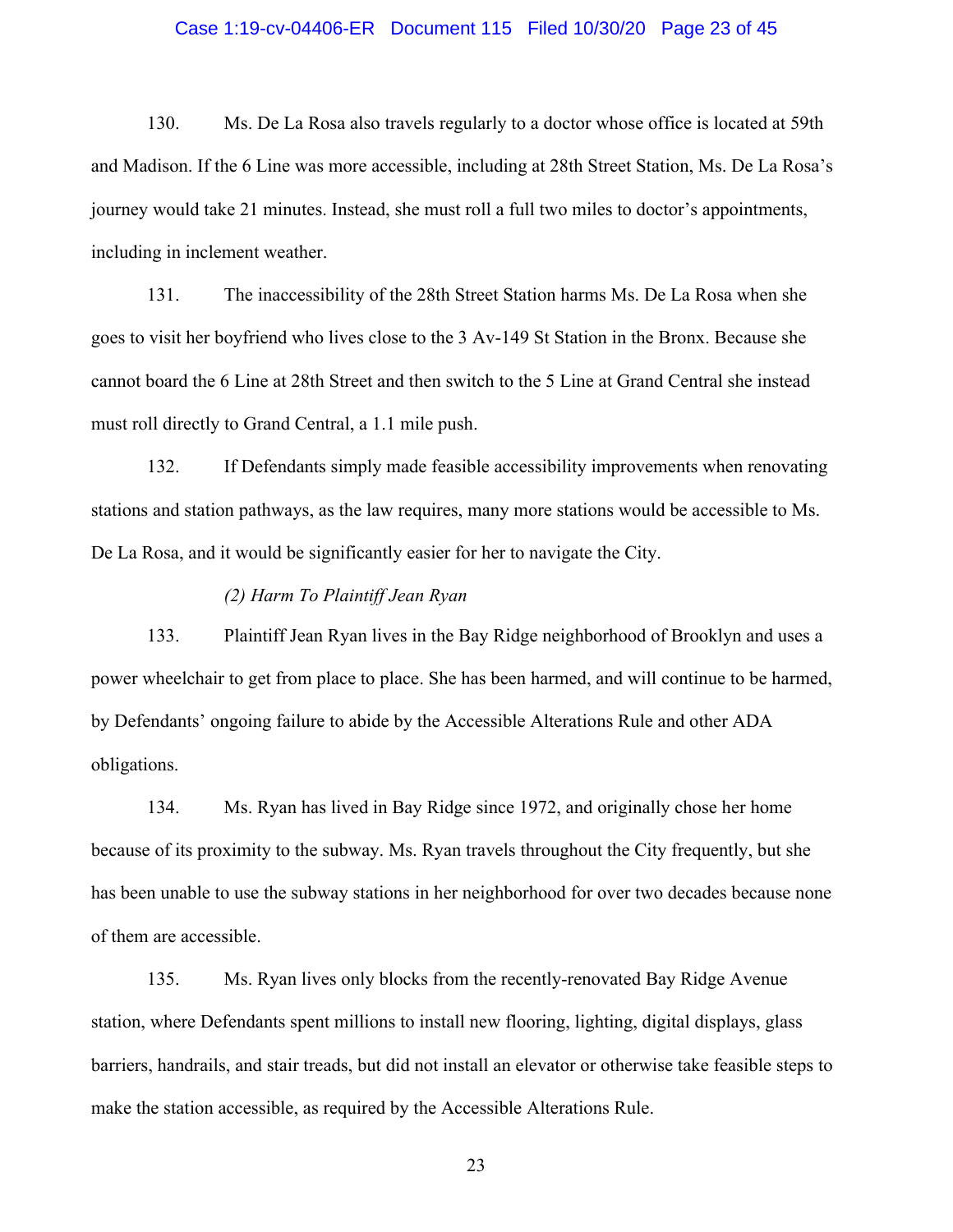### Case 1:19-cv-04406-ER Document 115 Filed 10/30/20 Page 23 of 45

130. Ms. De La Rosa also travels regularly to a doctor whose office is located at 59th and Madison. If the 6 Line was more accessible, including at 28th Street Station, Ms. De La Rosa's journey would take 21 minutes. Instead, she must roll a full two miles to doctor's appointments, including in inclement weather.

131. The inaccessibility of the 28th Street Station harms Ms. De La Rosa when she goes to visit her boyfriend who lives close to the 3 Av-149 St Station in the Bronx. Because she cannot board the 6 Line at 28th Street and then switch to the 5 Line at Grand Central she instead must roll directly to Grand Central, a 1.1 mile push.

132. If Defendants simply made feasible accessibility improvements when renovating stations and station pathways, as the law requires, many more stations would be accessible to Ms. De La Rosa, and it would be significantly easier for her to navigate the City.

# *(2) Harm To Plaintiff Jean Ryan*

133. Plaintiff Jean Ryan lives in the Bay Ridge neighborhood of Brooklyn and uses a power wheelchair to get from place to place. She has been harmed, and will continue to be harmed, by Defendants' ongoing failure to abide by the Accessible Alterations Rule and other ADA obligations.

134. Ms. Ryan has lived in Bay Ridge since 1972, and originally chose her home because of its proximity to the subway. Ms. Ryan travels throughout the City frequently, but she has been unable to use the subway stations in her neighborhood for over two decades because none of them are accessible.

135. Ms. Ryan lives only blocks from the recently-renovated Bay Ridge Avenue station, where Defendants spent millions to install new flooring, lighting, digital displays, glass barriers, handrails, and stair treads, but did not install an elevator or otherwise take feasible steps to make the station accessible, as required by the Accessible Alterations Rule.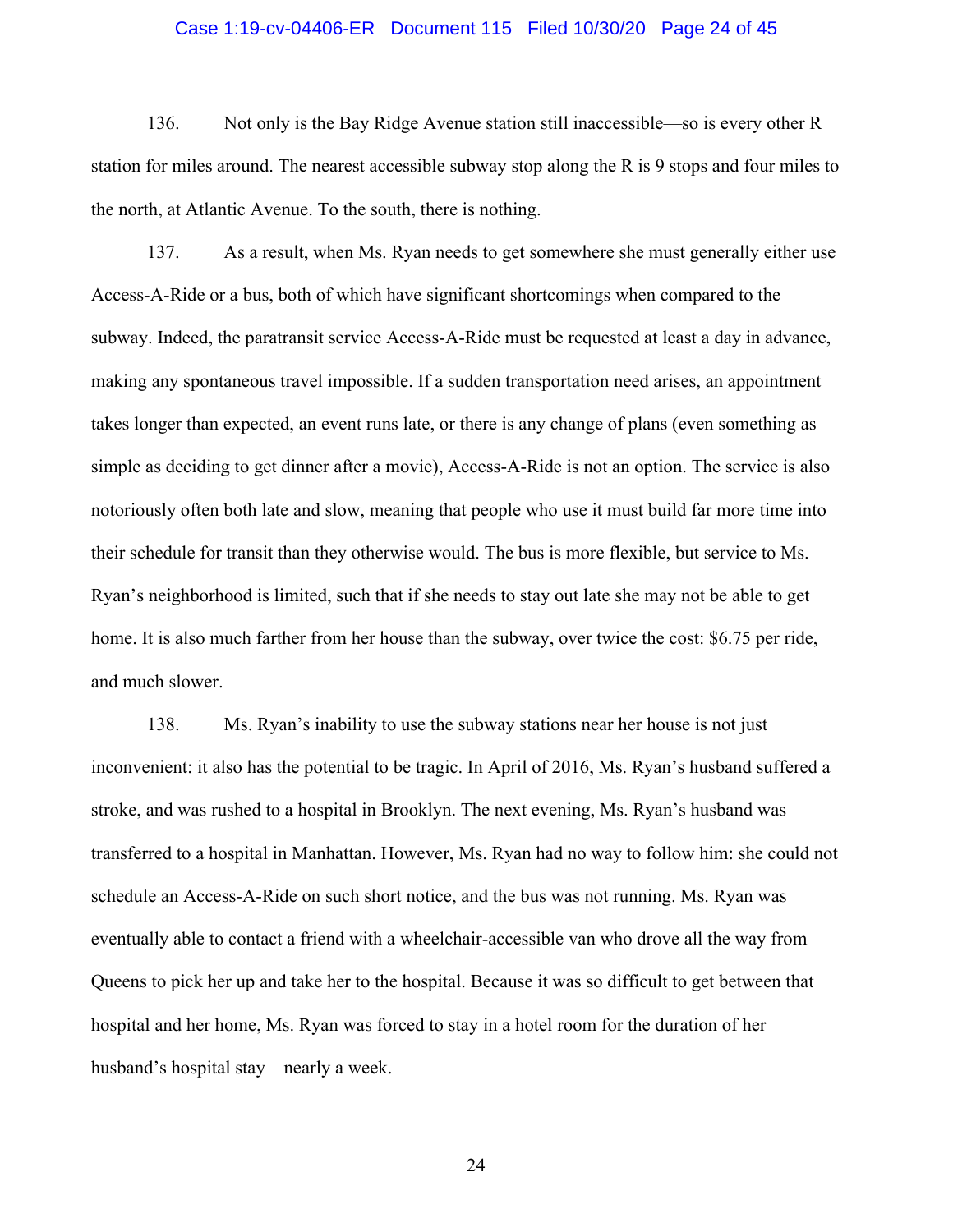### Case 1:19-cv-04406-ER Document 115 Filed 10/30/20 Page 24 of 45

136. Not only is the Bay Ridge Avenue station still inaccessible—so is every other R station for miles around. The nearest accessible subway stop along the R is 9 stops and four miles to the north, at Atlantic Avenue. To the south, there is nothing.

137. As a result, when Ms. Ryan needs to get somewhere she must generally either use Access-A-Ride or a bus, both of which have significant shortcomings when compared to the subway. Indeed, the paratransit service Access-A-Ride must be requested at least a day in advance, making any spontaneous travel impossible. If a sudden transportation need arises, an appointment takes longer than expected, an event runs late, or there is any change of plans (even something as simple as deciding to get dinner after a movie), Access-A-Ride is not an option. The service is also notoriously often both late and slow, meaning that people who use it must build far more time into their schedule for transit than they otherwise would. The bus is more flexible, but service to Ms. Ryan's neighborhood is limited, such that if she needs to stay out late she may not be able to get home. It is also much farther from her house than the subway, over twice the cost: \$6.75 per ride, and much slower.

138. Ms. Ryan's inability to use the subway stations near her house is not just inconvenient: it also has the potential to be tragic. In April of 2016, Ms. Ryan's husband suffered a stroke, and was rushed to a hospital in Brooklyn. The next evening, Ms. Ryan's husband was transferred to a hospital in Manhattan. However, Ms. Ryan had no way to follow him: she could not schedule an Access-A-Ride on such short notice, and the bus was not running. Ms. Ryan was eventually able to contact a friend with a wheelchair-accessible van who drove all the way from Queens to pick her up and take her to the hospital. Because it was so difficult to get between that hospital and her home, Ms. Ryan was forced to stay in a hotel room for the duration of her husband's hospital stay – nearly a week.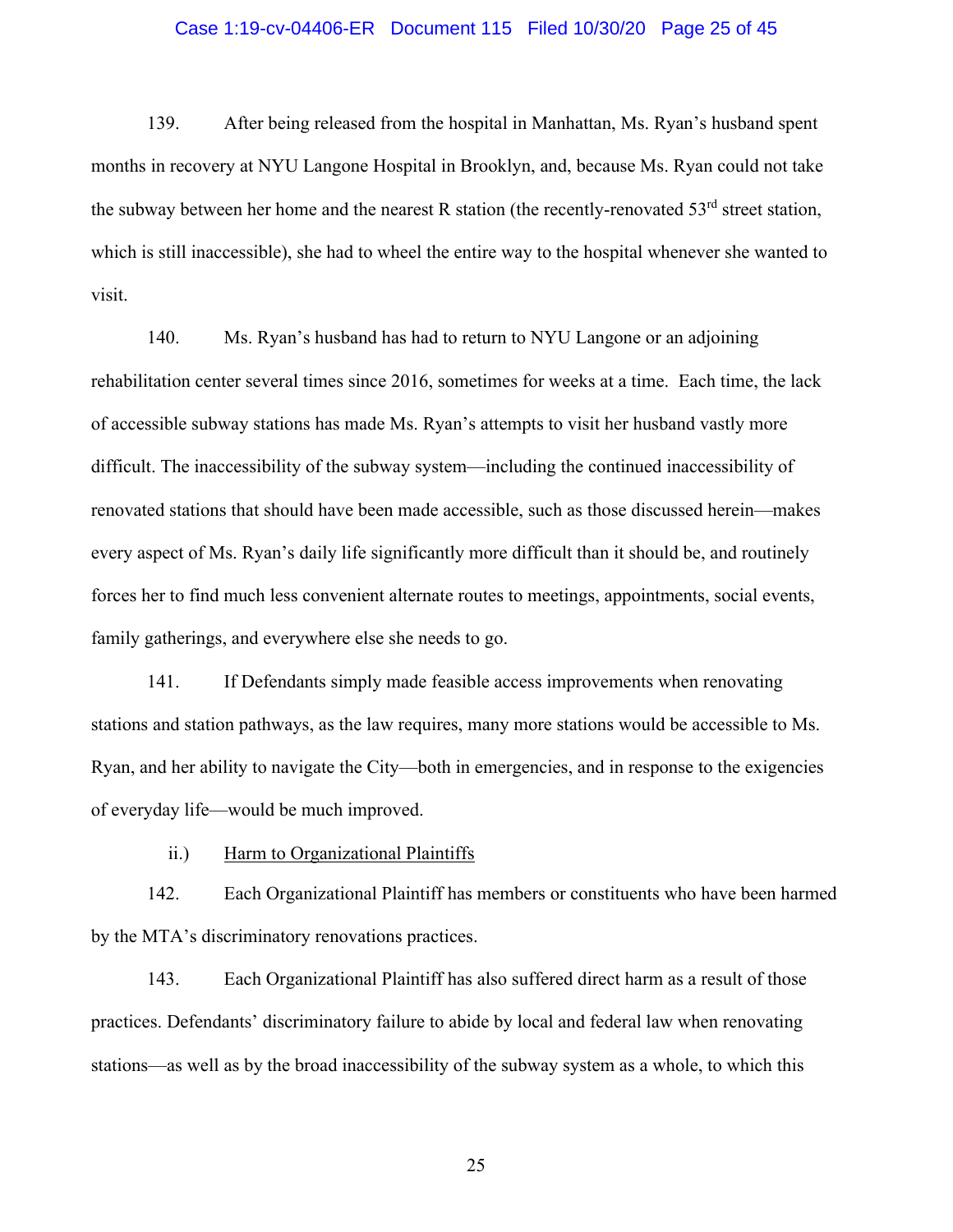### Case 1:19-cv-04406-ER Document 115 Filed 10/30/20 Page 25 of 45

139. After being released from the hospital in Manhattan, Ms. Ryan's husband spent months in recovery at NYU Langone Hospital in Brooklyn, and, because Ms. Ryan could not take the subway between her home and the nearest R station (the recently-renovated  $53<sup>rd</sup>$  street station, which is still inaccessible), she had to wheel the entire way to the hospital whenever she wanted to visit.

140. Ms. Ryan's husband has had to return to NYU Langone or an adjoining rehabilitation center several times since 2016, sometimes for weeks at a time. Each time, the lack of accessible subway stations has made Ms. Ryan's attempts to visit her husband vastly more difficult. The inaccessibility of the subway system—including the continued inaccessibility of renovated stations that should have been made accessible, such as those discussed herein—makes every aspect of Ms. Ryan's daily life significantly more difficult than it should be, and routinely forces her to find much less convenient alternate routes to meetings, appointments, social events, family gatherings, and everywhere else she needs to go.

141. If Defendants simply made feasible access improvements when renovating stations and station pathways, as the law requires, many more stations would be accessible to Ms. Ryan, and her ability to navigate the City—both in emergencies, and in response to the exigencies of everyday life—would be much improved.

ii.) Harm to Organizational Plaintiffs

142. Each Organizational Plaintiff has members or constituents who have been harmed by the MTA's discriminatory renovations practices.

143. Each Organizational Plaintiff has also suffered direct harm as a result of those practices. Defendants' discriminatory failure to abide by local and federal law when renovating stations—as well as by the broad inaccessibility of the subway system as a whole, to which this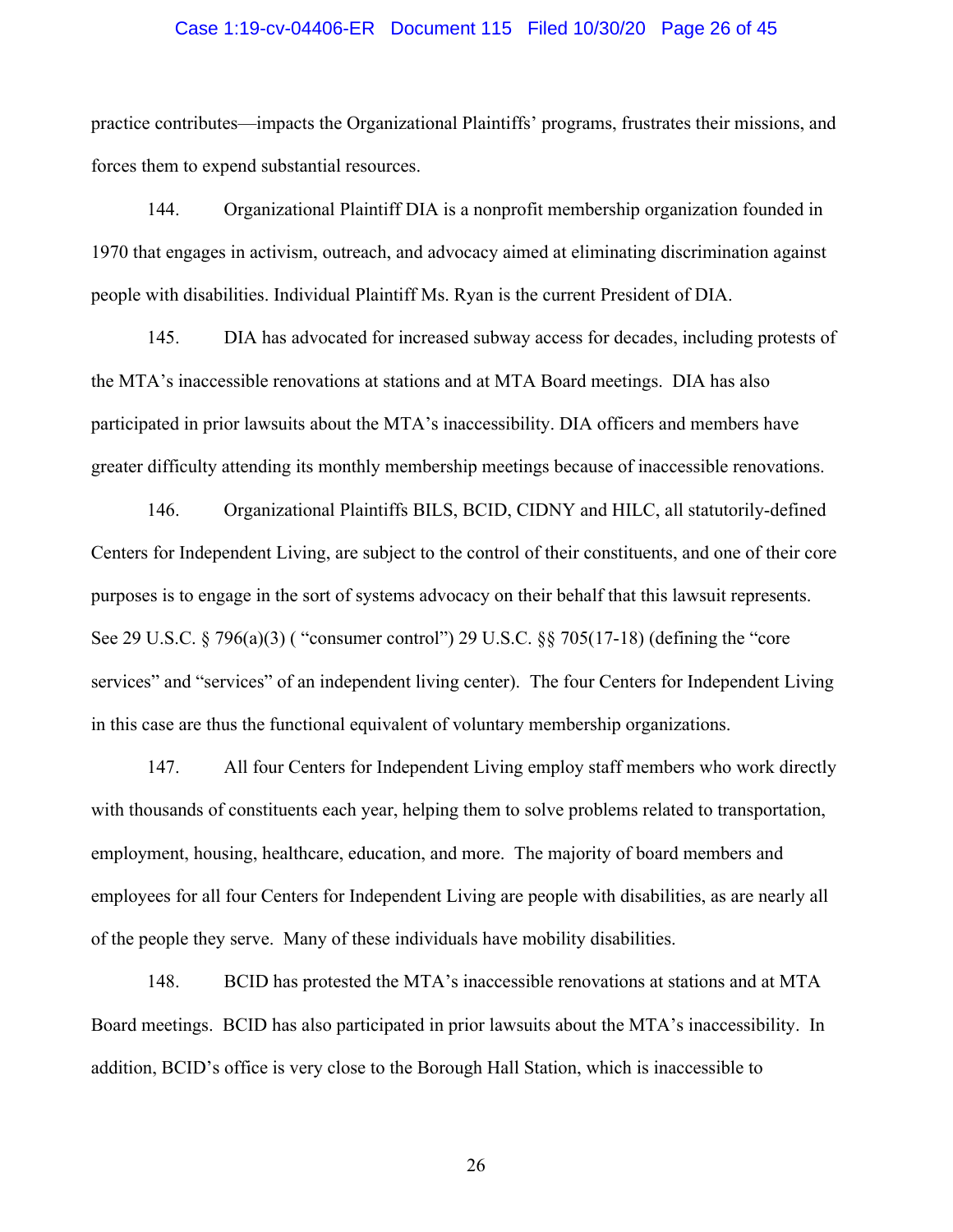### Case 1:19-cv-04406-ER Document 115 Filed 10/30/20 Page 26 of 45

practice contributes—impacts the Organizational Plaintiffs' programs, frustrates their missions, and forces them to expend substantial resources.

144. Organizational Plaintiff DIA is a nonprofit membership organization founded in 1970 that engages in activism, outreach, and advocacy aimed at eliminating discrimination against people with disabilities. Individual Plaintiff Ms. Ryan is the current President of DIA.

145. DIA has advocated for increased subway access for decades, including protests of the MTA's inaccessible renovations at stations and at MTA Board meetings. DIA has also participated in prior lawsuits about the MTA's inaccessibility. DIA officers and members have greater difficulty attending its monthly membership meetings because of inaccessible renovations.

146. Organizational Plaintiffs BILS, BCID, CIDNY and HILC, all statutorily-defined Centers for Independent Living, are subject to the control of their constituents, and one of their core purposes is to engage in the sort of systems advocacy on their behalf that this lawsuit represents. See 29 U.S.C. § 796(a)(3) ( "consumer control") 29 U.S.C. §§ 705(17-18) (defining the "core services" and "services" of an independent living center). The four Centers for Independent Living in this case are thus the functional equivalent of voluntary membership organizations.

147. All four Centers for Independent Living employ staff members who work directly with thousands of constituents each year, helping them to solve problems related to transportation, employment, housing, healthcare, education, and more. The majority of board members and employees for all four Centers for Independent Living are people with disabilities, as are nearly all of the people they serve. Many of these individuals have mobility disabilities.

148. BCID has protested the MTA's inaccessible renovations at stations and at MTA Board meetings. BCID has also participated in prior lawsuits about the MTA's inaccessibility. In addition, BCID's office is very close to the Borough Hall Station, which is inaccessible to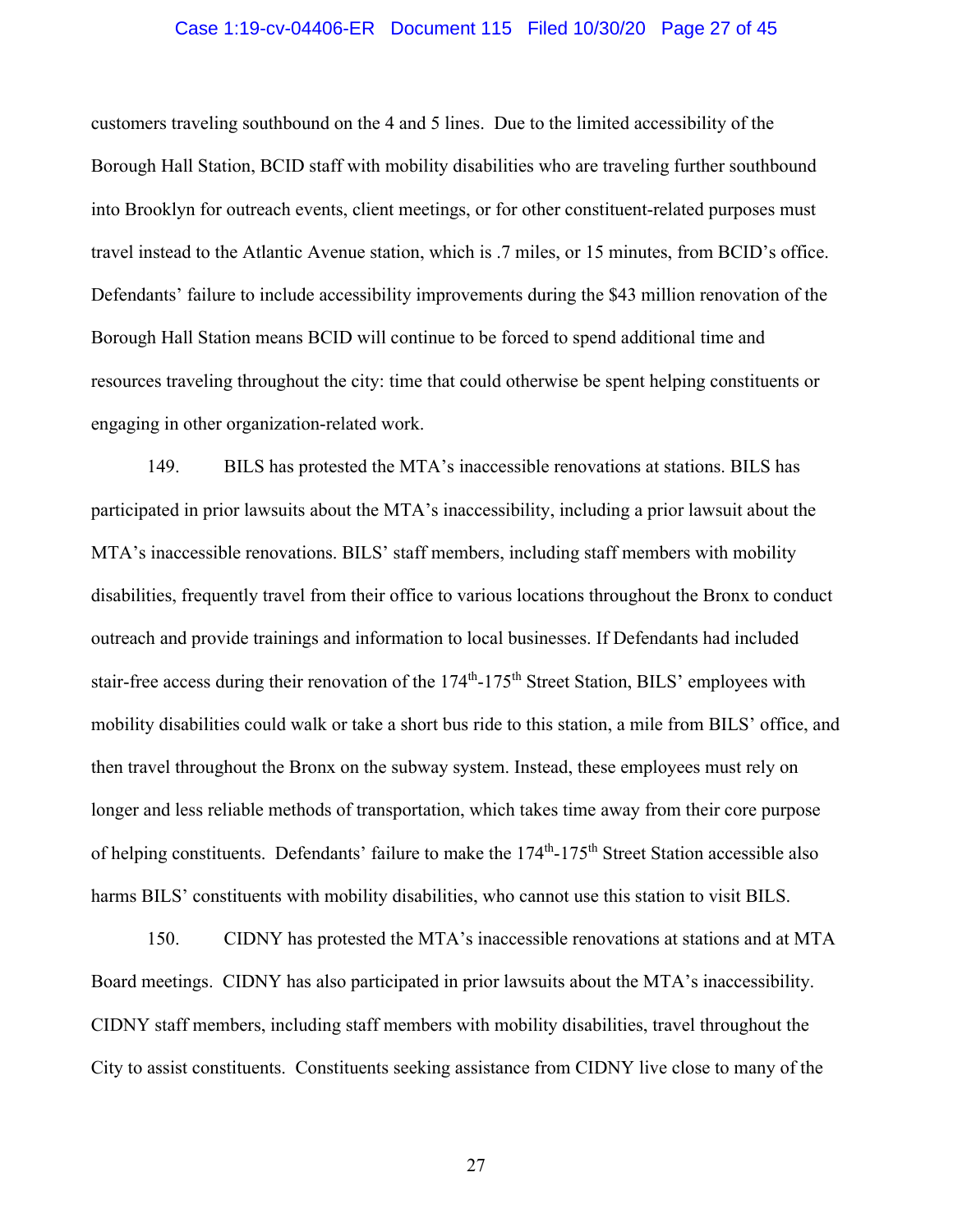### Case 1:19-cv-04406-ER Document 115 Filed 10/30/20 Page 27 of 45

customers traveling southbound on the 4 and 5 lines. Due to the limited accessibility of the Borough Hall Station, BCID staff with mobility disabilities who are traveling further southbound into Brooklyn for outreach events, client meetings, or for other constituent-related purposes must travel instead to the Atlantic Avenue station, which is .7 miles, or 15 minutes, from BCID's office. Defendants' failure to include accessibility improvements during the \$43 million renovation of the Borough Hall Station means BCID will continue to be forced to spend additional time and resources traveling throughout the city: time that could otherwise be spent helping constituents or engaging in other organization-related work.

149. BILS has protested the MTA's inaccessible renovations at stations. BILS has participated in prior lawsuits about the MTA's inaccessibility, including a prior lawsuit about the MTA's inaccessible renovations. BILS' staff members, including staff members with mobility disabilities, frequently travel from their office to various locations throughout the Bronx to conduct outreach and provide trainings and information to local businesses. If Defendants had included stair-free access during their renovation of the 174<sup>th</sup>-175<sup>th</sup> Street Station, BILS' employees with mobility disabilities could walk or take a short bus ride to this station, a mile from BILS' office, and then travel throughout the Bronx on the subway system. Instead, these employees must rely on longer and less reliable methods of transportation, which takes time away from their core purpose of helping constituents. Defendants' failure to make the 174<sup>th</sup>-175<sup>th</sup> Street Station accessible also harms BILS' constituents with mobility disabilities, who cannot use this station to visit BILS.

150. CIDNY has protested the MTA's inaccessible renovations at stations and at MTA Board meetings. CIDNY has also participated in prior lawsuits about the MTA's inaccessibility. CIDNY staff members, including staff members with mobility disabilities, travel throughout the City to assist constituents. Constituents seeking assistance from CIDNY live close to many of the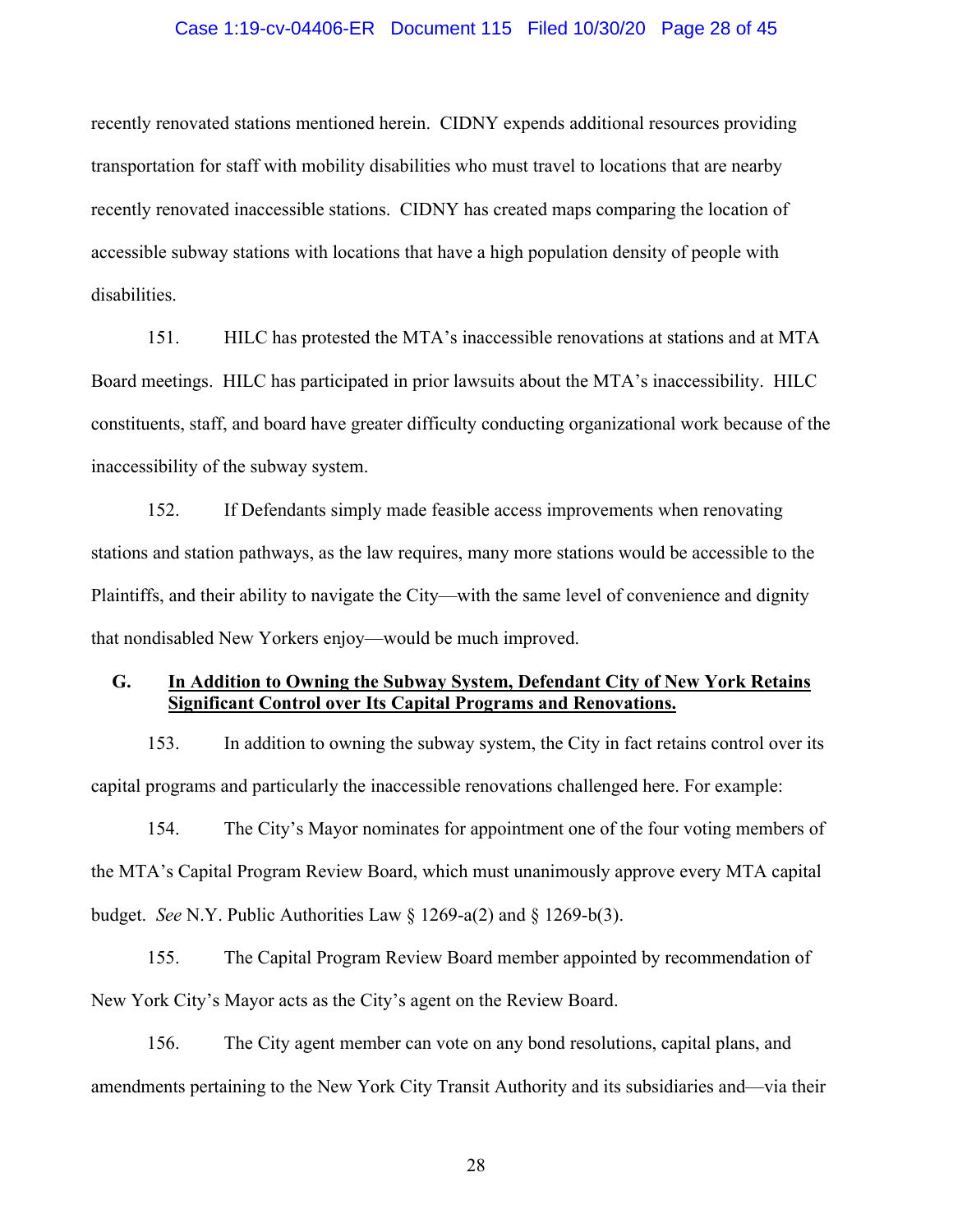### Case 1:19-cv-04406-ER Document 115 Filed 10/30/20 Page 28 of 45

recently renovated stations mentioned herein. CIDNY expends additional resources providing transportation for staff with mobility disabilities who must travel to locations that are nearby recently renovated inaccessible stations. CIDNY has created maps comparing the location of accessible subway stations with locations that have a high population density of people with disabilities.

151. HILC has protested the MTA's inaccessible renovations at stations and at MTA Board meetings. HILC has participated in prior lawsuits about the MTA's inaccessibility. HILC constituents, staff, and board have greater difficulty conducting organizational work because of the inaccessibility of the subway system.

152. If Defendants simply made feasible access improvements when renovating stations and station pathways, as the law requires, many more stations would be accessible to the Plaintiffs, and their ability to navigate the City—with the same level of convenience and dignity that nondisabled New Yorkers enjoy—would be much improved.

## **G. In Addition to Owning the Subway System, Defendant City of New York Retains Significant Control over Its Capital Programs and Renovations.**

153. In addition to owning the subway system, the City in fact retains control over its capital programs and particularly the inaccessible renovations challenged here. For example:

154. The City's Mayor nominates for appointment one of the four voting members of the MTA's Capital Program Review Board, which must unanimously approve every MTA capital budget. *See* N.Y. Public Authorities Law § 1269-a(2) and § 1269-b(3).

155. The Capital Program Review Board member appointed by recommendation of New York City's Mayor acts as the City's agent on the Review Board.

156. The City agent member can vote on any bond resolutions, capital plans, and amendments pertaining to the New York City Transit Authority and its subsidiaries and—via their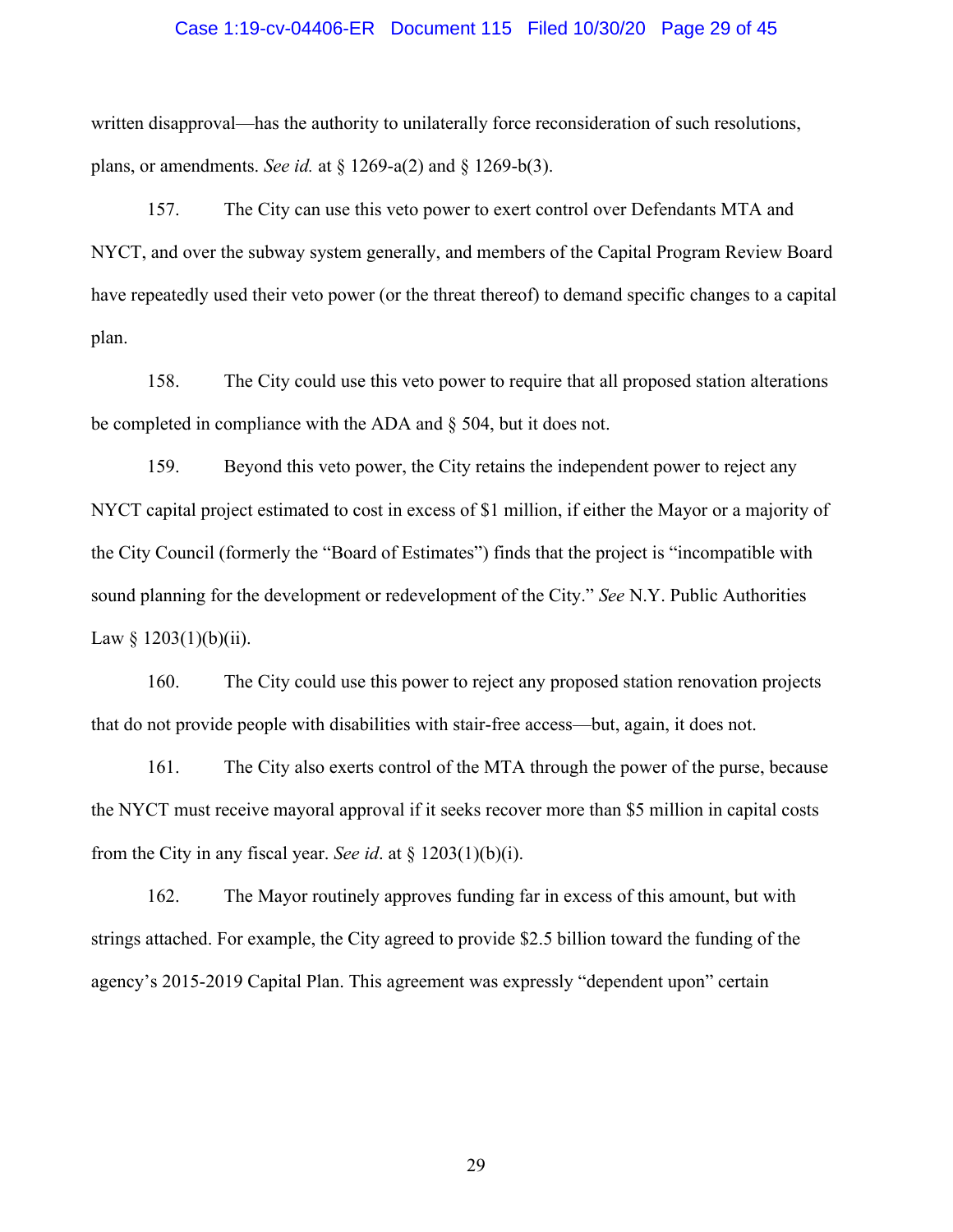#### Case 1:19-cv-04406-ER Document 115 Filed 10/30/20 Page 29 of 45

written disapproval—has the authority to unilaterally force reconsideration of such resolutions, plans, or amendments. *See id.* at § 1269-a(2) and § 1269-b(3).

157. The City can use this veto power to exert control over Defendants MTA and NYCT, and over the subway system generally, and members of the Capital Program Review Board have repeatedly used their veto power (or the threat thereof) to demand specific changes to a capital plan.

158. The City could use this veto power to require that all proposed station alterations be completed in compliance with the ADA and § 504, but it does not.

159. Beyond this veto power, the City retains the independent power to reject any NYCT capital project estimated to cost in excess of \$1 million, if either the Mayor or a majority of the City Council (formerly the "Board of Estimates") finds that the project is "incompatible with sound planning for the development or redevelopment of the City." *See* N.Y. Public Authorities Law  $§$  1203(1)(b)(ii).

160. The City could use this power to reject any proposed station renovation projects that do not provide people with disabilities with stair-free access—but, again, it does not.

161. The City also exerts control of the MTA through the power of the purse, because the NYCT must receive mayoral approval if it seeks recover more than \$5 million in capital costs from the City in any fiscal year. *See id*. at § 1203(1)(b)(i).

162. The Mayor routinely approves funding far in excess of this amount, but with strings attached. For example, the City agreed to provide \$2.5 billion toward the funding of the agency's 2015-2019 Capital Plan. This agreement was expressly "dependent upon" certain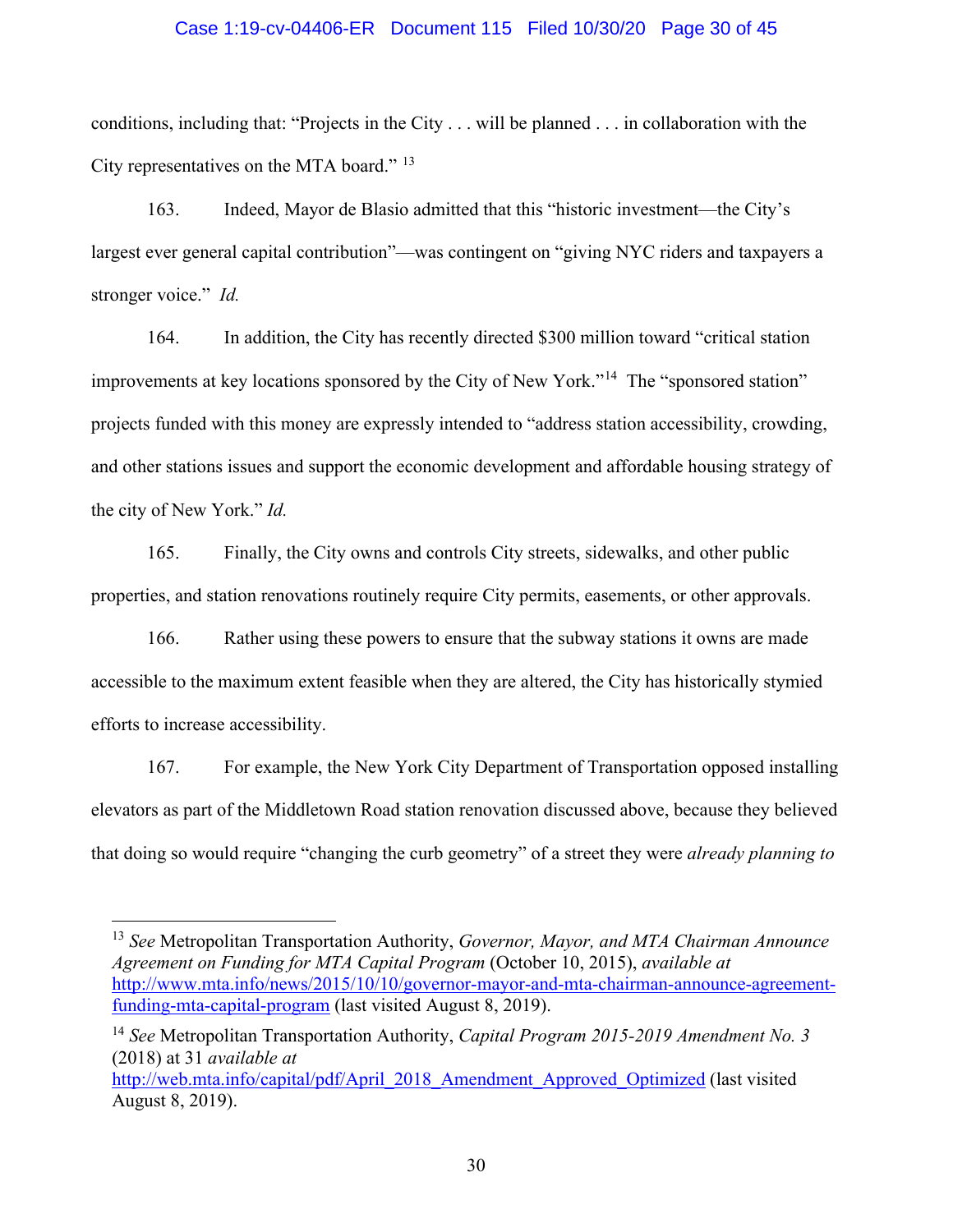### Case 1:19-cv-04406-ER Document 115 Filed 10/30/20 Page 30 of 45

conditions, including that: "Projects in the City . . . will be planned . . . in collaboration with the City representatives on the MTA board."<sup>13</sup>

163. Indeed, Mayor de Blasio admitted that this "historic investment—the City's largest ever general capital contribution"—was contingent on "giving NYC riders and taxpayers a stronger voice." *Id.*

164. In addition, the City has recently directed \$300 million toward "critical station improvements at key locations sponsored by the City of New York."<sup>14</sup> The "sponsored station" projects funded with this money are expressly intended to "address station accessibility, crowding, and other stations issues and support the economic development and affordable housing strategy of the city of New York." *Id.* 

165. Finally, the City owns and controls City streets, sidewalks, and other public properties, and station renovations routinely require City permits, easements, or other approvals.

166. Rather using these powers to ensure that the subway stations it owns are made accessible to the maximum extent feasible when they are altered, the City has historically stymied efforts to increase accessibility.

167. For example, the New York City Department of Transportation opposed installing elevators as part of the Middletown Road station renovation discussed above, because they believed that doing so would require "changing the curb geometry" of a street they were *already planning to* 

<span id="page-29-0"></span><sup>13</sup> *See* Metropolitan Transportation Authority, *Governor, Mayor, and MTA Chairman Announce Agreement on Funding for MTA Capital Program* (October 10, 2015), *available at* [http://www.mta.info/news/2015/10/10/governor-mayor-and-mta-chairman-announce-agreement](http://www.mta.info/news/2015/10/10/governor-mayor-and-mta-chairman-announce-agreement-funding-mta-capital-program)[funding-mta-capital-program](http://www.mta.info/news/2015/10/10/governor-mayor-and-mta-chairman-announce-agreement-funding-mta-capital-program) (last visited August 8, 2019).

<span id="page-29-1"></span><sup>14</sup> *See* Metropolitan Transportation Authority, *Capital Program 2015-2019 Amendment No. 3* (2018) at 31 *available at*

[http://web.mta.info/capital/pdf/April\\_2018\\_Amendment\\_Approved\\_Optimized](http://web.mta.info/capital/pdf/April_2018_Amendment_Approved_Optimized) (last visited August 8, 2019).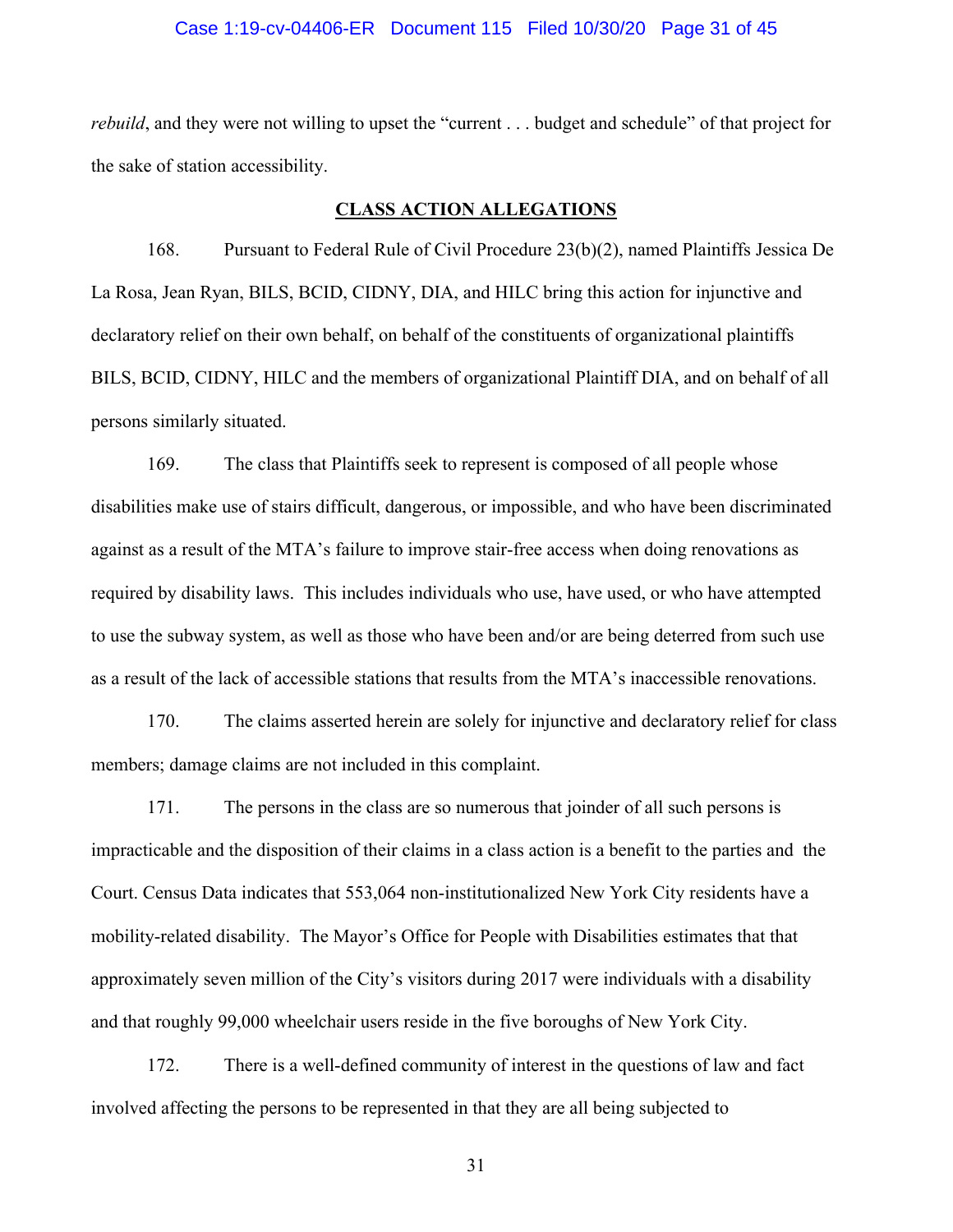### Case 1:19-cv-04406-ER Document 115 Filed 10/30/20 Page 31 of 45

*rebuild*, and they were not willing to upset the "current . . . budget and schedule" of that project for the sake of station accessibility.

### **CLASS ACTION ALLEGATIONS**

168. Pursuant to Federal Rule of Civil Procedure 23(b)(2), named Plaintiffs Jessica De La Rosa, Jean Ryan, BILS, BCID, CIDNY, DIA, and HILC bring this action for injunctive and declaratory relief on their own behalf, on behalf of the constituents of organizational plaintiffs BILS, BCID, CIDNY, HILC and the members of organizational Plaintiff DIA, and on behalf of all persons similarly situated.

169. The class that Plaintiffs seek to represent is composed of all people whose disabilities make use of stairs difficult, dangerous, or impossible, and who have been discriminated against as a result of the MTA's failure to improve stair-free access when doing renovations as required by disability laws. This includes individuals who use, have used, or who have attempted to use the subway system, as well as those who have been and/or are being deterred from such use as a result of the lack of accessible stations that results from the MTA's inaccessible renovations.

170. The claims asserted herein are solely for injunctive and declaratory relief for class members; damage claims are not included in this complaint.

171. The persons in the class are so numerous that joinder of all such persons is impracticable and the disposition of their claims in a class action is a benefit to the parties and the Court. Census Data indicates that 553,064 non-institutionalized New York City residents have a mobility-related disability. The Mayor's Office for People with Disabilities estimates that that approximately seven million of the City's visitors during 2017 were individuals with a disability and that roughly 99,000 wheelchair users reside in the five boroughs of New York City.

172. There is a well-defined community of interest in the questions of law and fact involved affecting the persons to be represented in that they are all being subjected to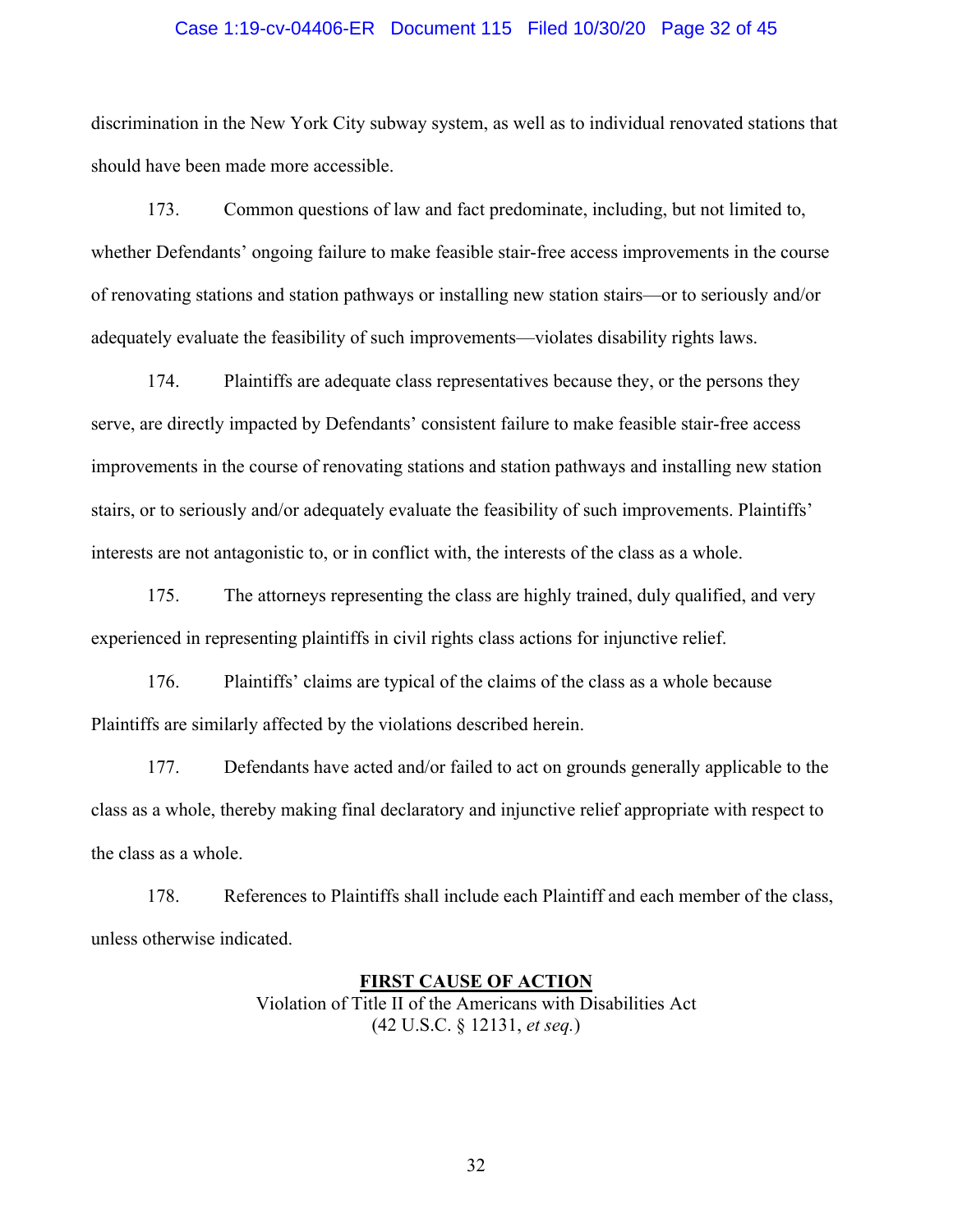### Case 1:19-cv-04406-ER Document 115 Filed 10/30/20 Page 32 of 45

discrimination in the New York City subway system, as well as to individual renovated stations that should have been made more accessible.

173. Common questions of law and fact predominate, including, but not limited to, whether Defendants' ongoing failure to make feasible stair-free access improvements in the course of renovating stations and station pathways or installing new station stairs—or to seriously and/or adequately evaluate the feasibility of such improvements—violates disability rights laws.

174. Plaintiffs are adequate class representatives because they, or the persons they serve, are directly impacted by Defendants' consistent failure to make feasible stair-free access improvements in the course of renovating stations and station pathways and installing new station stairs, or to seriously and/or adequately evaluate the feasibility of such improvements. Plaintiffs' interests are not antagonistic to, or in conflict with, the interests of the class as a whole.

175. The attorneys representing the class are highly trained, duly qualified, and very experienced in representing plaintiffs in civil rights class actions for injunctive relief.

176. Plaintiffs' claims are typical of the claims of the class as a whole because Plaintiffs are similarly affected by the violations described herein.

177. Defendants have acted and/or failed to act on grounds generally applicable to the class as a whole, thereby making final declaratory and injunctive relief appropriate with respect to the class as a whole.

178. References to Plaintiffs shall include each Plaintiff and each member of the class, unless otherwise indicated.

### **FIRST CAUSE OF ACTION** Violation of Title II of the Americans with Disabilities Act

(42 U.S.C. § 12131, *et seq.*)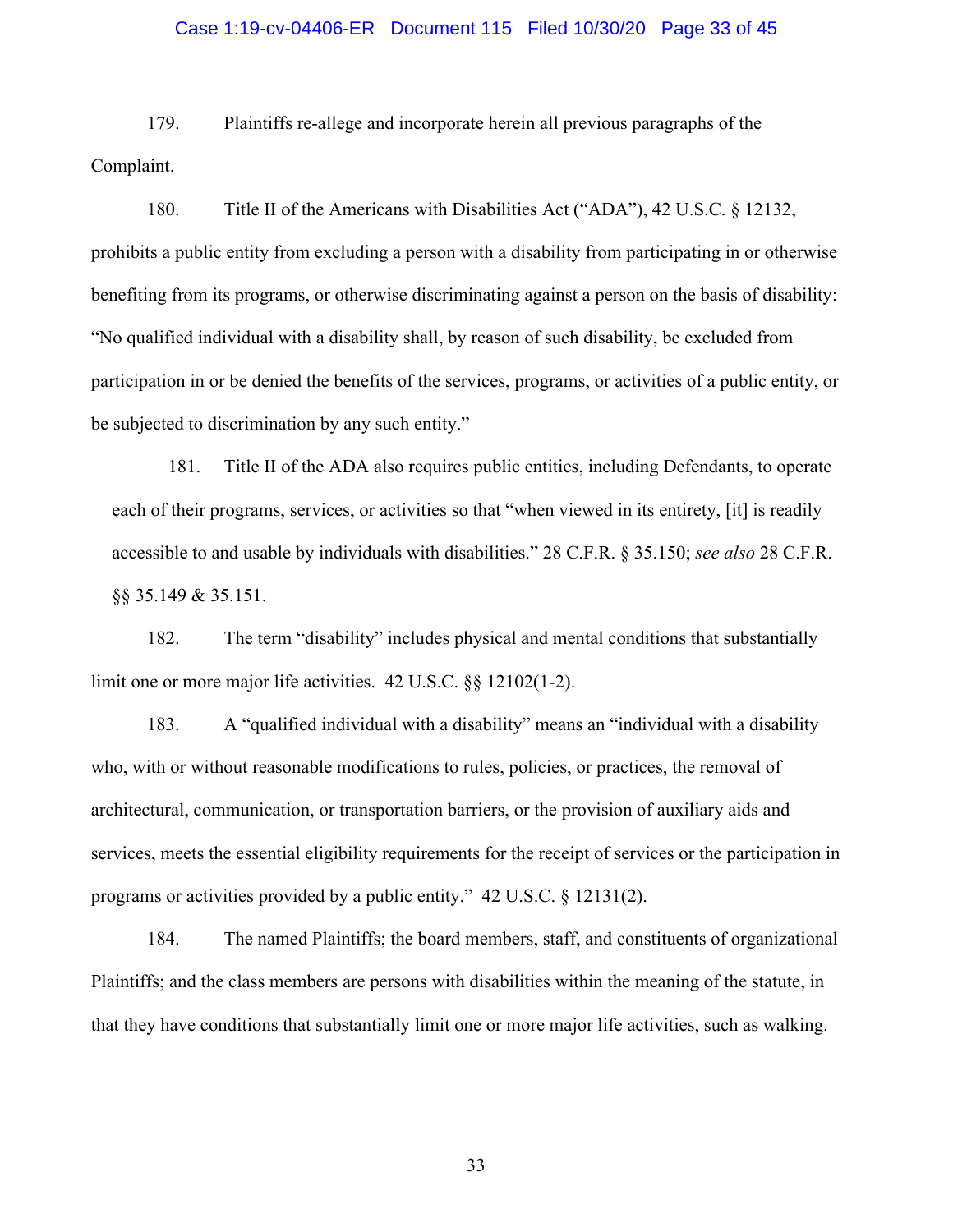## Case 1:19-cv-04406-ER Document 115 Filed 10/30/20 Page 33 of 45

179. Plaintiffs re-allege and incorporate herein all previous paragraphs of the Complaint.

180. Title II of the Americans with Disabilities Act ("ADA"), 42 U.S.C. § 12132, prohibits a public entity from excluding a person with a disability from participating in or otherwise benefiting from its programs, or otherwise discriminating against a person on the basis of disability: "No qualified individual with a disability shall, by reason of such disability, be excluded from participation in or be denied the benefits of the services, programs, or activities of a public entity, or be subjected to discrimination by any such entity."

181. Title II of the ADA also requires public entities, including Defendants, to operate each of their programs, services, or activities so that "when viewed in its entirety, [it] is readily accessible to and usable by individuals with disabilities." 28 C.F.R. § 35.150; *see also* 28 C.F.R. §§ 35.149 & 35.151.

182. The term "disability" includes physical and mental conditions that substantially limit one or more major life activities. 42 U.S.C. §§ 12102(1-2).

183. A "qualified individual with a disability" means an "individual with a disability who, with or without reasonable modifications to rules, policies, or practices, the removal of architectural, communication, or transportation barriers, or the provision of auxiliary aids and services, meets the essential eligibility requirements for the receipt of services or the participation in programs or activities provided by a public entity." 42 U.S.C. § 12131(2).

184. The named Plaintiffs; the board members, staff, and constituents of organizational Plaintiffs; and the class members are persons with disabilities within the meaning of the statute, in that they have conditions that substantially limit one or more major life activities, such as walking.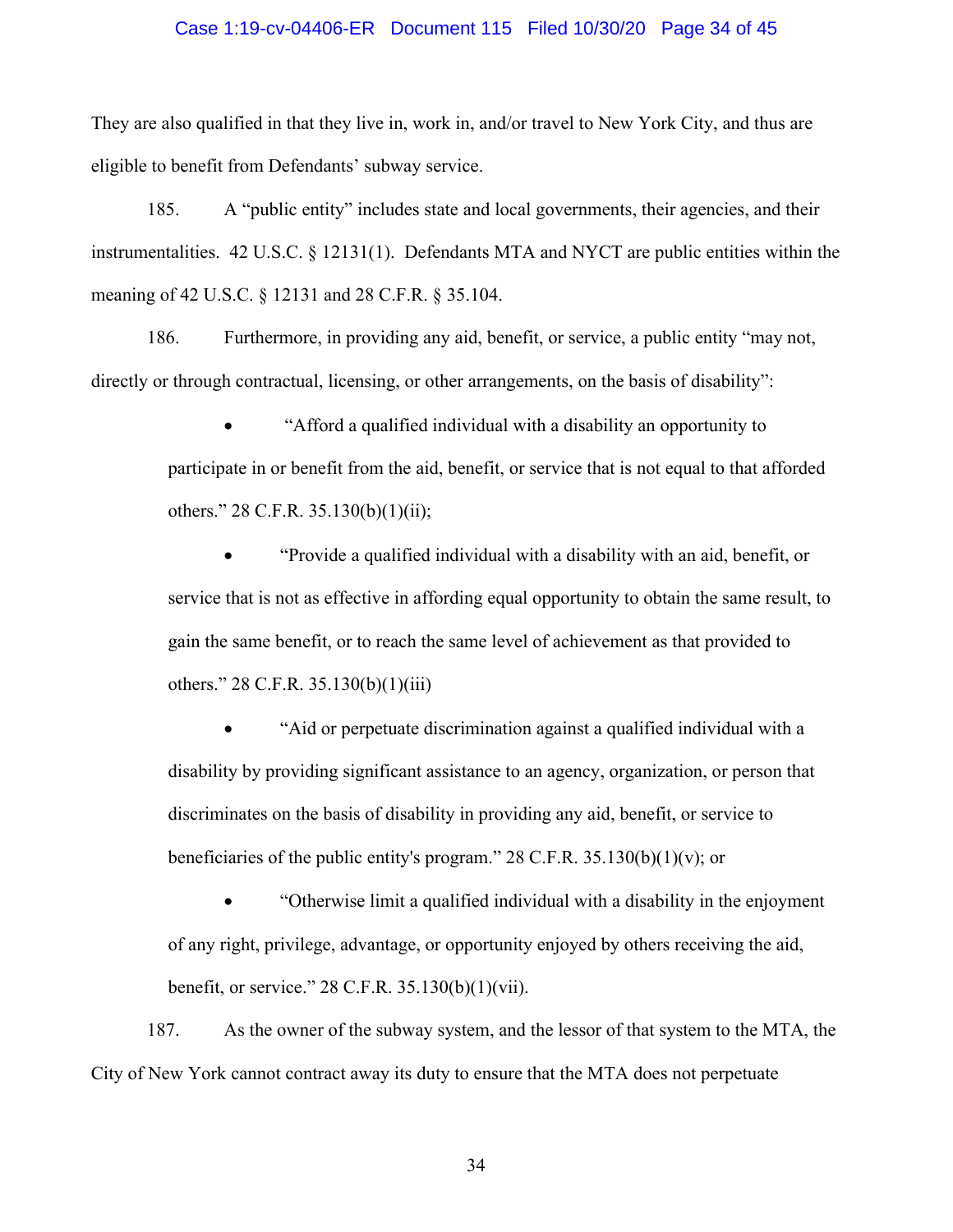### Case 1:19-cv-04406-ER Document 115 Filed 10/30/20 Page 34 of 45

They are also qualified in that they live in, work in, and/or travel to New York City, and thus are eligible to benefit from Defendants' subway service.

185. A "public entity" includes state and local governments, their agencies, and their instrumentalities. 42 U.S.C. § 12131(1). Defendants MTA and NYCT are public entities within the meaning of 42 U.S.C. § 12131 and 28 C.F.R. § 35.104.

186. Furthermore, in providing any aid, benefit, or service, a public entity "may not, directly or through contractual, licensing, or other arrangements, on the basis of disability":

> • "Afford a qualified individual with a disability an opportunity to participate in or benefit from the aid, benefit, or service that is not equal to that afforded others." 28 C.F.R. 35.130(b)(1)(ii);

> • "Provide a qualified individual with a disability with an aid, benefit, or service that is not as effective in affording equal opportunity to obtain the same result, to gain the same benefit, or to reach the same level of achievement as that provided to others." 28 C.F.R. 35.130(b)(1)(iii)

• "Aid or perpetuate discrimination against a qualified individual with a disability by providing significant assistance to an agency, organization, or person that discriminates on the basis of disability in providing any aid, benefit, or service to beneficiaries of the public entity's program." 28 C.F.R. 35.130(b)(1)(v); or

• "Otherwise limit a qualified individual with a disability in the enjoyment of any right, privilege, advantage, or opportunity enjoyed by others receiving the aid, benefit, or service." 28 C.F.R. 35.130(b)(1)(vii).

187. As the owner of the subway system, and the lessor of that system to the MTA, the City of New York cannot contract away its duty to ensure that the MTA does not perpetuate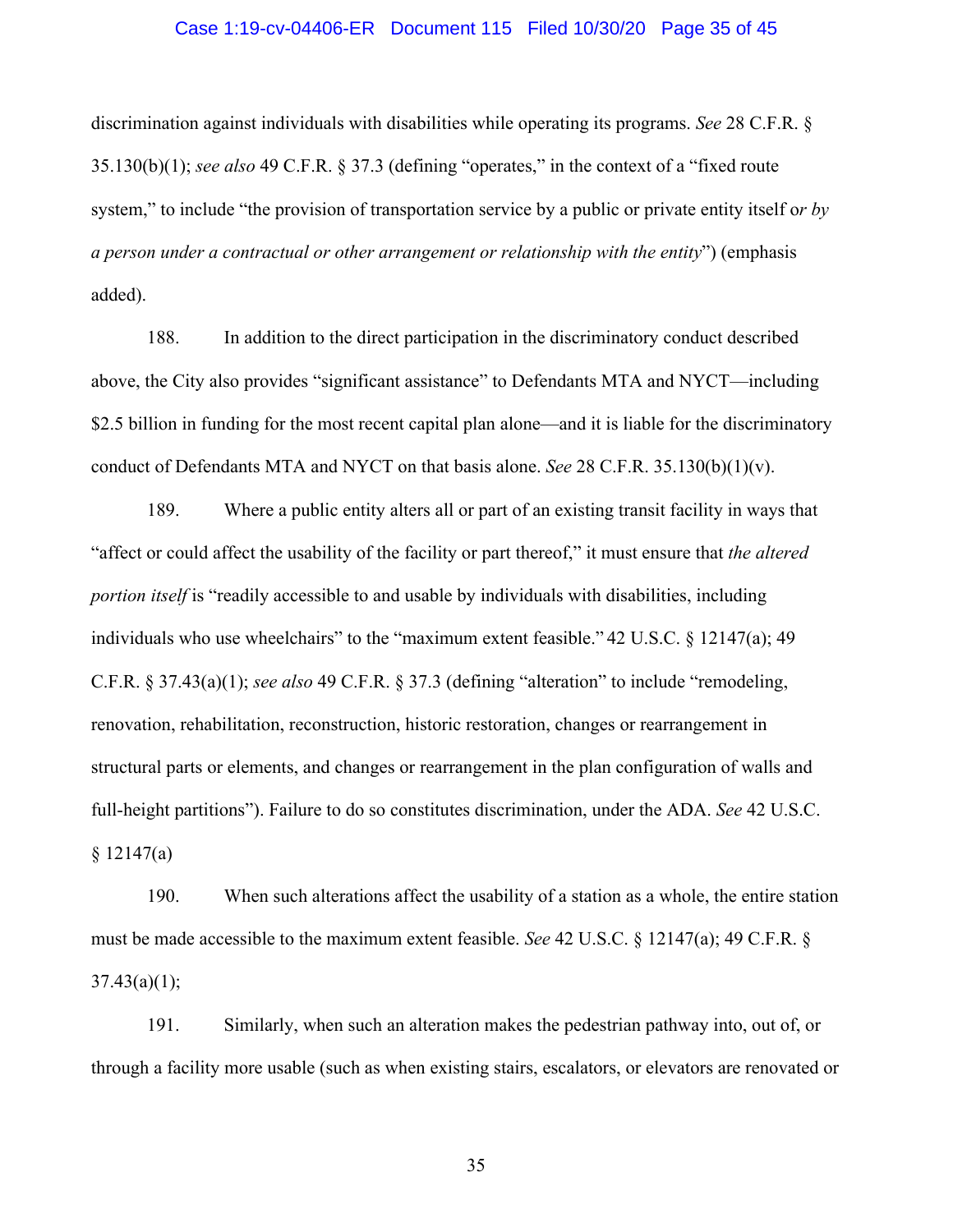### Case 1:19-cv-04406-ER Document 115 Filed 10/30/20 Page 35 of 45

discrimination against individuals with disabilities while operating its programs. *See* 28 C.F.R. § 35.130(b)(1); *see also* 49 C.F.R. § 37.3 (defining "operates," in the context of a "fixed route system," to include "the provision of transportation service by a public or private entity itself o*r by a person under a contractual or other arrangement or relationship with the entity*") (emphasis added).

188. In addition to the direct participation in the discriminatory conduct described above, the City also provides "significant assistance" to Defendants MTA and NYCT—including \$2.5 billion in funding for the most recent capital plan alone—and it is liable for the discriminatory conduct of Defendants MTA and NYCT on that basis alone. *See* 28 C.F.R. 35.130(b)(1)(v).

189. Where a public entity alters all or part of an existing transit facility in ways that "affect or could affect the usability of the facility or part thereof," it must ensure that *the altered portion itself* is "readily accessible to and usable by individuals with disabilities, including individuals who use wheelchairs" to the "maximum extent feasible." 42 U.S.C. § 12147(a); 49 C.F.R. § 37.43(a)(1); *see also* 49 C.F.R. § 37.3 (defining "alteration" to include "remodeling, renovation, rehabilitation, reconstruction, historic restoration, changes or rearrangement in structural parts or elements, and changes or rearrangement in the plan configuration of walls and full-height partitions"). Failure to do so constitutes discrimination, under the ADA. *See* 42 U.S.C. § 12147(a)

190. When such alterations affect the usability of a station as a whole, the entire station must be made accessible to the maximum extent feasible. *See* 42 U.S.C. § 12147(a); 49 C.F.R. §  $37.43(a)(1);$ 

191. Similarly, when such an alteration makes the pedestrian pathway into, out of, or through a facility more usable (such as when existing stairs, escalators, or elevators are renovated or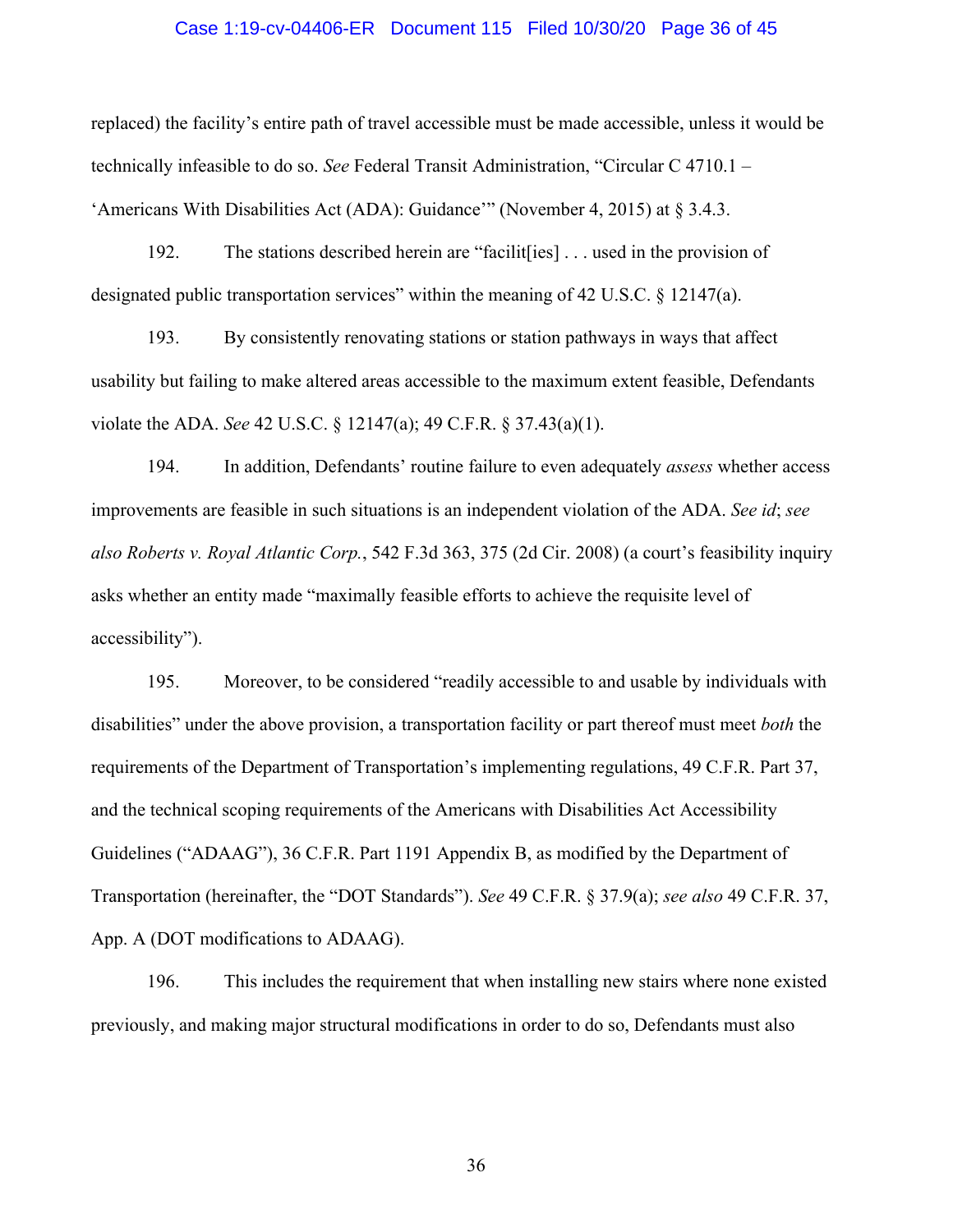### Case 1:19-cv-04406-ER Document 115 Filed 10/30/20 Page 36 of 45

replaced) the facility's entire path of travel accessible must be made accessible, unless it would be technically infeasible to do so. *See* Federal Transit Administration, "Circular C 4710.1 – 'Americans With Disabilities Act (ADA): Guidance'" (November 4, 2015) at § 3.4.3.

192. The stations described herein are "facilit[ies] . . . used in the provision of designated public transportation services" within the meaning of 42 U.S.C. § 12147(a).

193. By consistently renovating stations or station pathways in ways that affect usability but failing to make altered areas accessible to the maximum extent feasible, Defendants violate the ADA. *See* 42 U.S.C. § 12147(a); 49 C.F.R. § 37.43(a)(1).

194. In addition, Defendants' routine failure to even adequately *assess* whether access improvements are feasible in such situations is an independent violation of the ADA. *See id*; *see also Roberts v. Royal Atlantic Corp.*, 542 F.3d 363, 375 (2d Cir. 2008) (a court's feasibility inquiry asks whether an entity made "maximally feasible efforts to achieve the requisite level of accessibility").

195. Moreover, to be considered "readily accessible to and usable by individuals with disabilities" under the above provision, a transportation facility or part thereof must meet *both* the requirements of the Department of Transportation's implementing regulations, 49 C.F.R. Part 37, and the technical scoping requirements of the Americans with Disabilities Act Accessibility Guidelines ("ADAAG"), 36 C.F.R. Part 1191 Appendix B, as modified by the Department of Transportation (hereinafter, the "DOT Standards"). *See* 49 C.F.R. § 37.9(a); *see also* 49 C.F.R. 37, App. A (DOT modifications to ADAAG).

196. This includes the requirement that when installing new stairs where none existed previously, and making major structural modifications in order to do so, Defendants must also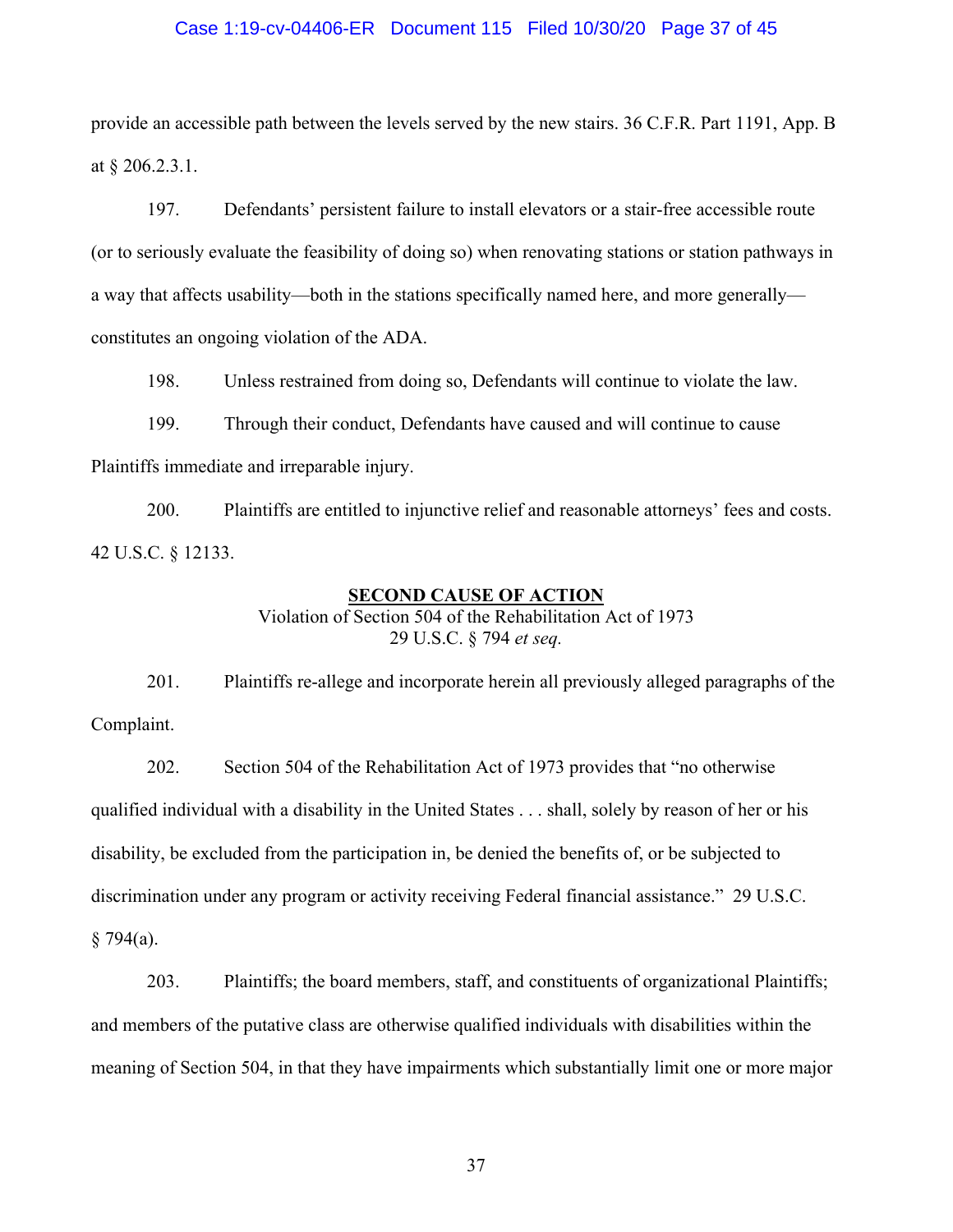### Case 1:19-cv-04406-ER Document 115 Filed 10/30/20 Page 37 of 45

provide an accessible path between the levels served by the new stairs. 36 C.F.R. Part 1191, App. B at § 206.2.3.1.

197. Defendants' persistent failure to install elevators or a stair-free accessible route (or to seriously evaluate the feasibility of doing so) when renovating stations or station pathways in a way that affects usability—both in the stations specifically named here, and more generally constitutes an ongoing violation of the ADA.

198. Unless restrained from doing so, Defendants will continue to violate the law.

199. Through their conduct, Defendants have caused and will continue to cause Plaintiffs immediate and irreparable injury.

200. Plaintiffs are entitled to injunctive relief and reasonable attorneys' fees and costs. 42 U.S.C. § 12133.

## **SECOND CAUSE OF ACTION**

Violation of Section 504 of the Rehabilitation Act of 1973 29 U.S.C. § 794 *et seq.*

201. Plaintiffs re-allege and incorporate herein all previously alleged paragraphs of the Complaint.

202. Section 504 of the Rehabilitation Act of 1973 provides that "no otherwise qualified individual with a disability in the United States . . . shall, solely by reason of her or his disability, be excluded from the participation in, be denied the benefits of, or be subjected to discrimination under any program or activity receiving Federal financial assistance." 29 U.S.C.  $§ 794(a).$ 

203. Plaintiffs; the board members, staff, and constituents of organizational Plaintiffs; and members of the putative class are otherwise qualified individuals with disabilities within the meaning of Section 504, in that they have impairments which substantially limit one or more major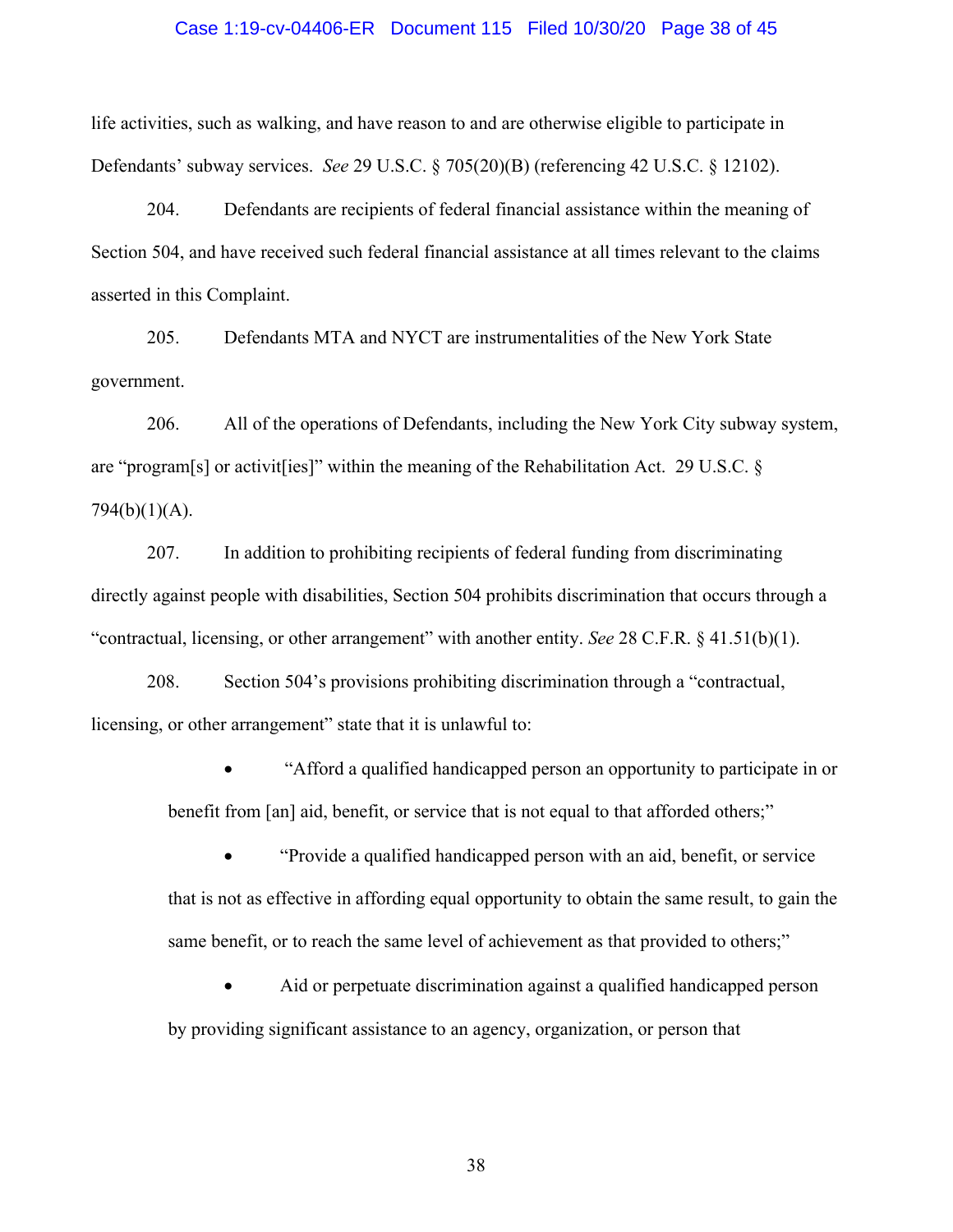### Case 1:19-cv-04406-ER Document 115 Filed 10/30/20 Page 38 of 45

life activities, such as walking, and have reason to and are otherwise eligible to participate in Defendants' subway services. *See* 29 U.S.C. § 705(20)(B) (referencing 42 U.S.C. § 12102).

204. Defendants are recipients of federal financial assistance within the meaning of Section 504, and have received such federal financial assistance at all times relevant to the claims asserted in this Complaint.

205. Defendants MTA and NYCT are instrumentalities of the New York State government.

206. All of the operations of Defendants, including the New York City subway system, are "program[s] or activit[ies]" within the meaning of the Rehabilitation Act. 29 U.S.C. § 794(b)(1)(A).

207. In addition to prohibiting recipients of federal funding from discriminating directly against people with disabilities, Section 504 prohibits discrimination that occurs through a "contractual, licensing, or other arrangement" with another entity. *See* 28 C.F.R. § 41.51(b)(1).

208. Section 504's provisions prohibiting discrimination through a "contractual, licensing, or other arrangement" state that it is unlawful to:

> • "Afford a qualified handicapped person an opportunity to participate in or benefit from [an] aid, benefit, or service that is not equal to that afforded others;"

> • "Provide a qualified handicapped person with an aid, benefit, or service that is not as effective in affording equal opportunity to obtain the same result, to gain the same benefit, or to reach the same level of achievement as that provided to others;"

• Aid or perpetuate discrimination against a qualified handicapped person by providing significant assistance to an agency, organization, or person that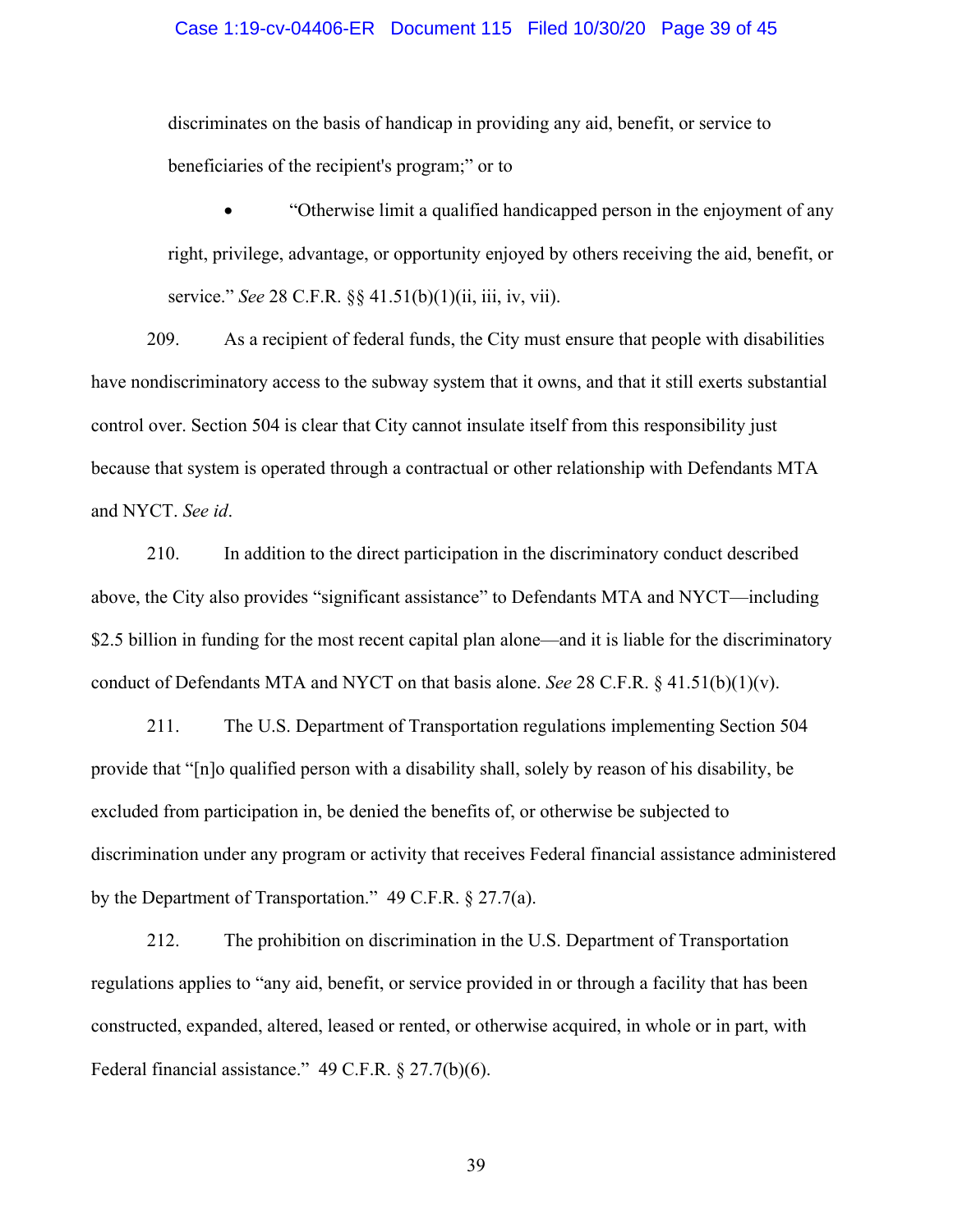### Case 1:19-cv-04406-ER Document 115 Filed 10/30/20 Page 39 of 45

discriminates on the basis of handicap in providing any aid, benefit, or service to beneficiaries of the recipient's program;" or to

• "Otherwise limit a qualified handicapped person in the enjoyment of any right, privilege, advantage, or opportunity enjoyed by others receiving the aid, benefit, or service." *See* 28 C.F.R. §§ 41.51(b)(1)(ii, iii, iv, vii).

209. As a recipient of federal funds, the City must ensure that people with disabilities have nondiscriminatory access to the subway system that it owns, and that it still exerts substantial control over. Section 504 is clear that City cannot insulate itself from this responsibility just because that system is operated through a contractual or other relationship with Defendants MTA and NYCT. *See id*.

210. In addition to the direct participation in the discriminatory conduct described above, the City also provides "significant assistance" to Defendants MTA and NYCT—including \$2.5 billion in funding for the most recent capital plan alone—and it is liable for the discriminatory conduct of Defendants MTA and NYCT on that basis alone. *See* 28 C.F.R.  $\S$  41.51(b)(1)(v).

211. The U.S. Department of Transportation regulations implementing Section 504 provide that "[n]o qualified person with a disability shall, solely by reason of his disability, be excluded from participation in, be denied the benefits of, or otherwise be subjected to discrimination under any program or activity that receives Federal financial assistance administered by the Department of Transportation." 49 C.F.R. § 27.7(a).

212. The prohibition on discrimination in the U.S. Department of Transportation regulations applies to "any aid, benefit, or service provided in or through a facility that has been constructed, expanded, altered, leased or rented, or otherwise acquired, in whole or in part, with Federal financial assistance." 49 C.F.R. § 27.7(b)(6).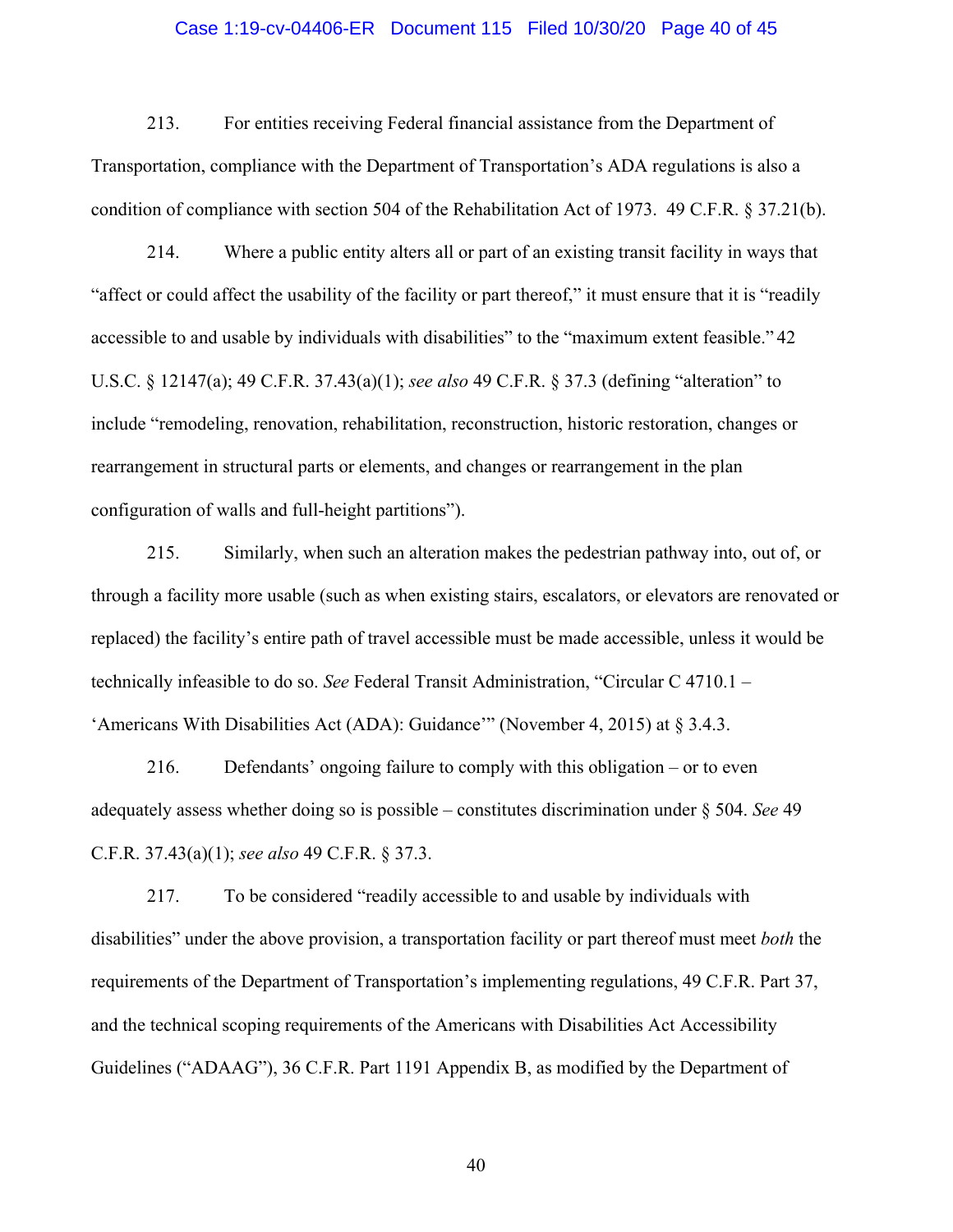### Case 1:19-cv-04406-ER Document 115 Filed 10/30/20 Page 40 of 45

213. For entities receiving Federal financial assistance from the Department of Transportation, compliance with the Department of Transportation's ADA regulations is also a condition of compliance with section 504 of the Rehabilitation Act of 1973. 49 C.F.R. § 37.21(b).

214. Where a public entity alters all or part of an existing transit facility in ways that "affect or could affect the usability of the facility or part thereof," it must ensure that it is "readily accessible to and usable by individuals with disabilities" to the "maximum extent feasible." 42 U.S.C. § 12147(a); 49 C.F.R. 37.43(a)(1); *see also* 49 C.F.R. § 37.3 (defining "alteration" to include "remodeling, renovation, rehabilitation, reconstruction, historic restoration, changes or rearrangement in structural parts or elements, and changes or rearrangement in the plan configuration of walls and full-height partitions").

215. Similarly, when such an alteration makes the pedestrian pathway into, out of, or through a facility more usable (such as when existing stairs, escalators, or elevators are renovated or replaced) the facility's entire path of travel accessible must be made accessible, unless it would be technically infeasible to do so. *See* Federal Transit Administration, "Circular C 4710.1 – 'Americans With Disabilities Act (ADA): Guidance'" (November 4, 2015) at § 3.4.3.

216. Defendants' ongoing failure to comply with this obligation – or to even adequately assess whether doing so is possible – constitutes discrimination under § 504. *See* 49 C.F.R. 37.43(a)(1); *see also* 49 C.F.R. § 37.3.

217. To be considered "readily accessible to and usable by individuals with disabilities" under the above provision, a transportation facility or part thereof must meet *both* the requirements of the Department of Transportation's implementing regulations, 49 C.F.R. Part 37, and the technical scoping requirements of the Americans with Disabilities Act Accessibility Guidelines ("ADAAG"), 36 C.F.R. Part 1191 Appendix B, as modified by the Department of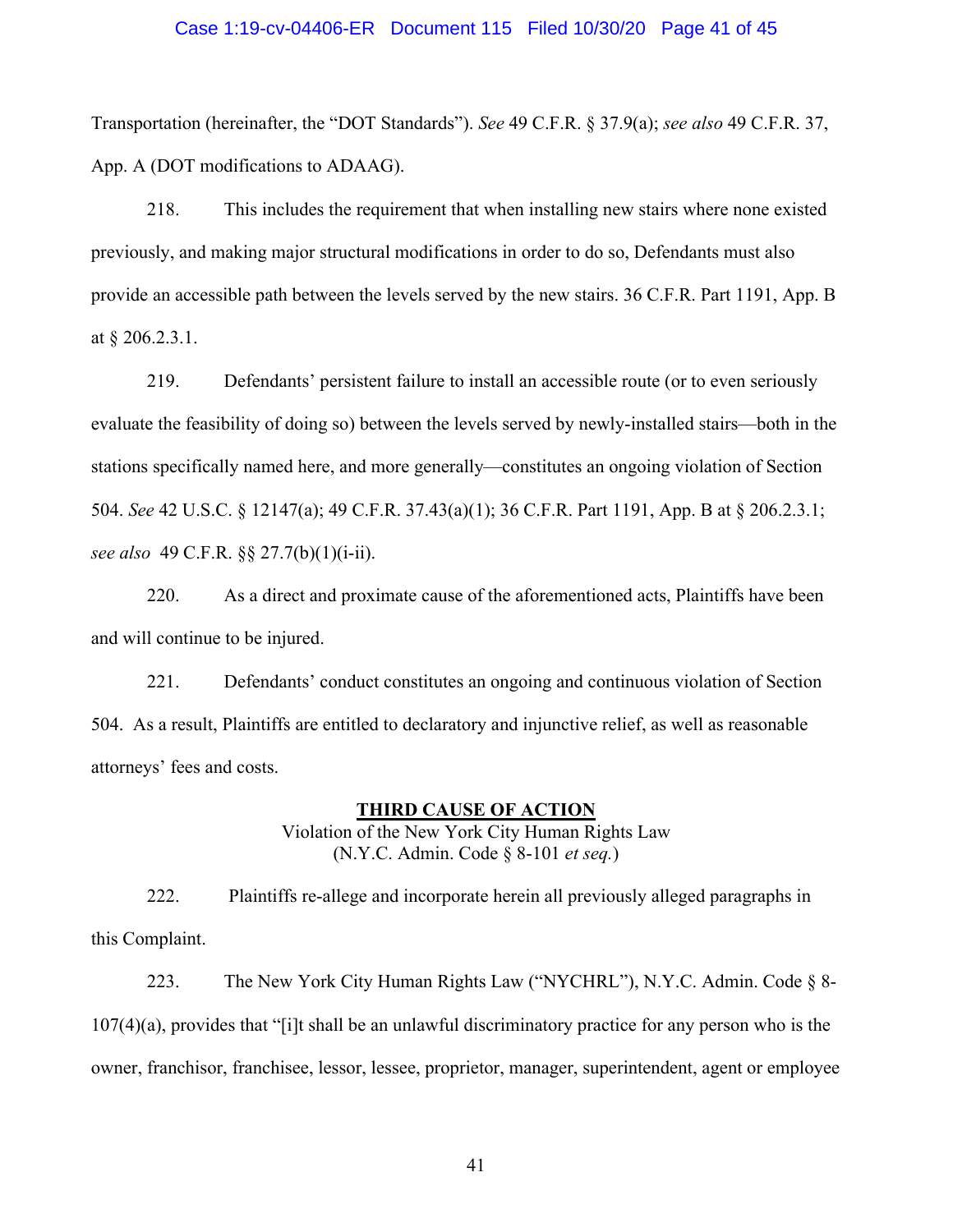#### Case 1:19-cv-04406-ER Document 115 Filed 10/30/20 Page 41 of 45

Transportation (hereinafter, the "DOT Standards"). *See* 49 C.F.R. § 37.9(a); *see also* 49 C.F.R. 37, App. A (DOT modifications to ADAAG).

218. This includes the requirement that when installing new stairs where none existed previously, and making major structural modifications in order to do so, Defendants must also provide an accessible path between the levels served by the new stairs. 36 C.F.R. Part 1191, App. B at § 206.2.3.1.

219. Defendants' persistent failure to install an accessible route (or to even seriously evaluate the feasibility of doing so) between the levels served by newly-installed stairs—both in the stations specifically named here, and more generally—constitutes an ongoing violation of Section 504. *See* 42 U.S.C. § 12147(a); 49 C.F.R. 37.43(a)(1); 36 C.F.R. Part 1191, App. B at § 206.2.3.1; *see also* 49 C.F.R. §§ 27.7(b)(1)(i-ii).

220. As a direct and proximate cause of the aforementioned acts, Plaintiffs have been and will continue to be injured.

221. Defendants' conduct constitutes an ongoing and continuous violation of Section 504. As a result, Plaintiffs are entitled to declaratory and injunctive relief, as well as reasonable attorneys' fees and costs.

#### **THIRD CAUSE OF ACTION**

Violation of the New York City Human Rights Law (N.Y.C. Admin. Code § 8-101 *et seq.*)

222. Plaintiffs re-allege and incorporate herein all previously alleged paragraphs in this Complaint.

223. The New York City Human Rights Law ("NYCHRL"), N.Y.C. Admin. Code § 8- 107(4)(a), provides that "[i]t shall be an unlawful discriminatory practice for any person who is the owner, franchisor, franchisee, lessor, lessee, proprietor, manager, superintendent, agent or employee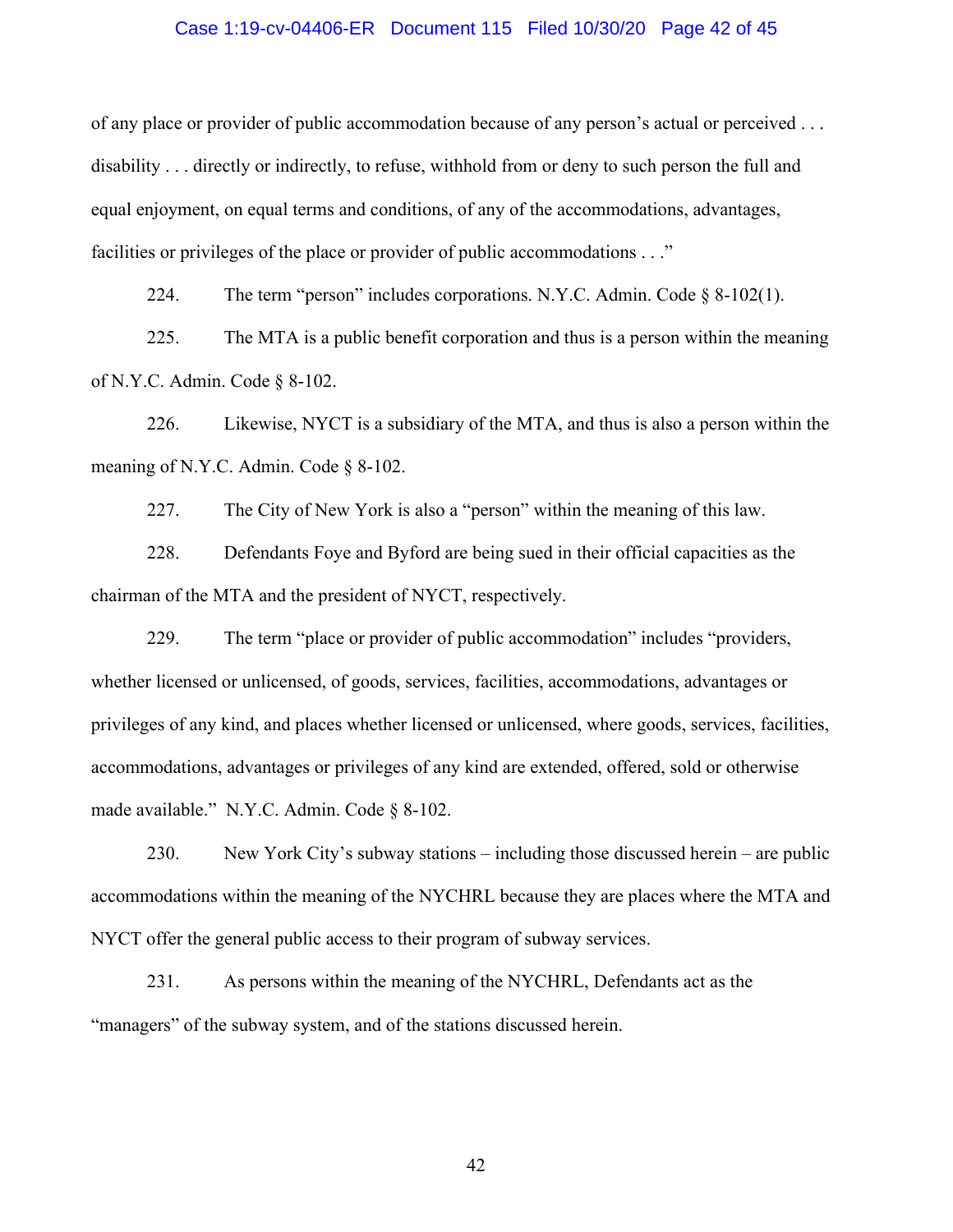### Case 1:19-cv-04406-ER Document 115 Filed 10/30/20 Page 42 of 45

of any place or provider of public accommodation because of any person's actual or perceived . . . disability . . . directly or indirectly, to refuse, withhold from or deny to such person the full and equal enjoyment, on equal terms and conditions, of any of the accommodations, advantages, facilities or privileges of the place or provider of public accommodations . . ."

224. The term "person" includes corporations. N.Y.C. Admin. Code  $\S$  8-102(1).

225. The MTA is a public benefit corporation and thus is a person within the meaning of N.Y.C. Admin. Code § 8-102.

226. Likewise, NYCT is a subsidiary of the MTA, and thus is also a person within the meaning of N.Y.C. Admin. Code § 8-102.

227. The City of New York is also a "person" within the meaning of this law.

228. Defendants Foye and Byford are being sued in their official capacities as the chairman of the MTA and the president of NYCT, respectively.

229. The term "place or provider of public accommodation" includes "providers, whether licensed or unlicensed, of goods, services, facilities, accommodations, advantages or privileges of any kind, and places whether licensed or unlicensed, where goods, services, facilities, accommodations, advantages or privileges of any kind are extended, offered, sold or otherwise made available." N.Y.C. Admin. Code § 8-102.

230. New York City's subway stations – including those discussed herein – are public accommodations within the meaning of the NYCHRL because they are places where the MTA and NYCT offer the general public access to their program of subway services.

231. As persons within the meaning of the NYCHRL, Defendants act as the "managers" of the subway system, and of the stations discussed herein.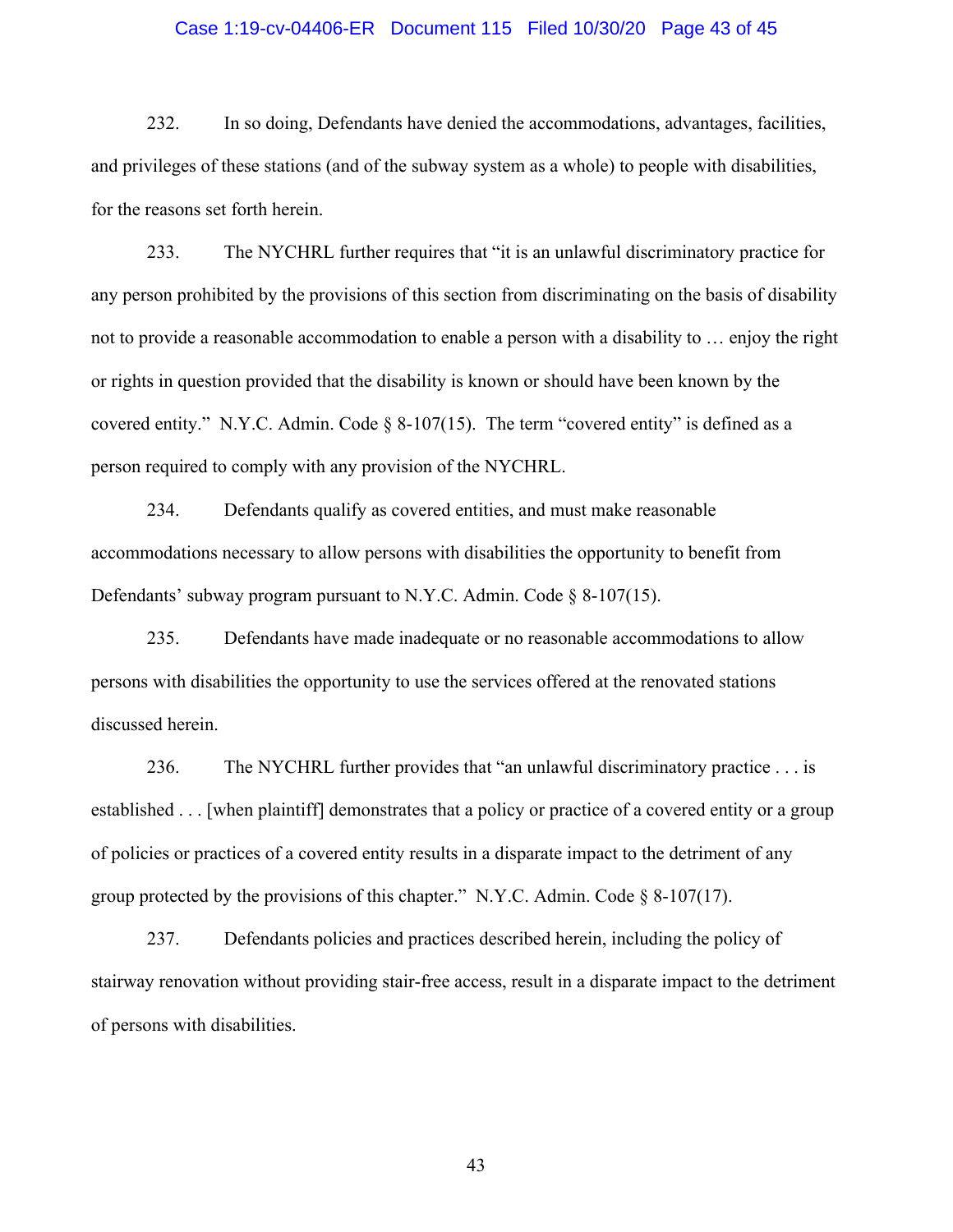### Case 1:19-cv-04406-ER Document 115 Filed 10/30/20 Page 43 of 45

232. In so doing, Defendants have denied the accommodations, advantages, facilities, and privileges of these stations (and of the subway system as a whole) to people with disabilities, for the reasons set forth herein.

233. The NYCHRL further requires that "it is an unlawful discriminatory practice for any person prohibited by the provisions of this section from discriminating on the basis of disability not to provide a reasonable accommodation to enable a person with a disability to … enjoy the right or rights in question provided that the disability is known or should have been known by the covered entity." N.Y.C. Admin. Code  $\S$  8-107(15). The term "covered entity" is defined as a person required to comply with any provision of the NYCHRL.

234. Defendants qualify as covered entities, and must make reasonable accommodations necessary to allow persons with disabilities the opportunity to benefit from Defendants' subway program pursuant to N.Y.C. Admin. Code  $\S$  8-107(15).

235. Defendants have made inadequate or no reasonable accommodations to allow persons with disabilities the opportunity to use the services offered at the renovated stations discussed herein.

236. The NYCHRL further provides that "an unlawful discriminatory practice . . . is established . . . [when plaintiff] demonstrates that a policy or practice of a covered entity or a group of policies or practices of a covered entity results in a disparate impact to the detriment of any group protected by the provisions of this chapter." N.Y.C. Admin. Code  $\S 8-107(17)$ .

237. Defendants policies and practices described herein, including the policy of stairway renovation without providing stair-free access, result in a disparate impact to the detriment of persons with disabilities.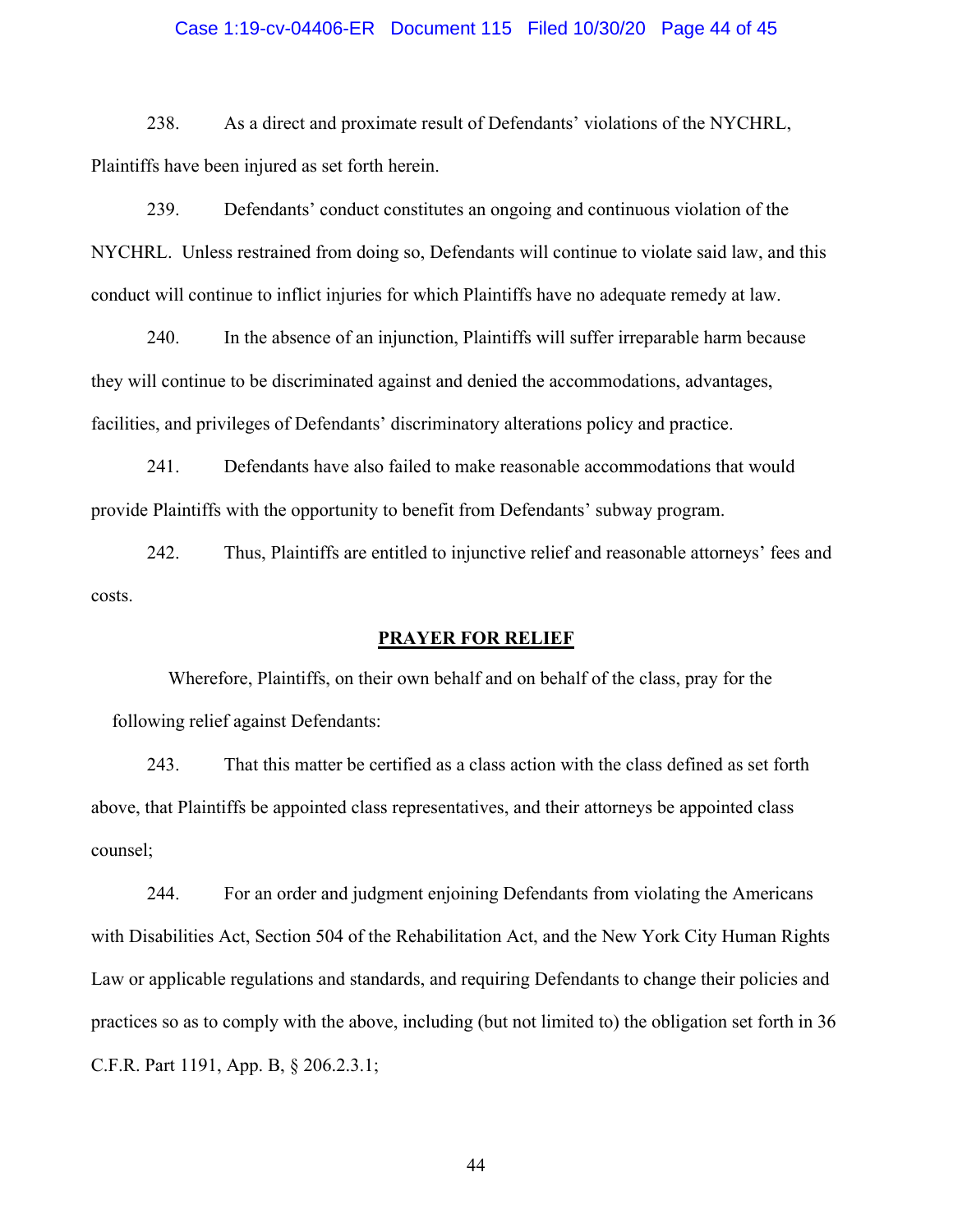### Case 1:19-cv-04406-ER Document 115 Filed 10/30/20 Page 44 of 45

238. As a direct and proximate result of Defendants' violations of the NYCHRL, Plaintiffs have been injured as set forth herein.

239. Defendants' conduct constitutes an ongoing and continuous violation of the NYCHRL. Unless restrained from doing so, Defendants will continue to violate said law, and this conduct will continue to inflict injuries for which Plaintiffs have no adequate remedy at law.

240. In the absence of an injunction, Plaintiffs will suffer irreparable harm because they will continue to be discriminated against and denied the accommodations, advantages, facilities, and privileges of Defendants' discriminatory alterations policy and practice.

241. Defendants have also failed to make reasonable accommodations that would provide Plaintiffs with the opportunity to benefit from Defendants' subway program.

242. Thus, Plaintiffs are entitled to injunctive relief and reasonable attorneys' fees and costs.

### **PRAYER FOR RELIEF**

Wherefore, Plaintiffs, on their own behalf and on behalf of the class, pray for the following relief against Defendants:

243. That this matter be certified as a class action with the class defined as set forth above, that Plaintiffs be appointed class representatives, and their attorneys be appointed class counsel;

244. For an order and judgment enjoining Defendants from violating the Americans with Disabilities Act, Section 504 of the Rehabilitation Act, and the New York City Human Rights Law or applicable regulations and standards, and requiring Defendants to change their policies and practices so as to comply with the above, including (but not limited to) the obligation set forth in 36 C.F.R. Part 1191, App. B, § 206.2.3.1;